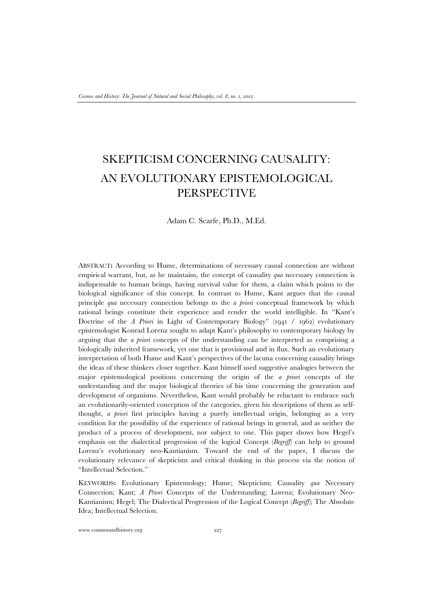# SKEPTICISM CONCERNING CAUSALITY: AN EVOLUTIONARY EPISTEMOLOGICAL PERSPECTIVE

Adam C. Scarfe, Ph.D., M.Ed.

ABSTRACT**:** According to Hume, determinations of necessary causal connection are without empirical warrant, but, as he maintains, the concept of causality *qua* necessary connection is indispensable to human beings, having survival value for them, a claim which points to the biological significance of this concept. In contrast to Hume, Kant argues that the causal principle *qua* necessary connection belongs to the *a priori* conceptual framework by which rational beings constitute their experience and render the world intelligible. In "Kant's Doctrine of the *A Priori* in Light of Contemporary Biology" (1941 / 1962) evolutionary epistemologist Konrad Lorenz sought to adapt Kant's philosophy to contemporary biology by arguing that the *a priori* concepts of the understanding can be interpreted as comprising a biologically inherited framework, yet one that is provisional and in flux. Such an evolutionary interpretation of both Hume and Kant's perspectives of the lacuna concerning causality brings the ideas of these thinkers closer together. Kant himself used suggestive analogies between the major epistemological positions concerning the origin of the *a priori* concepts of the understanding and the major biological theories of his time concerning the generation and development of organisms. Nevertheless, Kant would probably be reluctant to embrace such an evolutionarily-oriented conception of the categories, given his descriptions of them as selfthought, *a priori* first principles having a purely intellectual origin, belonging as a very condition for the possibility of the experience of rational beings in general, and as neither the product of a process of development, nor subject to one. This paper shows how Hegel's emphasis on the dialectical progression of the logical Concept (*Begriff*) can help to ground Lorenz's evolutionary neo-Kantianism. Toward the end of the paper, I discuss the evolutionary relevance of skepticism and critical thinking in this process via the notion of "Intellectual Selection."

KEYWORDS**:** Evolutionary Epistemology; Hume; Skepticism; Causality *qua* Necessary Connection; Kant; *A Priori* Concepts of the Understanding; Lorenz; Evolutionary Neo-Kantianism; Hegel; The Dialectical Progression of the Logical Concept (*Begriff*); The Absolute Idea; Intellectual Selection.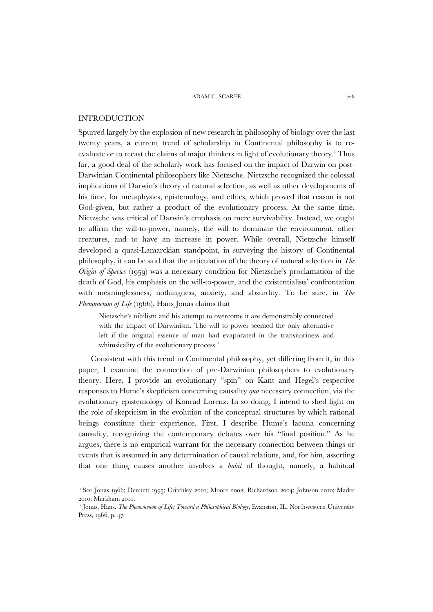#### INTRODUCTION

1

Spurred largely by the explosion of new research in philosophy of biology over the last twenty years, a current trend of scholarship in Continental philosophy is to re-evaluate or to recast the claims of major thinkers in light of evolutionary theory.<sup>[1](#page-1-0)</sup> Thus far, a good deal of the scholarly work has focused on the impact of Darwin on post-Darwinian Continental philosophers like Nietzsche. Nietzsche recognized the colossal implications of Darwin's theory of natural selection, as well as other developments of his time, for metaphysics, epistemology, and ethics, which proved that reason is not God-given, but rather a product of the evolutionary process. At the same time, Nietzsche was critical of Darwin's emphasis on mere survivability. Instead, we ought to affirm the will-to-power, namely, the will to dominate the environment, other creatures, and to have an increase in power. While overall, Nietzsche himself developed a quasi-Lamarckian standpoint, in surveying the history of Continental philosophy, it can be said that the articulation of the theory of natural selection in *The Origin of Species* (1959) was a necessary condition for Nietzsche's proclamation of the death of God, his emphasis on the will-to-power, and the existentialists' confrontation with meaninglessness, nothingness, anxiety, and absurdity. To be sure, in *The Phenomenon of Life* (1966), Hans Jonas claims that

Nietzsche's nihilism and his attempt to overcome it are demonstrably connected with the impact of Darwinism. The will to power seemed the only alternative left if the original essence of man had evaporated in the transitoriness and whimsicality of the evolutionary process.<sup>[2](#page-1-1)</sup>

Consistent with this trend in Continental philosophy, yet differing from it, in this paper, I examine the connection of pre-Darwinian philosophers to evolutionary theory. Here, I provide an evolutionary "spin" on Kant and Hegel's respective responses to Hume's skepticism concerning causality *qua* necessary connection, via the evolutionary epistemology of Konrad Lorenz. In so doing, I intend to shed light on the role of skepticism in the evolution of the conceptual structures by which rational beings constitute their experience. First, I describe Hume's lacuna concerning causality, recognizing the contemporary debates over his "final position." As he argues, there is no empirical warrant for the necessary connection between things or events that is assumed in any determination of causal relations, and, for him, asserting that one thing causes another involves a *habit* of thought, namely, a habitual

<span id="page-1-0"></span><sup>1</sup> See Jonas 1966; Dennett 1995; Critchley 2001; Moore 2002; Richardson 2004; Johnson 2010; Mader 2010; Markham 2010.

<span id="page-1-1"></span><sup>2</sup> Jonas, Hans, *The Phenomenon of Life: Toward a Philosophical Biology*, Evanston, IL, Northwestern University Press, 1966, p. 47.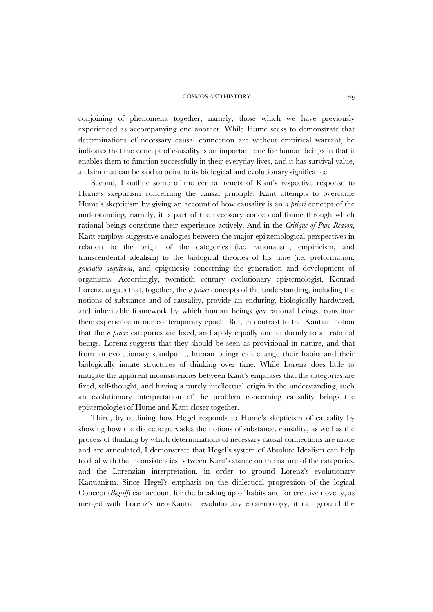conjoining of phenomena together, namely, those which we have previously experienced as accompanying one another. While Hume seeks to demonstrate that determinations of necessary causal connection are without empirical warrant, he indicates that the concept of causality is an important one for human beings in that it enables them to function successfully in their everyday lives, and it has survival value, a claim that can be said to point to its biological and evolutionary significance.

Second, I outline some of the central tenets of Kant's respective response to Hume's skepticism concerning the causal principle. Kant attempts to overcome Hume's skepticism by giving an account of how causality is an *a priori* concept of the understanding, namely, it is part of the necessary conceptual frame through which rational beings constitute their experience actively. And in the *Critique of Pure Reason*, Kant employs suggestive analogies between the major epistemological perspectives in relation to the origin of the categories (i.e. rationalism, empiricism, and transcendental idealism) to the biological theories of his time (i.e. preformation, *generatio aequivoca*, and epigenesis) concerning the generation and development of organisms. Accordingly, twentieth century evolutionary epistemologist, Konrad Lorenz, argues that, together, the *a priori* concepts of the understanding, including the notions of substance and of causality, provide an enduring, biologically hardwired, and inheritable framework by which human beings *qua* rational beings, constitute their experience in our contemporary epoch. But, in contrast to the Kantian notion that the *a priori* categories are fixed, and apply equally and uniformly to all rational beings, Lorenz suggests that they should be seen as provisional in nature, and that from an evolutionary standpoint, human beings can change their habits and their biologically innate structures of thinking over time. While Lorenz does little to mitigate the apparent inconsistencies between Kant's emphases that the categories are fixed, self-thought, and having a purely intellectual origin in the understanding, such an evolutionary interpretation of the problem concerning causality brings the epistemologies of Hume and Kant closer together.

Third, by outlining how Hegel responds to Hume's skepticism of causality by showing how the dialectic pervades the notions of substance, causality, as well as the process of thinking by which determinations of necessary causal connections are made and are articulated, I demonstrate that Hegel's system of Absolute Idealism can help to deal with the inconsistencies between Kant's stance on the nature of the categories, and the Lorenzian interpretation, in order to ground Lorenz's evolutionary Kantianism. Since Hegel's emphasis on the dialectical progression of the logical Concept (*Begriff*) can account for the breaking up of habits and for creative novelty, as merged with Lorenz's neo-Kantian evolutionary epistemology, it can ground the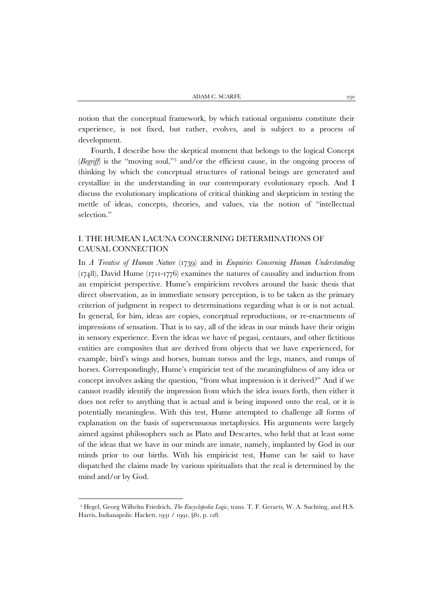notion that the conceptual framework, by which rational organisms constitute their experience, is not fixed, but rather, evolves, and is subject to a process of development.

Fourth, I describe how the skeptical moment that belongs to the logical Concept (*Begriff*) is the "moving soul,"<sup>[3](#page-3-0)</sup> and/or the efficient cause, in the ongoing process of thinking by which the conceptual structures of rational beings are generated and crystallize in the understanding in our contemporary evolutionary epoch. And I discuss the evolutionary implications of critical thinking and skepticism in testing the mettle of ideas, concepts, theories, and values, via the notion of "intellectual selection."

#### I. THE HUMEAN LACUNA CONCERNING DETERMINATIONS OF CAUSAL CONNECTION

In *A Treatise of Human Nature* (1739) and in *Enquiries Concerning Human Understanding* (1748), David Hume (1711-1776) examines the natures of causality and induction from an empiricist perspective. Hume's empiricism revolves around the basic thesis that direct observation, as in immediate sensory perception, is to be taken as the primary criterion of judgment in respect to determinations regarding what is or is not actual. In general, for him, ideas are copies, conceptual reproductions, or re-enactments of impressions of sensation. That is to say, all of the ideas in our minds have their origin in sensory experience. Even the ideas we have of pegasi, centaurs, and other fictitious entities are composites that are derived from objects that we have experienced, for example, bird's wings and horses, human torsos and the legs, manes, and rumps of horses. Correspondingly, Hume's empiricist test of the meaningfulness of any idea or concept involves asking the question, "from what impression is it derived?" And if we cannot readily identify the impression from which the idea issues forth, then either it does not refer to anything that is actual and is being imposed onto the real, or it is potentially meaningless. With this test, Hume attempted to challenge all forms of explanation on the basis of supersensuous metaphysics. His arguments were largely aimed against philosophers such as Plato and Descartes, who held that at least some of the ideas that we have in our minds are innate, namely, implanted by God in our minds prior to our births. With his empiricist test, Hume can be said to have dispatched the claims made by various spiritualists that the real is determined by the mind and/or by God.

<span id="page-3-0"></span><sup>3</sup> Hegel, Georg Wilhelm Friedrich, *The Encyclopedia Logic*, trans. T. F. Geraets, W. A. Suchting, and H.S. Harris, Indianapolis: Hackett, 1931 / 1991, §81, p. 128.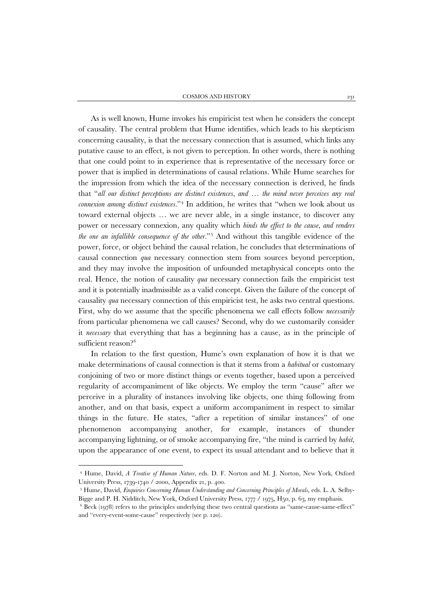As is well known, Hume invokes his empiricist test when he considers the concept of causality. The central problem that Hume identifies, which leads to his skepticism concerning causality, is that the necessary connection that is assumed, which links any putative cause to an effect, is not given to perception. In other words, there is nothing that one could point to in experience that is representative of the necessary force or power that is implied in determinations of causal relations. While Hume searches for the impression from which the idea of the necessary connection is derived, he finds that "*all our distinct perceptions are distinct existences, and … the mind never perceives any real connexion among distinct existences*."[4](#page-4-0) In addition, he writes that "when we look about us toward external objects … we are never able, in a single instance, to discover any power or necessary connexion, any quality which *binds the effect to the cause, and renders the one an infallible consequence of the other*."[5](#page-4-1) And without this tangible evidence of the power, force, or object behind the causal relation, he concludes that determinations of causal connection *qua* necessary connection stem from sources beyond perception, and they may involve the imposition of unfounded metaphysical concepts onto the real. Hence, the notion of causality *qua* necessary connection fails the empiricist test and it is potentially inadmissible as a valid concept. Given the failure of the concept of causality *qua* necessary connection of this empiricist test, he asks two central questions. First, why do we assume that the specific phenomena we call effects follow *necessarily* from particular phenomena we call causes? Second, why do we customarily consider it *necessary* that everything that has a beginning has a cause, as in the principle of sufficient reason?<sup>[6](#page-4-2)</sup>

In relation to the first question, Hume's own explanation of how it is that we make determinations of causal connection is that it stems from a *habitual* or customary conjoining of two or more distinct things or events together, based upon a perceived regularity of accompaniment of like objects. We employ the term "cause" after we perceive in a plurality of instances involving like objects, one thing following from another, and on that basis, expect a uniform accompaniment in respect to similar things in the future. He states, "after a repetition of similar instances" of one phenomenon accompanying another, for example, instances of thunder accompanying lightning, or of smoke accompanying fire, "the mind is carried by *habit*, upon the appearance of one event, to expect its usual attendant and to believe that it

<span id="page-4-0"></span><sup>4</sup> Hume, David, *A Treatise of Human Nature*, eds. D. F. Norton and M. J. Norton, New York, Oxford University Press, 1739-1740 / 2000, Appendix 21, p. 400.

<span id="page-4-1"></span><sup>5</sup> Hume, David, *Enquiries Concerning Human Understanding and Concerning Principles of Morals*, eds. L. A. Selby-Bigge and P. H. Nidditch, New York, Oxford University Press, 1777 / 1975, H50, p. 63, my emphasis.

<span id="page-4-2"></span><sup>6</sup> Beck (1978) refers to the principles underlying these two central questions as "same-cause-same-effect" and "every-event-some-cause" respectively (see p. 120).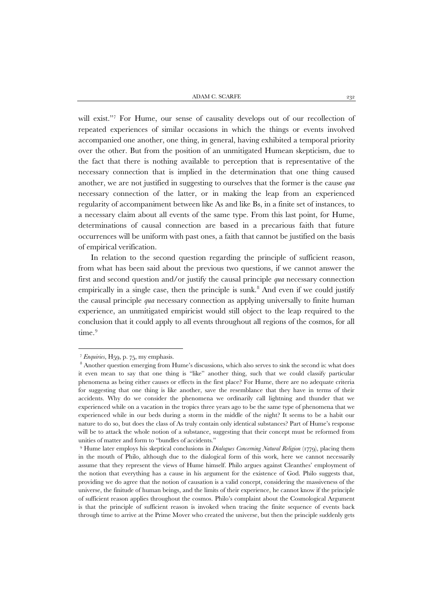will exist."[7](#page-5-0) For Hume, our sense of causality develops out of our recollection of repeated experiences of similar occasions in which the things or events involved accompanied one another, one thing, in general, having exhibited a temporal priority over the other. But from the position of an unmitigated Humean skepticism, due to the fact that there is nothing available to perception that is representative of the necessary connection that is implied in the determination that one thing caused another, we are not justified in suggesting to ourselves that the former is the cause *qua* necessary connection of the latter, or in making the leap from an experienced regularity of accompaniment between like As and like Bs, in a finite set of instances, to a necessary claim about all events of the same type. From this last point, for Hume, determinations of causal connection are based in a precarious faith that future occurrences will be uniform with past ones, a faith that cannot be justified on the basis of empirical verification.

In relation to the second question regarding the principle of sufficient reason, from what has been said about the previous two questions, if we cannot answer the first and second question and/or justify the causal principle *qua* necessary connection empirically in a single case, then the principle is sunk. [8](#page-5-1) And even if we could justify the causal principle *qua* necessary connection as applying universally to finite human experience, an unmitigated empiricist would still object to the leap required to the conclusion that it could apply to all events throughout all regions of the cosmos, for all time.<sup>[9](#page-5-2)</sup>

<sup>7</sup> *Enquiries*, H59, p. 75, my emphasis.

<span id="page-5-1"></span><span id="page-5-0"></span><sup>&</sup>lt;sup>8</sup> Another question emerging from Hume's discussions, which also serves to sink the second is: what does it even mean to say that one thing is "like" another thing, such that we could classify particular phenomena as being either causes or effects in the first place? For Hume, there are no adequate criteria for suggesting that one thing is like another, save the resemblance that they have in terms of their accidents. Why do we consider the phenomena we ordinarily call lightning and thunder that we experienced while on a vacation in the tropics three years ago to be the same type of phenomena that we experienced while in our beds during a storm in the middle of the night? It seems to be a habit our nature to do so, but does the class of As truly contain only identical substances? Part of Hume's response will be to attack the whole notion of a substance, suggesting that their concept must be reformed from unities of matter and form to "bundles of accidents."

<span id="page-5-2"></span><sup>9</sup> Hume later employs his skeptical conclusions in *Dialogues Concerning Natural Religion* (1779), placing them in the mouth of Philo, although due to the dialogical form of this work, here we cannot necessarily assume that they represent the views of Hume himself. Philo argues against Cleanthes' employment of the notion that everything has a cause in his argument for the existence of God. Philo suggests that, providing we do agree that the notion of causation is a valid concept, considering the massiveness of the universe, the finitude of human beings, and the limits of their experience, he cannot know if the principle of sufficient reason applies throughout the cosmos. Philo's complaint about the Cosmological Argument is that the principle of sufficient reason is invoked when tracing the finite sequence of events back through time to arrive at the Prime Mover who created the universe, but then the principle suddenly gets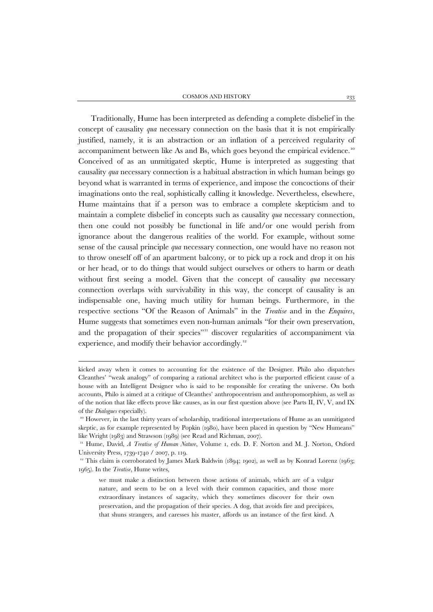Traditionally, Hume has been interpreted as defending a complete disbelief in the concept of causality *qua* necessary connection on the basis that it is not empirically justified, namely, it is an abstraction or an inflation of a perceived regularity of accompaniment between like As and Bs, which goes beyond the empirical evidence.<sup>[10](#page-6-0)</sup> Conceived of as an unmitigated skeptic, Hume is interpreted as suggesting that causality *qua* necessary connection is a habitual abstraction in which human beings go beyond what is warranted in terms of experience, and impose the concoctions of their imaginations onto the real, sophistically calling it knowledge. Nevertheless, elsewhere, Hume maintains that if a person was to embrace a complete skepticism and to maintain a complete disbelief in concepts such as causality *qua* necessary connection, then one could not possibly be functional in life and/or one would perish from ignorance about the dangerous realities of the world. For example, without some sense of the causal principle *qua* necessary connection, one would have no reason not to throw oneself off of an apartment balcony, or to pick up a rock and drop it on his or her head, or to do things that would subject ourselves or others to harm or death without first seeing a model. Given that the concept of causality *qua* necessary connection overlaps with survivability in this way, the concept of causality is an indispensable one, having much utility for human beings. Furthermore, in the respective sections "Of the Reason of Animals" in the *Treatise* and in the *Enquires*, Hume suggests that sometimes even non-human animals "for their own preservation, and the propagation of their species"<sup>[11](#page-6-1)</sup> discover regularities of accompaniment via experience, and modify their behavior accordingly.<sup>12</sup>

kicked away when it comes to accounting for the existence of the Designer. Philo also dispatches Cleanthes' "weak analogy" of comparing a rational architect who is the purported efficient cause of a house with an Intelligent Designer who is said to be responsible for creating the universe. On both accounts, Philo is aimed at a critique of Cleanthes' anthropocentrism and anthropomorphism, as well as of the notion that like effects prove like causes, as in our first question above (see Parts II, IV, V, and IX of the *Dialogues* especially).

<span id="page-6-0"></span><sup>10</sup> However, in the last thirty years of scholarship, traditional interpretations of Hume as an unmitigated skeptic, as for example represented by Popkin (1980), have been placed in question by "New Humeans" like Wright (1983) and Strawson (1989) (see Read and Richman, 2007).

<span id="page-6-1"></span><sup>11</sup> Hume, David, *A Treatise of Human Nature*, Volume 1, eds. D. F. Norton and M. J. Norton, Oxford University Press, 1739-1740 / 2007, p. 119.

<span id="page-6-2"></span><sup>&</sup>lt;sup>12</sup> This claim is corroborated by James Mark Baldwin (1894; 1902), as well as by Konrad Lorenz (1963; 1965). In the *Treatise*, Hume writes,

we must make a distinction between those actions of animals, which are of a vulgar nature, and seem to be on a level with their common capacities, and those more extraordinary instances of sagacity, which they sometimes discover for their own preservation, and the propagation of their species. A dog, that avoids fire and precipices, that shuns strangers, and caresses his master, affords us an instance of the first kind. A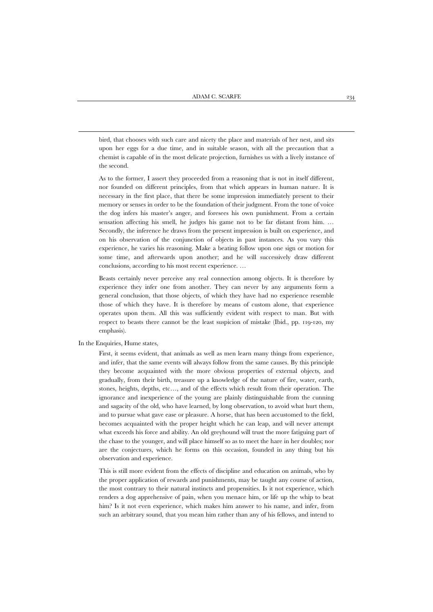bird, that chooses with such care and nicety the place and materials of her nest, and sits upon her eggs for a due time, and in suitable season, with all the precaution that a chemist is capable of in the most delicate projection, furnishes us with a lively instance of the second.

As to the former, I assert they proceeded from a reasoning that is not in itself different, nor founded on different principles, from that which appears in human nature. It is necessary in the first place, that there be some impression immediately present to their memory or senses in order to be the foundation of their judgment. From the tone of voice the dog infers his master's anger, and foresees his own punishment. From a certain sensation affecting his smell, he judges his game not to be far distant from him. … Secondly, the inference he draws from the present impression is built on experience, and on his observation of the conjunction of objects in past instances. As you vary this experience, he varies his reasoning. Make a beating follow upon one sign or motion for some time, and afterwards upon another; and he will successively draw different conclusions, according to his most recent experience. …

Beasts certainly never perceive any real connection among objects. It is therefore by experience they infer one from another. They can never by any arguments form a general conclusion, that those objects, of which they have had no experience resemble those of which they have. It is therefore by means of custom alone, that experience operates upon them. All this was sufficiently evident with respect to man. But with respect to beasts there cannot be the least suspicion of mistake (Ibid., pp. 119-120, my emphasis).

#### In the Enquiries, Hume states,

1

First, it seems evident, that animals as well as men learn many things from experience, and infer, that the same events will always follow from the same causes. By this principle they become acquainted with the more obvious properties of external objects, and gradually, from their birth, treasure up a knowledge of the nature of fire, water, earth, stones, heights, depths, etc…, and of the effects which result from their operation. The ignorance and inexperience of the young are plainly distinguishable from the cunning and sagacity of the old, who have learned, by long observation, to avoid what hurt them, and to pursue what gave ease or pleasure. A horse, that has been accustomed to the field, becomes acquainted with the proper height which he can leap, and will never attempt what exceeds his force and ability. An old greyhound will trust the more fatiguing part of the chase to the younger, and will place himself so as to meet the hare in her doubles; nor are the conjectures, which he forms on this occasion, founded in any thing but his observation and experience.

This is still more evident from the effects of discipline and education on animals, who by the proper application of rewards and punishments, may be taught any course of action, the most contrary to their natural instincts and propensities. Is it not experience, which renders a dog apprehensive of pain, when you menace him, or life up the whip to beat him? Is it not even experience, which makes him answer to his name, and infer, from such an arbitrary sound, that you mean him rather than any of his fellows, and intend to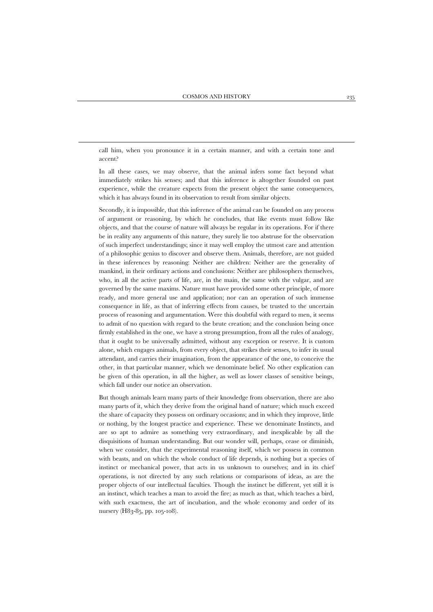call him, when you pronounce it in a certain manner, and with a certain tone and accent?

 $\overline{a}$ 

In all these cases, we may observe, that the animal infers some fact beyond what immediately strikes his senses; and that this inference is altogether founded on past experience, while the creature expects from the present object the same consequences, which it has always found in its observation to result from similar objects.

Secondly, it is impossible, that this inference of the animal can be founded on any process of argument or reasoning, by which he concludes, that like events must follow like objects, and that the course of nature will always be regular in its operations. For if there be in reality any arguments of this nature, they surely lie too abstruse for the observation of such imperfect understandings; since it may well employ the utmost care and attention of a philosophic genius to discover and observe them. Animals, therefore, are not guided in these inferences by reasoning: Neither are children: Neither are the generality of mankind, in their ordinary actions and conclusions: Neither are philosophers themselves, who, in all the active parts of life, are, in the main, the same with the vulgar, and are governed by the same maxims. Nature must have provided some other principle, of more ready, and more general use and application; nor can an operation of such immense consequence in life, as that of inferring effects from causes, be trusted to the uncertain process of reasoning and argumentation. Were this doubtful with regard to men, it seems to admit of no question with regard to the brute creation; and the conclusion being once firmly established in the one, we have a strong presumption, from all the rules of analogy, that it ought to be universally admitted, without any exception or reserve. It is custom alone, which engages animals, from every object, that strikes their senses, to infer its usual attendant, and carries their imagination, from the appearance of the one, to conceive the other, in that particular manner, which we denominate belief. No other explication can be given of this operation, in all the higher, as well as lower classes of sensitive beings, which fall under our notice an observation.

But though animals learn many parts of their knowledge from observation, there are also many parts of it, which they derive from the original hand of nature; which much exceed the share of capacity they possess on ordinary occasions; and in which they improve, little or nothing, by the longest practice and experience. These we denominate Instincts, and are so apt to admire as something very extraordinary, and inexplicable by all the disquisitions of human understanding. But our wonder will, perhaps, cease or diminish, when we consider, that the experimental reasoning itself, which we possess in common with beasts, and on which the whole conduct of life depends, is nothing but a species of instinct or mechanical power, that acts in us unknown to ourselves; and in its chief operations, is not directed by any such relations or comparisons of ideas, as are the proper objects of our intellectual faculties. Though the instinct be different, yet still it is an instinct, which teaches a man to avoid the fire; as much as that, which teaches a bird, with such exactness, the art of incubation, and the whole economy and order of its nursery (H83-85, pp. 105-108).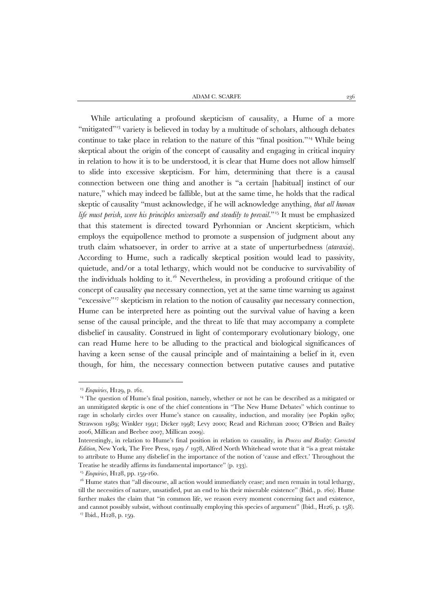ADAM C. SCARFE  $236$ 

While articulating a profound skepticism of causality, a Hume of a more "mitigated"<sup>[13](#page-9-0)</sup> variety is believed in today by a multitude of scholars, although debates continue to take place in relation to the nature of this "final position."[14](#page-9-1) While being skeptical about the origin of the concept of causality and engaging in critical inquiry in relation to how it is to be understood, it is clear that Hume does not allow himself to slide into excessive skepticism. For him, determining that there is a causal connection between one thing and another is "a certain [habitual] instinct of our nature," which may indeed be fallible, but at the same time, he holds that the radical skeptic of causality "must acknowledge, if he will acknowledge anything, *that all human life must perish, were his principles universally and steadily to prevail.*"<sup>[15](#page-9-2)</sup> It must be emphasized that this statement is directed toward Pyrhonnian or Ancient skepticism, which employs the equipollence method to promote a suspension of judgment about any truth claim whatsoever, in order to arrive at a state of unperturbedness (*ataraxia*). According to Hume, such a radically skeptical position would lead to passivity, quietude, and/or a total lethargy, which would not be conducive to survivability of the individuals holding to it.<sup>[16](#page-9-3)</sup> Nevertheless, in providing a profound critique of the concept of causality *qua* necessary connection, yet at the same time warning us against "excessive"<sup>[17](#page-9-4)</sup> skepticism in relation to the notion of causality *qua* necessary connection, Hume can be interpreted here as pointing out the survival value of having a keen sense of the causal principle, and the threat to life that may accompany a complete disbelief in causality. Construed in light of contemporary evolutionary biology, one can read Hume here to be alluding to the practical and biological significances of having a keen sense of the causal principle and of maintaining a belief in it, even though, for him, the necessary connection between putative causes and putative

<sup>13</sup> *Enquiries*, H129, p. 161.

<span id="page-9-1"></span><span id="page-9-0"></span><sup>&</sup>lt;sup>14</sup> The question of Hume's final position, namely, whether or not he can be described as a mitigated or an unmitigated skeptic is one of the chief contentions in "The New Hume Debates" which continue to rage in scholarly circles over Hume's stance on causality, induction, and morality (see Popkin 1980; Strawson 1989; Winkler 1991; Dicker 1998; Levy 2000; Read and Richman 2000; O'Brien and Bailey 2006, Millican and Beebee 2007, Millican 2009).

Interestingly, in relation to Hume's final position in relation to causality, in *Process and Reality*: *Corrected Edition*, New York, The Free Press, 1929 / 1978, Alfred North Whitehead wrote that it "is a great mistake to attribute to Hume any disbelief in the importance of the notion of 'cause and effect.' Throughout the Treatise he steadily affirms its fundamental importance" (p. 133).

<sup>15</sup> *Enquiries*, H128, pp. 159-160.

<span id="page-9-4"></span><span id="page-9-3"></span><span id="page-9-2"></span> $16$  Hume states that "all discourse, all action would immediately cease; and men remain in total lethargy, till the necessities of nature, unsatisfied, put an end to his their miserable existence" (Ibid., p. 160). Hume further makes the claim that "in common life, we reason every moment concerning fact and existence, and cannot possibly subsist, without continually employing this species of argument" (Ibid., H126, p. 158). <sup>17</sup> Ibid., H128, p. 159.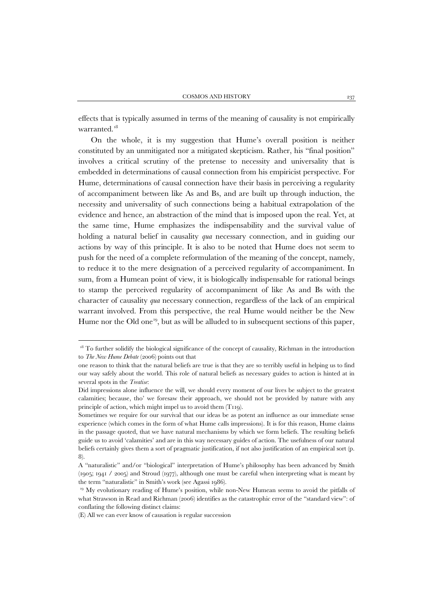effects that is typically assumed in terms of the meaning of causality is not empirically warranted.<sup>18</sup>

On the whole, it is my suggestion that Hume's overall position is neither constituted by an unmitigated nor a mitigated skepticism. Rather, his "final position" involves a critical scrutiny of the pretense to necessity and universality that is embedded in determinations of causal connection from his empiricist perspective. For Hume, determinations of causal connection have their basis in perceiving a regularity of accompaniment between like As and Bs, and are built up through induction, the necessity and universality of such connections being a habitual extrapolation of the evidence and hence, an abstraction of the mind that is imposed upon the real. Yet, at the same time, Hume emphasizes the indispensability and the survival value of holding a natural belief in causality *qua* necessary connection, and in guiding our actions by way of this principle. It is also to be noted that Hume does not seem to push for the need of a complete reformulation of the meaning of the concept, namely, to reduce it to the mere designation of a perceived regularity of accompaniment. In sum, from a Humean point of view, it is biologically indispensable for rational beings to stamp the perceived regularity of accompaniment of like As and Bs with the character of causality *qua* necessary connection, regardless of the lack of an empirical warrant involved. From this perspective, the real Hume would neither be the New Hume nor the Old one<sup>[19](#page-10-1)</sup>, but as will be alluded to in subsequent sections of this paper,

<span id="page-10-0"></span><sup>&</sup>lt;sup>18</sup> To further solidify the biological significance of the concept of causality, Richman in the introduction to *The New Hume Debate* (2006) points out that

one reason to think that the natural beliefs are true is that they are so terribly useful in helping us to find our way safely about the world. This role of natural beliefs as necessary guides to action is hinted at in several spots in the *Treatise*:

Did impressions alone influence the will, we should every moment of our lives be subject to the greatest calamities; because, tho' we foresaw their approach, we should not be provided by nature with any principle of action, which might impel us to avoid them (T119).

Sometimes we require for our survival that our ideas be as potent an influence as our immediate sense experience (which comes in the form of what Hume calls impressions). It is for this reason, Hume claims in the passage quoted, that we have natural mechanisms by which we form beliefs. The resulting beliefs guide us to avoid 'calamities' and are in this way necessary guides of action. The usefulness of our natural beliefs certainly gives them a sort of pragmatic justification, if not also justification of an empirical sort (p. 8).

A "naturalistic" and/or "biological" interpretation of Hume's philosophy has been advanced by Smith (1905; 1941 / 2005) and Stroud (1977), although one must be careful when interpreting what is meant by the term "naturalistic" in Smith's work (see Agassi 1986).

<span id="page-10-1"></span><sup>&</sup>lt;sup>19</sup> My evolutionary reading of Hume's position, while non-New Humean seems to avoid the pitfalls of what Strawson in Read and Richman (2006) identifies as the catastrophic error of the "standard view": of conflating the following distinct claims:

<sup>(</sup>E) All we can ever know of causation is regular succession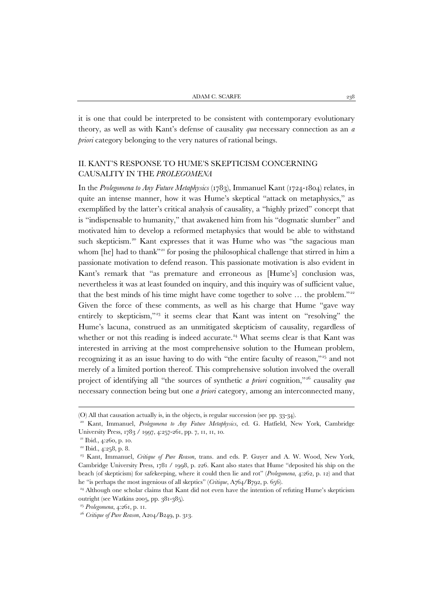it is one that could be interpreted to be consistent with contemporary evolutionary theory, as well as with Kant's defense of causality *qua* necessary connection as an *a priori* category belonging to the very natures of rational beings.

#### II. KANT'S RESPONSE TO HUME'S SKEPTICISM CONCERNING CAUSALITY IN THE *PROLEGOMENA*

In the *Prolegomena to Any Future Metaphysics* (1783), Immanuel Kant (1724-1804) relates, in quite an intense manner, how it was Hume's skeptical "attack on metaphysics," as exemplified by the latter's critical analysis of causality, a "highly prized" concept that is "indispensable to humanity," that awakened him from his "dogmatic slumber" and motivated him to develop a reformed metaphysics that would be able to withstand such skepticism.<sup>[20](#page-11-0)</sup> Kant expresses that it was Hume who was "the sagacious man whom [he] had to thank"<sup>[21](#page-11-1)</sup> for posing the philosophical challenge that stirred in him a passionate motivation to defend reason. This passionate motivation is also evident in Kant's remark that "as premature and erroneous as [Hume's] conclusion was, nevertheless it was at least founded on inquiry, and this inquiry was of sufficient value, that the best minds of his time might have come together to solve ... the problem."<sup>[22](#page-11-2)</sup> Given the force of these comments, as well as his charge that Hume "gave way entirely to skepticism,"<sup>23</sup> it seems clear that Kant was intent on "resolving" the Hume's lacuna, construed as an unmitigated skepticism of causality, regardless of whether or not this reading is indeed accurate.<sup>[24](#page-11-4)</sup> What seems clear is that Kant was interested in arriving at the most comprehensive solution to the Humean problem, recognizing it as an issue having to do with "the entire faculty of reason,"[25](#page-11-5) and not merely of a limited portion thereof. This comprehensive solution involved the overall project of identifying all "the sources of synthetic *a priori* cognition,["26](#page-11-6) causality *qua* necessary connection being but one *a priori* category, among an interconnected many,

<sup>(</sup>O) All that causation actually is, in the objects, is regular succession (see pp. 33-34).

<span id="page-11-0"></span><sup>20</sup> Kant, Immanuel, *Prolegomena to Any Future Metaphysics*, ed. G. Hatfield, New York, Cambridge University Press, 1783 / 1997, 4:257-261, pp. 7, 11, 11, 10.

<span id="page-11-1"></span><sup>&</sup>lt;sup>21</sup> Ibid., 4:260, p. 10.

<sup>&</sup>lt;sup>22</sup> Ibid., 4:258, p. 8.

<span id="page-11-3"></span><span id="page-11-2"></span><sup>23</sup> Kant, Immanuel, *Critique of Pure Reason*, trans. and eds. P. Guyer and A. W. Wood, New York, Cambridge University Press, 1781 / 1998, p. 226. Kant also states that Hume "deposited his ship on the beach (of skepticism) for safekeeping, where it could then lie and rot" (*Prolegomena*, 4:262, p. 12) and that he "is perhaps the most ingenious of all skeptics" (*Critique*, A764/B792, p. 656).

<span id="page-11-4"></span><sup>&</sup>lt;sup>24</sup> Although one scholar claims that Kant did not even have the intention of refuting Hume's skepticism outright (see Watkins 2005, pp. 381-385).

<span id="page-11-5"></span><sup>25</sup> *Prolegomena*, 4:261, p. 11.

<span id="page-11-6"></span><sup>26</sup> *Critique of Pure Reason*, A204/B249, p. 313.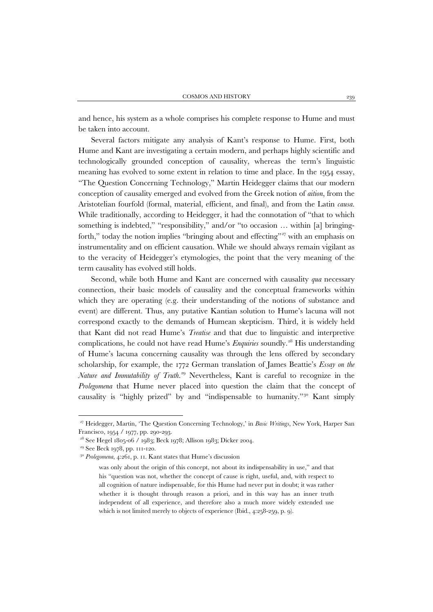and hence, his system as a whole comprises his complete response to Hume and must be taken into account.

Several factors mitigate any analysis of Kant's response to Hume. First, both Hume and Kant are investigating a certain modern, and perhaps highly scientific and technologically grounded conception of causality, whereas the term's linguistic meaning has evolved to some extent in relation to time and place. In the 1954 essay, "The Question Concerning Technology," Martin Heidegger claims that our modern conception of causality emerged and evolved from the Greek notion of *aition*, from the Aristotelian fourfold (formal, material, efficient, and final), and from the Latin *causa*. While traditionally, according to Heidegger, it had the connotation of "that to which something is indebted," "responsibility," and/or "to occasion ... within [a] bringing-forth," today the notion implies "bringing about and effecting"<sup>[27](#page-12-0)</sup> with an emphasis on instrumentality and on efficient causation. While we should always remain vigilant as to the veracity of Heidegger's etymologies, the point that the very meaning of the term causality has evolved still holds.

Second, while both Hume and Kant are concerned with causality *qua* necessary connection, their basic models of causality and the conceptual frameworks within which they are operating (e.g. their understanding of the notions of substance and event) are different. Thus, any putative Kantian solution to Hume's lacuna will not correspond exactly to the demands of Humean skepticism. Third, it is widely held that Kant did not read Hume's *Treatise* and that due to linguistic and interpretive complications, he could not have read Hume's *Enquiries* soundly. [28](#page-12-1) His understanding of Hume's lacuna concerning causality was through the lens offered by secondary scholarship, for example, the 1772 German translation of James Beattie's *Essay on the Nature and Immutability of Truth*. [29](#page-12-2) Nevertheless, Kant is careful to recognize in the *Prolegomena* that Hume never placed into question the claim that the concept of causality is "highly prized" by and "indispensable to humanity."<sup>30</sup> Kant simply

 $\ddot{\phantom{a}}$ 

<span id="page-12-1"></span><span id="page-12-0"></span><sup>27</sup> Heidegger, Martin, 'The Question Concerning Technology,' in *Basic Writings*, New York, Harper San Francisco, 1954 / 1977, pp. 290-293.

<sup>28</sup> See Hegel 1805-06 / 1983; Beck 1978; Allison 1983; Dicker 2004.

<span id="page-12-2"></span><sup>29</sup> See Beck 1978, pp. 111-120.

<span id="page-12-3"></span><sup>30</sup> *Prolegomena*, 4:261, p. 11. Kant states that Hume's discussion

was only about the origin of this concept, not about its indispensability in use," and that his "question was not, whether the concept of cause is right, useful, and, with respect to all cognition of nature indispensable, for this Hume had never put in doubt; it was rather whether it is thought through reason a priori, and in this way has an inner truth independent of all experience, and therefore also a much more widely extended use which is not limited merely to objects of experience (Ibid., 4:258-259, p. 9).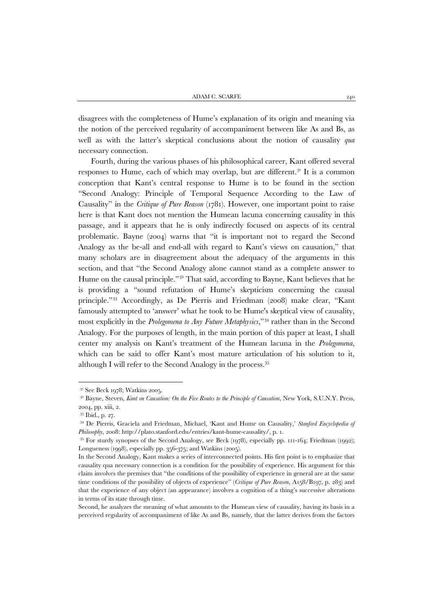disagrees with the completeness of Hume's explanation of its origin and meaning via the notion of the perceived regularity of accompaniment between like As and Bs, as well as with the latter's skeptical conclusions about the notion of causality *qua* necessary connection.

Fourth, during the various phases of his philosophical career, Kant offered several responses to Hume, each of which may overlap, but are different.<sup>[31](#page-13-0)</sup> It is a common conception that Kant's central response to Hume is to be found in the section "Second Analogy: Principle of Temporal Sequence According to the Law of Causality" in the *Critique of Pure Reason* (1781). However, one important point to raise here is that Kant does not mention the Humean lacuna concerning causality in this passage, and it appears that he is only indirectly focused on aspects of its central problematic. Bayne (2004) warns that "it is important not to regard the Second Analogy as the be-all and end-all with regard to Kant's views on causation," that many scholars are in disagreement about the adequacy of the arguments in this section, and that "the Second Analogy alone cannot stand as a complete answer to Hume on the causal principle."[32](#page-13-1) That said, according to Bayne, Kant believes that he is providing a "sound refutation of Hume's skepticism concerning the causal principle."[33](#page-13-2) Accordingly, as De Pierris and Friedman (2008) make clear, "Kant famously attempted to 'answer' what he took to be Hume's skeptical view of causality, most explicitly in the *Prolegomena to Any Future Metaphysics*,["34](#page-13-3) rather than in the Second Analogy. For the purposes of length, in the main portion of this paper at least, I shall center my analysis on Kant's treatment of the Humean lacuna in the *Prolegomena*, which can be said to offer Kant's most mature articulation of his solution to it, although I will refer to the Second Analogy in the process.[35](#page-13-4)

<sup>&</sup>lt;sup>31</sup> See Beck 1978; Watkins 2005.

<span id="page-13-1"></span><span id="page-13-0"></span><sup>&</sup>lt;sup>32</sup> Bayne, Steven, *Kant on Causation: On the Five Routes to the Principle of Causation*, New York, S.U.N.Y. Press, 2004, pp. xiii, 2.

<sup>33</sup> Ibid., p. 27.

<span id="page-13-3"></span><span id="page-13-2"></span><sup>34</sup> De Pierris, Graciela and Friedman, Michael, 'Kant and Hume on Causality,' *Stanford Encyclopedia of Philosophy*, 2008: http://plato.stanford.edu/entries/kant-hume-causality/, p. 1.

<span id="page-13-4"></span><sup>35</sup> For sturdy synopses of the Second Analogy, see Beck (1978), especially pp. 111-164; Friedman (1992); Longueness (1998), especially pp. 356-375; and Watkins (2005).

In the Second Analogy, Kant makes a series of interconnected points. His first point is to emphasize that causality qua necessary connection is a condition for the possibility of experience. His argument for this claim involves the premises that "the conditions of the possibility of experience in general are at the same time conditions of the possibility of objects of experience" (*Critique of Pure Reason*, A158/B197, p. 283) and that the experience of any object (an appearance) involves a cognition of a thing's successive alterations in terms of its state through time.

Second, he analyzes the meaning of what amounts to the Humean view of causality, having its basis in a perceived regularity of accompaniment of like As and Bs, namely, that the latter derives from the factors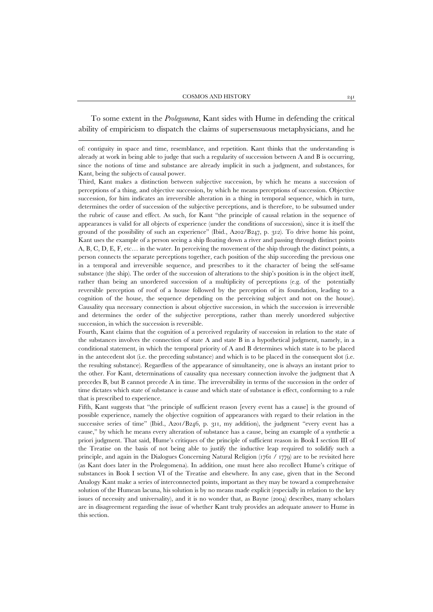To some extent in the *Prolegomena*, Kant sides with Hume in defending the critical ability of empiricism to dispatch the claims of supersensuous metaphysicians, and he

1

Third, Kant makes a distinction between subjective succession, by which he means a succession of perceptions of a thing, and objective succession, by which he means perceptions of succession. Objective succession, for him indicates an irreversible alteration in a thing in temporal sequence, which in turn, determines the order of succession of the subjective perceptions, and is therefore, to be subsumed under the rubric of cause and effect. As such, for Kant "the principle of causal relation in the sequence of appearances is valid for all objects of experience (under the conditions of succession), since it is itself the ground of the possibility of such an experience" (Ibid., A202/B247, p. 312). To drive home his point, Kant uses the example of a person seeing a ship floating down a river and passing through distinct points A, B, C, D, E, F, etc… in the water. In perceiving the movement of the ship through the distinct points, a person connects the separate perceptions together, each position of the ship succeeding the previous one in a temporal and irreversible sequence, and prescribes to it the character of being the self-same substance (the ship). The order of the succession of alterations to the ship's position is in the object itself, rather than being an unordered succession of a multiplicity of perceptions (e.g. of the potentially reversible perception of roof of a house followed by the perception of its foundation, leading to a cognition of the house, the sequence depending on the perceiving subject and not on the house). Causality qua necessary connection is about objective succession, in which the succession is irreversible and determines the order of the subjective perceptions, rather than merely unordered subjective succession, in which the succession is reversible.

Fourth, Kant claims that the cognition of a perceived regularity of succession in relation to the state of the substances involves the connection of state A and state B in a hypothetical judgment, namely, in a conditional statement, in which the temporal priority of A and B determines which state is to be placed in the antecedent slot (i.e. the preceding substance) and which is to be placed in the consequent slot (i.e. the resulting substance). Regardless of the appearance of simultaneity, one is always an instant prior to the other. For Kant, determinations of causality qua necessary connection involve the judgment that A precedes B, but B cannot precede A in time. The irreversibility in terms of the succession in the order of time dictates which state of substance is cause and which state of substance is effect, conforming to a rule that is prescribed to experience.

Fifth, Kant suggests that "the principle of sufficient reason [every event has a cause] is the ground of possible experience, namely the objective cognition of appearances with regard to their relation in the successive series of time" (Ibid., A201/B246, p. 311, my addition), the judgment "every event has a cause," by which he means every alteration of substance has a cause, being an example of a synthetic a priori judgment. That said, Hume's critiques of the principle of sufficient reason in Book I section III of the Treatise on the basis of not being able to justify the inductive leap required to solidify such a principle, and again in the Dialogues Concerning Natural Religion (1761 / 1779) are to be revisited here (as Kant does later in the Prolegomena). In addition, one must here also recollect Hume's critique of substances in Book I section VI of the Treatise and elsewhere. In any case, given that in the Second Analogy Kant make a series of interconnected points, important as they may be toward a comprehensive solution of the Humean lacuna, his solution is by no means made explicit (especially in relation to the key issues of necessity and universality), and it is no wonder that, as Bayne (2004) describes, many scholars are in disagreement regarding the issue of whether Kant truly provides an adequate answer to Hume in this section.

of: contiguity in space and time, resemblance, and repetition. Kant thinks that the understanding is already at work in being able to judge that such a regularity of succession between A and B is occurring, since the notions of time and substance are already implicit in such a judgment, and substances, for Kant, being the subjects of causal power.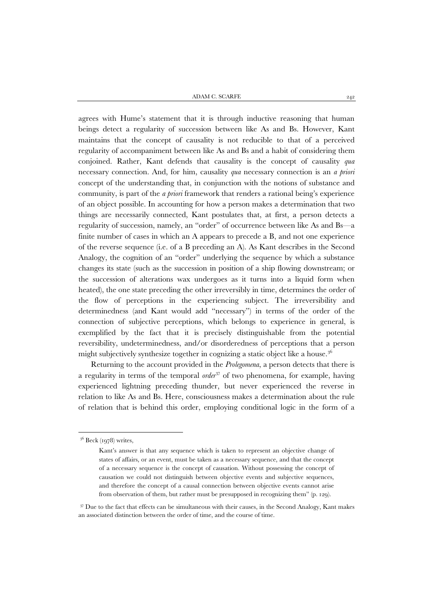ADAM C. SCARFE 242

agrees with Hume's statement that it is through inductive reasoning that human beings detect a regularity of succession between like As and Bs. However, Kant maintains that the concept of causality is not reducible to that of a perceived regularity of accompaniment between like As and Bs and a habit of considering them conjoined. Rather, Kant defends that causality is the concept of causality *qua* necessary connection. And, for him, causality *qua* necessary connection is an *a priori* concept of the understanding that, in conjunction with the notions of substance and community, is part of the *a priori* framework that renders a rational being's experience of an object possible. In accounting for how a person makes a determination that two things are necessarily connected, Kant postulates that, at first, a person detects a regularity of succession, namely, an "order" of occurrence between like As and Bs—a finite number of cases in which an A appears to precede a B, and not one experience of the reverse sequence (i.e. of a B preceding an A). As Kant describes in the Second Analogy, the cognition of an "order" underlying the sequence by which a substance changes its state (such as the succession in position of a ship flowing downstream; or the succession of alterations wax undergoes as it turns into a liquid form when heated), the one state preceding the other irreversibly in time, determines the order of the flow of perceptions in the experiencing subject. The irreversibility and determinedness (and Kant would add "necessary") in terms of the order of the connection of subjective perceptions, which belongs to experience in general, is exemplified by the fact that it is precisely distinguishable from the potential reversibility, undeterminedness, and/or disorderedness of perceptions that a person might subjectively synthesize together in cognizing a static object like a house.<sup>36</sup>

Returning to the account provided in the *Prolegomena*, a person detects that there is a regularity in terms of the temporal *order*<sup>[37](#page-15-1)</sup> of two phenomena, for example, having experienced lightning preceding thunder, but never experienced the reverse in relation to like As and Bs. Here, consciousness makes a determination about the rule of relation that is behind this order, employing conditional logic in the form of a

<span id="page-15-0"></span><sup>36</sup> Beck (1978) writes,

Kant's answer is that any sequence which is taken to represent an objective change of states of affairs, or an event, must be taken as a necessary sequence, and that the concept of a necessary sequence is the concept of causation. Without possessing the concept of causation we could not distinguish between objective events and subjective sequences, and therefore the concept of a causal connection between objective events cannot arise from observation of them, but rather must be presupposed in recognizing them" (p. 129).

<span id="page-15-1"></span><sup>&</sup>lt;sup>37</sup> Due to the fact that effects can be simultaneous with their causes, in the Second Analogy, Kant makes an associated distinction between the order of time, and the course of time.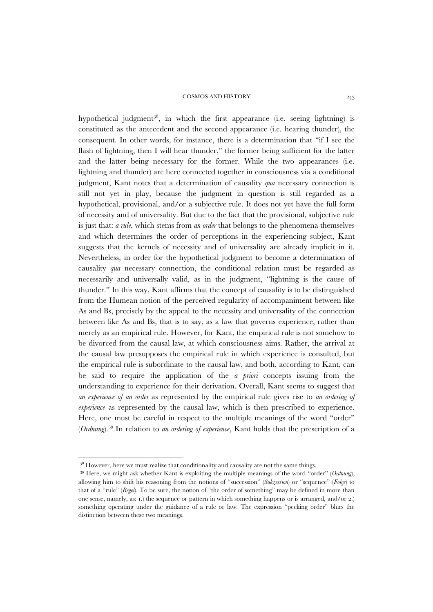hypothetical judgment<sup>38</sup>, in which the first appearance (i.e. seeing lightning) is constituted as the antecedent and the second appearance (i.e. hearing thunder), the consequent. In other words, for instance, there is a determination that "if I see the flash of lightning, then I will hear thunder," the former being sufficient for the latter and the latter being necessary for the former. While the two appearances (i.e. lightning and thunder) are here connected together in consciousness via a conditional judgment, Kant notes that a determination of causality *qua* necessary connection is still not yet in play, because the judgment in question is still regarded as a hypothetical, provisional, and/or a subjective rule. It does not yet have the full form of necessity and of universality. But due to the fact that the provisional, subjective rule is just that: *a rule*, which stems from *an order* that belongs to the phenomena themselves and which determines the order of perceptions in the experiencing subject, Kant suggests that the kernels of necessity and of universality are already implicit in it. Nevertheless, in order for the hypothetical judgment to become a determination of causality *qua* necessary connection, the conditional relation must be regarded as necessarily and universally valid, as in the judgment, "lightning is the cause of thunder." In this way, Kant affirms that the concept of causality is to be distinguished from the Humean notion of the perceived regularity of accompaniment between like As and Bs, precisely by the appeal to the necessity and universality of the connection between like As and Bs, that is to say, as a law that governs experience, rather than merely as an empirical rule. However, for Kant, the empirical rule is not somehow to be divorced from the causal law, at which consciousness aims. Rather, the arrival at the causal law presupposes the empirical rule in which experience is consulted, but the empirical rule is subordinate to the causal law, and both, according to Kant, can be said to require the application of the *a priori* concepts issuing from the understanding to experience for their derivation. Overall, Kant seems to suggest that *an experience of an order* as represented by the empirical rule gives rise to *an ordering of experience* as represented by the causal law, which is then prescribed to experience. Here, one must be careful in respect to the multiple meanings of the word "order" (*Ordnung*).[39](#page-16-1) In relation to *an ordering of experience*, Kant holds that the prescription of a

<sup>&</sup>lt;sup>38</sup> However, here we must realize that conditionality and causality are not the same things.

<span id="page-16-1"></span><span id="page-16-0"></span><sup>39</sup> Here, we might ask whether Kant is exploiting the multiple meanings of the word "order" (*Ordnung*), allowing him to shift his reasoning from the notions of "succession" (*Sukzession*) or "sequence" (*Folge*) to that of a "rule" (*Regel*). To be sure, the notion of "the order of something" may be defined in more than one sense, namely, as: 1.) the sequence or pattern in which something happens or is arranged, and/or 2.) something operating under the guidance of a rule or law. The expression "pecking order" blurs the distinction between these two meanings.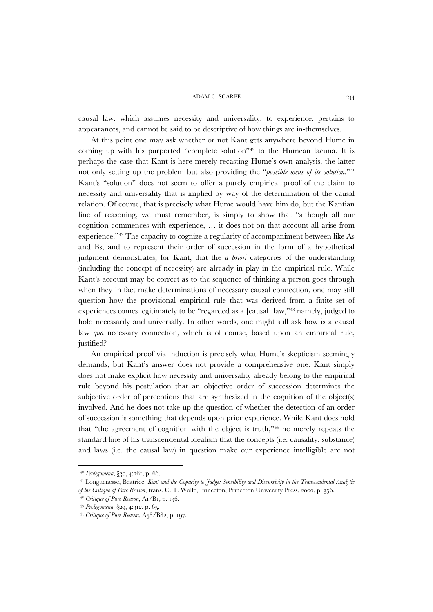causal law, which assumes necessity and universality, to experience, pertains to appearances, and cannot be said to be descriptive of how things are in-themselves.

At this point one may ask whether or not Kant gets anywhere beyond Hume in coming up with his purported "complete solution"<sup>[40](#page-17-0)</sup> to the Humean lacuna. It is perhaps the case that Kant is here merely recasting Hume's own analysis, the latter not only setting up the problem but also providing the "*possible locus of its solution.*"[41](#page-17-1) Kant's "solution" does not seem to offer a purely empirical proof of the claim to necessity and universality that is implied by way of the determination of the causal relation. Of course, that is precisely what Hume would have him do, but the Kantian line of reasoning, we must remember, is simply to show that "although all our cognition commences with experience, … it does not on that account all arise from experience."[42](#page-17-2) The capacity to cognize a regularity of accompaniment between like As and Bs, and to represent their order of succession in the form of a hypothetical judgment demonstrates, for Kant, that the *a priori* categories of the understanding (including the concept of necessity) are already in play in the empirical rule. While Kant's account may be correct as to the sequence of thinking a person goes through when they in fact make determinations of necessary causal connection, one may still question how the provisional empirical rule that was derived from a finite set of experiences comes legitimately to be "regarded as a [causal] law,"<sup>[43](#page-17-3)</sup> namely, judged to hold necessarily and universally. In other words, one might still ask how is a causal law *qua* necessary connection, which is of course, based upon an empirical rule, justified?

An empirical proof via induction is precisely what Hume's skepticism seemingly demands, but Kant's answer does not provide a comprehensive one. Kant simply does not make explicit how necessity and universality already belong to the empirical rule beyond his postulation that an objective order of succession determines the subjective order of perceptions that are synthesized in the cognition of the object(s) involved. And he does not take up the question of whether the detection of an order of succession is something that depends upon prior experience. While Kant does hold that "the agreement of cognition with the object is truth," [44](#page-17-4) he merely repeats the standard line of his transcendental idealism that the concepts (i.e. causality, substance) and laws (i.e. the causal law) in question make our experience intelligible are not

<sup>40</sup> *Prolegomena*, §30, 4:261, p. 66.

<span id="page-17-2"></span><span id="page-17-1"></span><span id="page-17-0"></span><sup>41</sup> Longuenesse, Beatrice, *Kant and the Capacity to Judge: Sensibility and Discursivity in the Transcendental Analytic of the Critique of Pure Reason*, trans. C. T. Wolfe, Princeton, Princeton University Press, 2000, p. 356.

<sup>42</sup> *Critique of Pure Reason*, A1/B1, p. 136.

<span id="page-17-4"></span><span id="page-17-3"></span><sup>43</sup> *Prolegomena*, §29, 4:312, p. 65.

<sup>44</sup> *Critique of Pure Reason*, A58/B82, p. 197.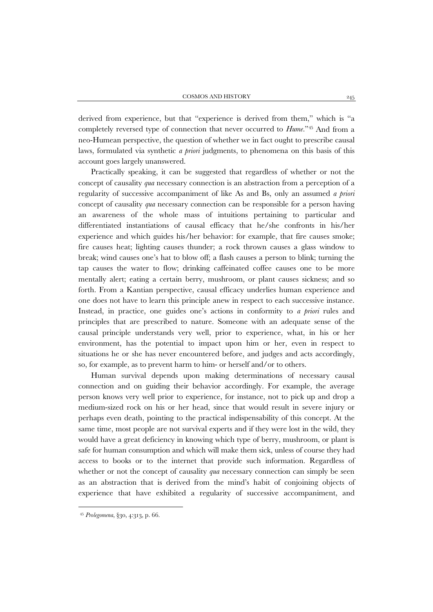derived from experience, but that "experience is derived from them," which is "a completely reversed type of connection that never occurred to *Hume*.["45](#page-18-0) And from a neo-Humean perspective, the question of whether we in fact ought to prescribe causal laws, formulated via synthetic *a priori* judgments, to phenomena on this basis of this account goes largely unanswered.

Practically speaking, it can be suggested that regardless of whether or not the concept of causality *qua* necessary connection is an abstraction from a perception of a regularity of successive accompaniment of like As and Bs, only an assumed *a priori* concept of causality *qua* necessary connection can be responsible for a person having an awareness of the whole mass of intuitions pertaining to particular and differentiated instantiations of causal efficacy that he/she confronts in his/her experience and which guides his/her behavior: for example, that fire causes smoke; fire causes heat; lighting causes thunder; a rock thrown causes a glass window to break; wind causes one's hat to blow off; a flash causes a person to blink; turning the tap causes the water to flow; drinking caffeinated coffee causes one to be more mentally alert; eating a certain berry, mushroom, or plant causes sickness; and so forth. From a Kantian perspective, causal efficacy underlies human experience and one does not have to learn this principle anew in respect to each successive instance. Instead, in practice, one guides one's actions in conformity to *a priori* rules and principles that are prescribed to nature. Someone with an adequate sense of the causal principle understands very well, prior to experience, what, in his or her environment, has the potential to impact upon him or her, even in respect to situations he or she has never encountered before, and judges and acts accordingly, so, for example, as to prevent harm to him- or herself and/or to others.

Human survival depends upon making determinations of necessary causal connection and on guiding their behavior accordingly. For example, the average person knows very well prior to experience, for instance, not to pick up and drop a medium-sized rock on his or her head, since that would result in severe injury or perhaps even death, pointing to the practical indispensability of this concept. At the same time, most people are not survival experts and if they were lost in the wild, they would have a great deficiency in knowing which type of berry, mushroom, or plant is safe for human consumption and which will make them sick, unless of course they had access to books or to the internet that provide such information. Regardless of whether or not the concept of causality *qua* necessary connection can simply be seen as an abstraction that is derived from the mind's habit of conjoining objects of experience that have exhibited a regularity of successive accompaniment, and

<span id="page-18-0"></span><sup>45</sup> *Prolegomena*, §30, 4:313, p. 66.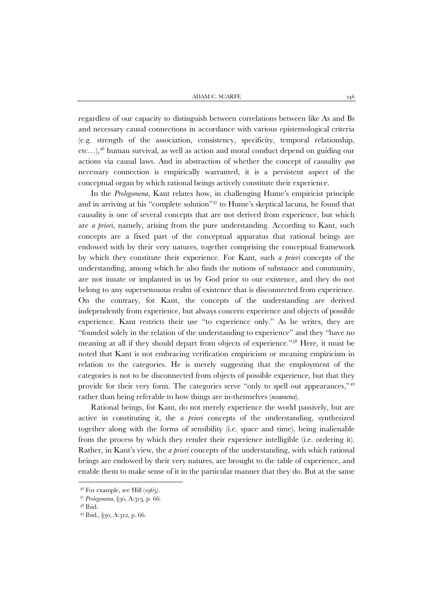regardless of our capacity to distinguish between correlations between like As and Bs and necessary causal connections in accordance with various epistemological criteria (e.g. strength of the association, consistency, specificity, temporal relationship, etc...),<sup>[46](#page-19-0)</sup> human survival, as well as action and moral conduct depend on guiding our actions via causal laws. And in abstraction of whether the concept of causality *qua* necessary connection is empirically warranted, it is a persistent aspect of the conceptual organ by which rational beings actively constitute their experience.

In the *Prolegomena*, Kant relates how, in challenging Hume's empiricist principle and in arriving at his "complete solution" [47](#page-19-1) to Hume's skeptical lacuna, he found that causality is one of several concepts that are not derived from experience, but which are *a priori*, namely, arising from the pure understanding. According to Kant, such concepts are a fixed part of the conceptual apparatus that rational beings are endowed with by their very natures, together comprising the conceptual framework by which they constitute their experience. For Kant, such *a priori* concepts of the understanding, among which he also finds the notions of substance and community, are not innate or implanted in us by God prior to our existence, and they do not belong to any supersensuous realm of existence that is disconnected from experience. On the contrary, for Kant, the concepts of the understanding are derived independently from experience, but always concern experience and objects of possible experience. Kant restricts their use "to experience only." As he writes, they are "founded solely in the relation of the understanding to experience" and they "have no meaning at all if they should depart from objects of experience."[48](#page-19-2) Here, it must be noted that Kant is not embracing verification empiricism or meaning empiricism in relation to the categories. He is merely suggesting that the employment of the categories is not to be disconnected from objects of possible experience, but that they provide for their very form. The categories serve "only to spell out appearances,"[49](#page-19-3) rather than being referable to how things are in-themselves (*noumena*).

Rational beings, for Kant, do not merely experience the world passively, but are active in constituting it, the *a priori* concepts of the understanding, synthesized together along with the forms of sensibility (i.e. space and time), being inalienable from the process by which they render their experience intelligible (i.e. ordering it). Rather, in Kant's view, the *a priori* concepts of the understanding, with which rational beings are endowed by their very natures, are brought to the table of experience, and enable them to make sense of it in the particular manner that they do. But at the same

<span id="page-19-0"></span> $4^6$  For example, see Hill  $(1965)$ .

<span id="page-19-1"></span><sup>47</sup> *Prolegomena*, §30, A:313, p. 66.

<span id="page-19-2"></span> $48$  Ibid.

<span id="page-19-3"></span><sup>49</sup> Ibid., §30, A:312, p. 66.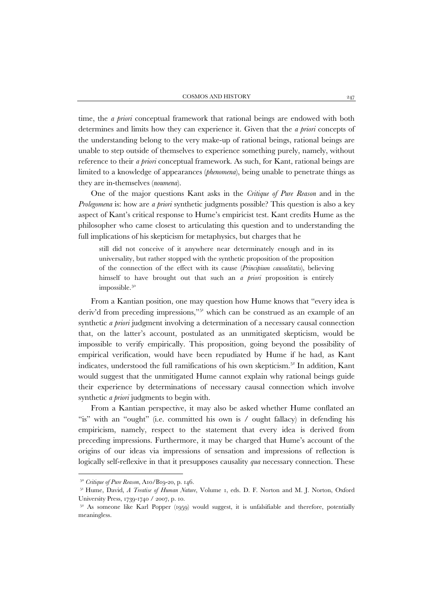time, the *a priori* conceptual framework that rational beings are endowed with both determines and limits how they can experience it. Given that the *a priori* concepts of the understanding belong to the very make-up of rational beings, rational beings are unable to step outside of themselves to experience something purely, namely, without reference to their *a priori* conceptual framework. As such, for Kant, rational beings are limited to a knowledge of appearances (*phenomena*), being unable to penetrate things as they are in-themselves (*noumena*).

One of the major questions Kant asks in the *Critique of Pure Reason* and in the *Prolegomena* is: how are *a priori* synthetic judgments possible? This question is also a key aspect of Kant's critical response to Hume's empiricist test. Kant credits Hume as the philosopher who came closest to articulating this question and to understanding the full implications of his skepticism for metaphysics, but charges that he

still did not conceive of it anywhere near determinately enough and in its universality, but rather stopped with the synthetic proposition of the proposition of the connection of the effect with its cause (*Principium causalitatis*), believing himself to have brought out that such an *a priori* proposition is entirely impossible.<sup>[50](#page-20-0)</sup>

From a Kantian position, one may question how Hume knows that "every idea is deriv'd from preceding impressions,"[51](#page-20-1) which can be construed as an example of an synthetic *a priori* judgment involving a determination of a necessary causal connection that, on the latter's account, postulated as an unmitigated skepticism, would be impossible to verify empirically. This proposition, going beyond the possibility of empirical verification, would have been repudiated by Hume if he had, as Kant indicates, understood the full ramifications of his own skepticism.<sup>[52](#page-20-2)</sup> In addition, Kant would suggest that the unmitigated Hume cannot explain why rational beings guide their experience by determinations of necessary causal connection which involve synthetic *a priori* judgments to begin with.

From a Kantian perspective, it may also be asked whether Hume conflated an "is" with an "ought" (i.e. committed his own is / ought fallacy) in defending his empiricism, namely, respect to the statement that every idea is derived from preceding impressions. Furthermore, it may be charged that Hume's account of the origins of our ideas via impressions of sensation and impressions of reflection is logically self-reflexive in that it presupposes causality *qua* necessary connection. These

<sup>50</sup> *Critique of Pure Reason*, A10/B19-20, p. 146.

<span id="page-20-1"></span><span id="page-20-0"></span><sup>51</sup> Hume, David, *A Treatise of Human Nature*, Volume 1, eds. D. F. Norton and M. J. Norton, Oxford University Press, 1739-1740 / 2007, p. 10.

<span id="page-20-2"></span><sup>&</sup>lt;sup>52</sup> As someone like Karl Popper (1959) would suggest, it is unfalsifiable and therefore, potentially meaningless.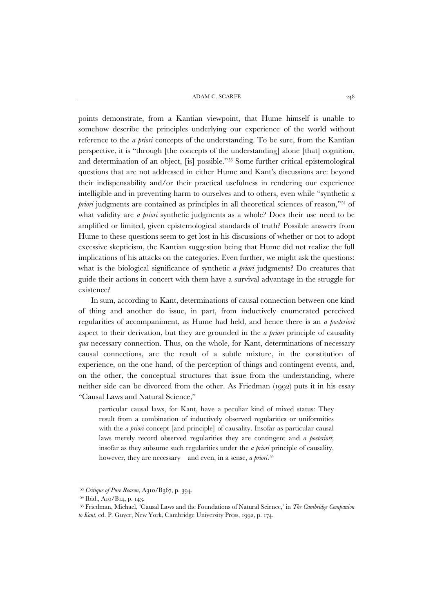points demonstrate, from a Kantian viewpoint, that Hume himself is unable to somehow describe the principles underlying our experience of the world without reference to the *a priori* concepts of the understanding. To be sure, from the Kantian perspective, it is "through [the concepts of the understanding] alone [that] cognition, and determination of an object, [is] possible."[53](#page-21-0) Some further critical epistemological questions that are not addressed in either Hume and Kant's discussions are: beyond their indispensability and/or their practical usefulness in rendering our experience intelligible and in preventing harm to ourselves and to others, even while "synthetic *a*  priori judgments are contained as principles in all theoretical sciences of reason,"<sup>[54](#page-21-1)</sup> of what validity are *a priori* synthetic judgments as a whole? Does their use need to be amplified or limited, given epistemological standards of truth? Possible answers from Hume to these questions seem to get lost in his discussions of whether or not to adopt excessive skepticism, the Kantian suggestion being that Hume did not realize the full implications of his attacks on the categories. Even further, we might ask the questions: what is the biological significance of synthetic *a priori* judgments? Do creatures that guide their actions in concert with them have a survival advantage in the struggle for existence?

In sum, according to Kant, determinations of causal connection between one kind of thing and another do issue, in part, from inductively enumerated perceived regularities of accompaniment, as Hume had held, and hence there is an *a posteriori* aspect to their derivation, but they are grounded in the *a priori* principle of causality *qua* necessary connection. Thus, on the whole, for Kant, determinations of necessary causal connections, are the result of a subtle mixture, in the constitution of experience, on the one hand, of the perception of things and contingent events, and, on the other, the conceptual structures that issue from the understanding, where neither side can be divorced from the other. As Friedman (1992) puts it in his essay "Causal Laws and Natural Science,"

particular causal laws, for Kant, have a peculiar kind of mixed status: They result from a combination of inductively observed regularities or uniformities with the *a priori* concept [and principle] of causality. Insofar as particular causal laws merely record observed regularities they are contingent and *a posteriori*; insofar as they subsume such regularities under the *a priori* principle of causality, however, they are necessary—and even, in a sense, *a priori*. [55](#page-21-2)

<span id="page-21-0"></span><sup>53</sup> *Critique of Pure Reason*, A310/B367, p. 394.

<sup>54</sup> Ibid., A10/B14, p. 143.

<span id="page-21-2"></span><span id="page-21-1"></span><sup>55</sup> Friedman, Michael, 'Causal Laws and the Foundations of Natural Science,' in *The Cambridge Companion to Kant,* ed. P. Guyer, New York, Cambridge University Press, 1992, p. 174.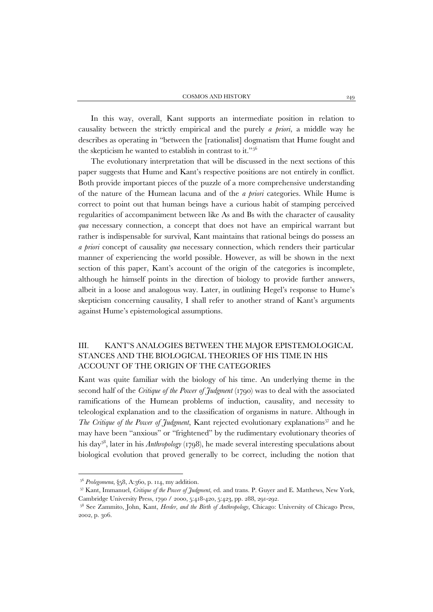In this way, overall, Kant supports an intermediate position in relation to causality between the strictly empirical and the purely *a priori*, a middle way he describes as operating in "between the [rationalist] dogmatism that Hume fought and the skepticism he wanted to establish in contrast to it.["56](#page-22-0)

The evolutionary interpretation that will be discussed in the next sections of this paper suggests that Hume and Kant's respective positions are not entirely in conflict. Both provide important pieces of the puzzle of a more comprehensive understanding of the nature of the Humean lacuna and of the *a priori* categories. While Hume is correct to point out that human beings have a curious habit of stamping perceived regularities of accompaniment between like As and Bs with the character of causality *qua* necessary connection, a concept that does not have an empirical warrant but rather is indispensable for survival, Kant maintains that rational beings do possess an *a priori* concept of causality *qua* necessary connection, which renders their particular manner of experiencing the world possible. However, as will be shown in the next section of this paper, Kant's account of the origin of the categories is incomplete, although he himself points in the direction of biology to provide further answers, albeit in a loose and analogous way. Later, in outlining Hegel's response to Hume's skepticism concerning causality, I shall refer to another strand of Kant's arguments against Hume's epistemological assumptions.

# III. KANT'S ANALOGIES BETWEEN THE MAJOR EPISTEMOLOGICAL STANCES AND THE BIOLOGICAL THEORIES OF HIS TIME IN HIS ACCOUNT OF THE ORIGIN OF THE CATEGORIES

Kant was quite familiar with the biology of his time. An underlying theme in the second half of the *Critique of the Power of Judgment* (1790) was to deal with the associated ramifications of the Humean problems of induction, causality, and necessity to teleological explanation and to the classification of organisms in nature. Although in *The Critique of the Power of Judgment*, Kant rejected evolutionary explanations<sup>[57](#page-22-1)</sup> and he may have been "anxious" or "frightened" by the rudimentary evolutionary theories of his day[58](#page-22-2) , later in his *Anthropology* (1798), he made several interesting speculations about biological evolution that proved generally to be correct, including the notion that

<sup>56</sup> *Prolegomena*, §58, A:360, p. 114, my addition.

<span id="page-22-1"></span><span id="page-22-0"></span><sup>57</sup> Kant, Immanuel, *Critique of the Power of Judgment*, ed. and trans. P. Guyer and E. Matthews, New York, Cambridge University Press, 1790 / 2000, 5:418-420, 5:423, pp. 288, 291-292.

<span id="page-22-2"></span><sup>58</sup> See Zammito, John, Kant, *Herder, and the Birth of Anthropology*, Chicago: University of Chicago Press, 2002, p. 306.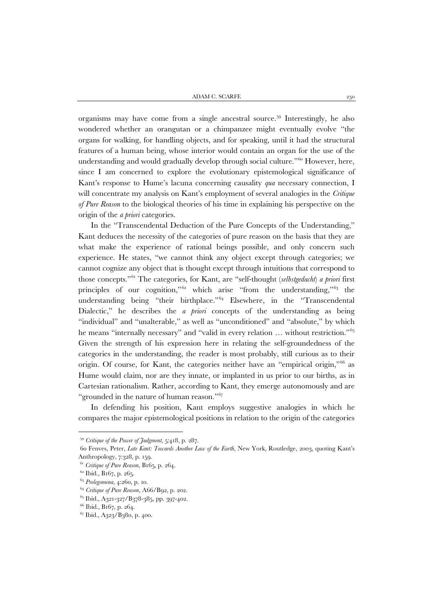organisms may have come from a single ancestral source.[59](#page-23-0) Interestingly, he also wondered whether an orangutan or a chimpanzee might eventually evolve "the organs for walking, for handling objects, and for speaking, until it had the structural features of a human being, whose interior would contain an organ for the use of the understanding and would gradually develop through social culture."[60](#page-23-1) However, here, since I am concerned to explore the evolutionary epistemological significance of Kant's response to Hume's lacuna concerning causality *qua* necessary connection, I will concentrate my analysis on Kant's employment of several analogies in the *Critique of Pure Reason* to the biological theories of his time in explaining his perspective on the origin of the *a priori* categories.

In the "Transcendental Deduction of the Pure Concepts of the Understanding," Kant deduces the necessity of the categories of pure reason on the basis that they are what make the experience of rational beings possible, and only concern such experience. He states, "we cannot think any object except through categories; we cannot cognize any object that is thought except through intuitions that correspond to those concepts." [61](#page-23-2) The categories, for Kant, are "self-thought (*selbstgedacht*) *a priori* first principles of our cognition,"<sup>[62](#page-23-3)</sup> which arise "from the understanding,"<sup>[63](#page-23-4)</sup> the understanding being "their birthplace."<sup>[64](#page-23-5)</sup> Elsewhere, in the "Transcendental Dialectic," he describes the *a priori* concepts of the understanding as being "individual" and "unalterable," as well as "unconditioned" and "absolute," by which he means "internally necessary" and "valid in every relation … without restriction."[65](#page-23-6) Given the strength of his expression here in relating the self-groundedness of the categories in the understanding, the reader is most probably, still curious as to their origin. Of course, for Kant, the categories neither have an "empirical origin,"<sup>[66](#page-23-7)</sup> as Hume would claim, nor are they innate, or implanted in us prior to our births, as in Cartesian rationalism. Rather, according to Kant, they emerge autonomously and are "grounded in the nature of human reason."[67](#page-23-8)

In defending his position, Kant employs suggestive analogies in which he compares the major epistemological positions in relation to the origin of the categories

<sup>59</sup> *Critique of the Power of Judgment*, 5:418, p. 287.

<span id="page-23-1"></span><span id="page-23-0"></span><sup>60</sup> Fenves, Peter, *Late Kant: Towards Another Law of the Earth*, New York, Routledge, 2003, quoting Kant's Anthropology, 7:328, p. 159.

<span id="page-23-2"></span><sup>61</sup> *Critique of Pure Reason*, B165, p. 264.

<sup>62</sup> Ibid., B167, p. 265.

<span id="page-23-5"></span><span id="page-23-4"></span><span id="page-23-3"></span><sup>63</sup> *Prolegomena*, 4:260, p. 10.

<sup>64</sup> *Critique of Pure Reason*, A66/B92, p. 202.

<span id="page-23-7"></span><span id="page-23-6"></span><sup>65</sup> Ibid., A321-327/B378-385, pp. 397-402.

<sup>66</sup> Ibid., B167, p. 264.

<span id="page-23-8"></span> $67$  Ibid., A323/B380, p. 400.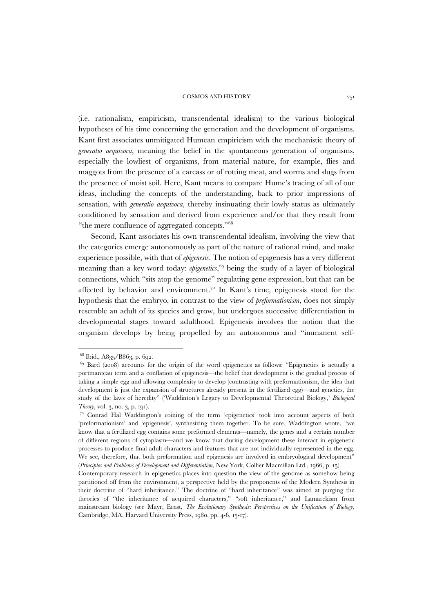(i.e. rationalism, empiricism, transcendental idealism) to the various biological hypotheses of his time concerning the generation and the development of organisms. Kant first associates unmitigated Humean empiricism with the mechanistic theory of *generatio aequivoca*, meaning the belief in the spontaneous generation of organisms, especially the lowliest of organisms, from material nature, for example, flies and maggots from the presence of a carcass or of rotting meat, and worms and slugs from the presence of moist soil. Here, Kant means to compare Hume's tracing of all of our ideas, including the concepts of the understanding, back to prior impressions of sensation, with *generatio aequivoca*, thereby insinuating their lowly status as ultimately conditioned by sensation and derived from experience and/or that they result from "the mere confluence of aggregated concepts."[68](#page-24-0)

Second, Kant associates his own transcendental idealism, involving the view that the categories emerge autonomously as part of the nature of rational mind, and make experience possible, with that of *epigenesis*. The notion of epigenesis has a very different meaning than a key word today: *epigenetics*, [69](#page-24-1) being the study of a layer of biological connections, which "sits atop the genome" regulating gene expression, but that can be affected by behavior and environment.<sup>[70](#page-24-2)</sup> In Kant's time, epigenesis stood for the hypothesis that the embryo, in contrast to the view of *preformationism*, does not simply resemble an adult of its species and grow, but undergoes successive differentiation in developmental stages toward adulthood. Epigenesis involves the notion that the organism develops by being propelled by an autonomous and "immanent self-

<sup>68</sup> Ibid., A835/B863, p. 692.

<span id="page-24-1"></span><span id="page-24-0"></span><sup>69</sup> Bard (2008) accounts for the origin of the word epigenetics as follows: "Epigenetics is actually a portmanteau term and a conflation of epigenesis—the belief that development is the gradual process of taking a simple egg and allowing complexity to develop (contrasting with preformationism, the idea that development is just the expansion of structures already present in the fertilized egg)—and genetics, the study of the laws of heredity" ('Waddinton's Legacy to Developmental Theoretical Biology,' *Biological Theory*, vol. 3, no. 3, p. 191).

<span id="page-24-2"></span><sup>70</sup> Conrad Hal Waddington's coining of the term 'epigenetics' took into account aspects of both 'preformationism' and 'epigenesis', synthesizing them together. To be sure, Waddington wrote, "we know that a fertilized egg contains some preformed elements—namely, the genes and a certain number of different regions of cytoplasm—and we know that during development these interact in epigenetic processes to produce final adult characters and features that are not individually represented in the egg. We see, therefore, that both preformation and epigenesis are involved in embryological development" (*Principles and Problems of Development and Differentiation*, New York, Collier Macmillan Ltd., 1966, p. 15).

Contemporary research in epigenetics places into question the view of the genome as somehow being partitioned off from the environment, a perspective held by the proponents of the Modern Synthesis in their doctrine of "hard inheritance." The doctrine of "hard inheritance" was aimed at purging the theories of "the inheritance of acquired characters," "soft inheritance," and Lamarckism from mainstream biology (see Mayr, Ernst, *The Evolutionary Synthesis: Perspectives on the Unification of Biology*, Cambridge, MA, Harvard University Press, 1980, pp. 4-6, 15-17).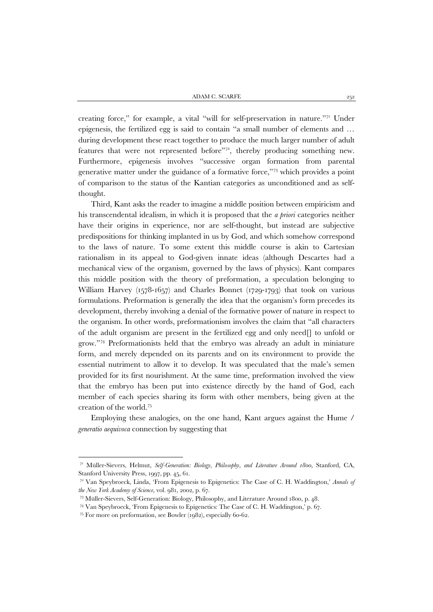ADAM C. SCARFE  $25^2$ 

creating force," for example, a vital "will for self-preservation in nature.["71](#page-25-0) Under epigenesis, the fertilized egg is said to contain "a small number of elements and … during development these react together to produce the much larger number of adult features that were not represented before"[72,](#page-25-1) thereby producing something new. Furthermore, epigenesis involves "successive organ formation from parental generative matter under the guidance of a formative force,"[73](#page-25-2) which provides a point of comparison to the status of the Kantian categories as unconditioned and as selfthought.

Third, Kant asks the reader to imagine a middle position between empiricism and his transcendental idealism, in which it is proposed that the *a priori* categories neither have their origins in experience, nor are self-thought, but instead are subjective predispositions for thinking implanted in us by God, and which somehow correspond to the laws of nature. To some extent this middle course is akin to Cartesian rationalism in its appeal to God-given innate ideas (although Descartes had a mechanical view of the organism, governed by the laws of physics). Kant compares this middle position with the theory of preformation, a speculation belonging to William Harvey (1578-1657) and Charles Bonnet (1729-1793) that took on various formulations. Preformation is generally the idea that the organism's form precedes its development, thereby involving a denial of the formative power of nature in respect to the organism. In other words, preformationism involves the claim that "all characters of the adult organism are present in the fertilized egg and only need[] to unfold or grow." [74](#page-25-3) Preformationists held that the embryo was already an adult in miniature form, and merely depended on its parents and on its environment to provide the essential nutriment to allow it to develop. It was speculated that the male's semen provided for its first nourishment. At the same time, preformation involved the view that the embryo has been put into existence directly by the hand of God, each member of each species sharing its form with other members, being given at the creation of the world.[75](#page-25-4)

Employing these analogies, on the one hand, Kant argues against the Hume / *generatio aequivoca* connection by suggesting that

<span id="page-25-0"></span><sup>71</sup> Müller-Sievers, Helmut, *Self-Generation: Biology, Philosophy, and Literature Around 1800*, Stanford, CA, Stanford University Press, 1997, pp. 45, 61.

<span id="page-25-1"></span><sup>72</sup> Van Speybroeck, Linda, 'From Epigenesis to Epigenetics: The Case of C. H. Waddington,' *Annals of the New York Academy of Science*, vol. 981, 2002, p. 67.

<span id="page-25-2"></span><sup>73</sup> Müller-Sievers, Self-Generation: Biology, Philosophy, and Literature Around 1800, p. 48.

<span id="page-25-3"></span><sup>74</sup> Van Speybroeck, 'From Epigenesis to Epigenetics: The Case of C. H. Waddington,' p. 67.

<span id="page-25-4"></span><sup>75</sup> For more on preformation, see Bowler (1982), especially 60-62.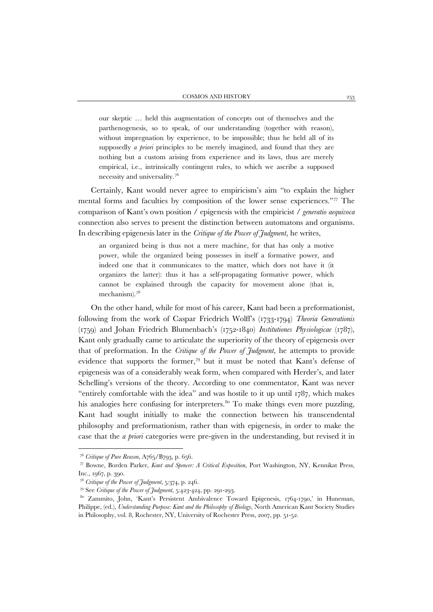our skeptic … held this augmentation of concepts out of themselves and the parthenogenesis, so to speak, of our understanding (together with reason), without impregnation by experience, to be impossible; thus he held all of its supposedly *a priori* principles to be merely imagined, and found that they are nothing but a custom arising from experience and its laws, thus are merely empirical, i.e., intrinsically contingent rules, to which we ascribe a supposed necessity and universality. [76](#page-26-0)

Certainly, Kant would never agree to empiricism's aim "to explain the higher mental forms and faculties by composition of the lower sense experiences."[77](#page-26-1) The comparison of Kant's own position / epigenesis with the empiricist / *generatio aequivoca* connection also serves to present the distinction between automatons and organisms. In describing epigenesis later in the *Critique of the Power of Judgment*, he writes,

an organized being is thus not a mere machine, for that has only a motive power, while the organized being possesses in itself a formative power, and indeed one that it communicates to the matter, which does not have it (it organizes the latter): thus it has a self-propagating formative power, which cannot be explained through the capacity for movement alone (that is, mechanism). [78](#page-26-2)

On the other hand, while for most of his career, Kant had been a preformationist, following from the work of Caspar Friedrich Wolff's (1733-1794) *Theoria Generationis* (1759) and Johan Friedrich Blumenbach's (1752-1840) *Institutiones Physiologicae* (1787), Kant only gradually came to articulate the superiority of the theory of epigenesis over that of preformation. In the *Critique of the Power of Judgment*, he attempts to provide evidence that supports the former,<sup>[79](#page-26-3)</sup> but it must be noted that Kant's defense of epigenesis was of a considerably weak form, when compared with Herder's, and later Schelling's versions of the theory. According to one commentator, Kant was never "entirely comfortable with the idea" and was hostile to it up until 1787, which makes his analogies here confusing for interpreters.<sup>80</sup> To make things even more puzzling, Kant had sought initially to make the connection between his transcendental philosophy and preformationism, rather than with epigenesis, in order to make the case that the *a priori* categories were pre-given in the understanding, but revised it in

<sup>76</sup> *Critique of Pure Reason*, A765/B793, p. 656.

<span id="page-26-1"></span><span id="page-26-0"></span><sup>77</sup> Bowne, Borden Parker, *Kant and Spencer: A Critical Exposition*, Port Washington, NY, Kennikat Press, Inc., 1967, p. 390.

<sup>78</sup> *Critique of the Power of Judgment*, 5:374, p. 246.

<span id="page-26-2"></span><sup>79</sup> See *Critique of the Power of Judgment*, 5:423-424, pp. 291-293.

<span id="page-26-4"></span><span id="page-26-3"></span><sup>80</sup> Zammito, John, 'Kant's Persistent Ambivalence Toward Epigenesis, 1764-1790,' in Huneman, Philippe, (ed.), *Understanding Purpose: Kant and the Philosophy of Biology*, North American Kant Society Studies in Philosophy, vol. 8, Rochester, NY, University of Rochester Press, 2007, pp. 51-52.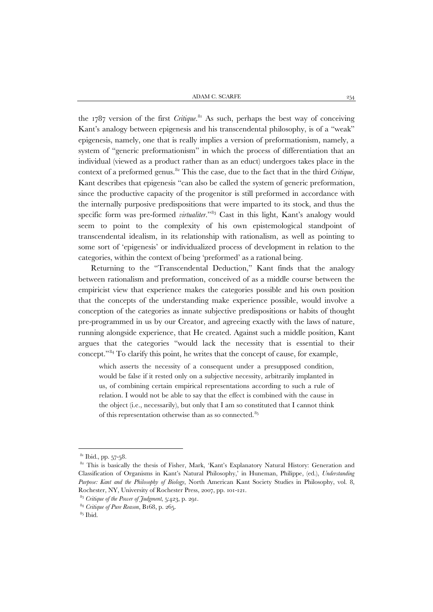the 1787 version of the first *Critique*. [81](#page-27-0) As such, perhaps the best way of conceiving Kant's analogy between epigenesis and his transcendental philosophy, is of a "weak" epigenesis, namely, one that is really implies a version of preformationism, namely, a system of "generic preformationism" in which the process of differentiation that an individual (viewed as a product rather than as an educt) undergoes takes place in the context of a preformed genus.<sup>[82](#page-27-1)</sup> This the case, due to the fact that in the third *Critique*, Kant describes that epigenesis "can also be called the system of generic preformation, since the productive capacity of the progenitor is still preformed in accordance with the internally purposive predispositions that were imparted to its stock, and thus the specific form was pre-formed *virtualiter*."[83](#page-27-2) Cast in this light, Kant's analogy would seem to point to the complexity of his own epistemological standpoint of transcendental idealism, in its relationship with rationalism, as well as pointing to some sort of 'epigenesis' or individualized process of development in relation to the categories, within the context of being 'preformed' as a rational being.

Returning to the "Transcendental Deduction," Kant finds that the analogy between rationalism and preformation, conceived of as a middle course between the empiricist view that experience makes the categories possible and his own position that the concepts of the understanding make experience possible, would involve a conception of the categories as innate subjective predispositions or habits of thought pre-programmed in us by our Creator, and agreeing exactly with the laws of nature, running alongside experience, that He created. Against such a middle position, Kant argues that the categories "would lack the necessity that is essential to their concept." [84](#page-27-3) To clarify this point, he writes that the concept of cause, for example,

which asserts the necessity of a consequent under a presupposed condition, would be false if it rested only on a subjective necessity, arbitrarily implanted in us, of combining certain empirical representations according to such a rule of relation. I would not be able to say that the effect is combined with the cause in the object (i.e., necessarily), but only that I am so constituted that I cannot think of this representation otherwise than as so connected. [85](#page-27-4)

 $81$  Ibid., pp. 57-58.

<span id="page-27-1"></span><span id="page-27-0"></span><sup>82</sup> This is basically the thesis of Fisher, Mark, 'Kant's Explanatory Natural History: Generation and Classification of Organisms in Kant's Natural Philosophy,' in Huneman, Philippe, (ed.), *Understanding Purpose: Kant and the Philosophy of Biology*, North American Kant Society Studies in Philosophy, vol. 8, Rochester, NY, University of Rochester Press, 2007, pp. 101-121.

<sup>83</sup> *Critique of the Power of Judgment*, 5:423, p. 291.

<span id="page-27-4"></span><span id="page-27-3"></span><span id="page-27-2"></span><sup>84</sup> *Critique of Pure Reason*, B168, p. 265.

 $85$  Ibid.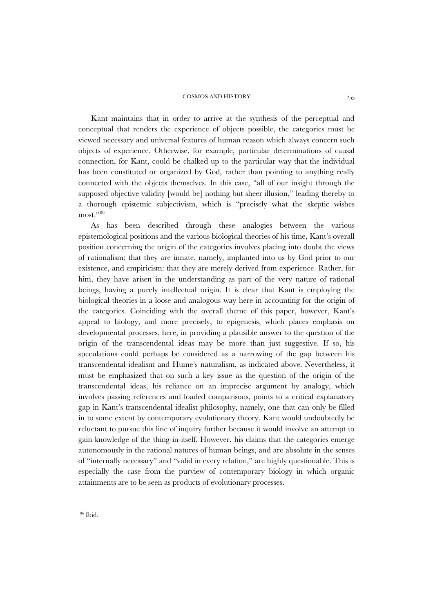Kant maintains that in order to arrive at the synthesis of the perceptual and conceptual that renders the experience of objects possible, the categories must be viewed necessary and universal features of human reason which always concern such objects of experience. Otherwise, for example, particular determinations of causal connection, for Kant, could be chalked up to the particular way that the individual has been constituted or organized by God, rather than pointing to anything really connected with the objects themselves. In this case, "all of our insight through the supposed objective validity [would be] nothing but sheer illusion," leading thereby to a thorough epistemic subjectivism, which is "precisely what the skeptic wishes most."<sup>[86](#page-28-0)</sup>

<span id="page-28-0"></span>As has been described through these analogies between the various epistemological positions and the various biological theories of his time, Kant's overall position concerning the origin of the categories involves placing into doubt the views of rationalism: that they are innate, namely, implanted into us by God prior to our existence, and empiricism: that they are merely derived from experience. Rather, for him, they have arisen in the understanding as part of the very nature of rational beings, having a purely intellectual origin. It is clear that Kant is employing the biological theories in a loose and analogous way here in accounting for the origin of the categories. Coinciding with the overall theme of this paper, however, Kant's appeal to biology, and more precisely, to epigenesis, which places emphasis on developmental processes, here, in providing a plausible answer to the question of the origin of the transcendental ideas may be more than just suggestive. If so, his speculations could perhaps be considered as a narrowing of the gap between his transcendental idealism and Hume's naturalism, as indicated above. Nevertheless, it must be emphasized that on such a key issue as the question of the origin of the transcendental ideas, his reliance on an imprecise argument by analogy, which involves passing references and loaded comparisons, points to a critical explanatory gap in Kant's transcendental idealist philosophy, namely, one that can only be filled in to some extent by contemporary evolutionary theory. Kant would undoubtedly be reluctant to pursue this line of inquiry further because it would involve an attempt to gain knowledge of the thing-in-itself. However, his claims that the categories emerge autonomously in the rational natures of human beings, and are absolute in the senses of "internally necessary" and "valid in every relation," are highly questionable. This is especially the case from the purview of contemporary biology in which organic attainments are to be seen as products of evolutionary processes.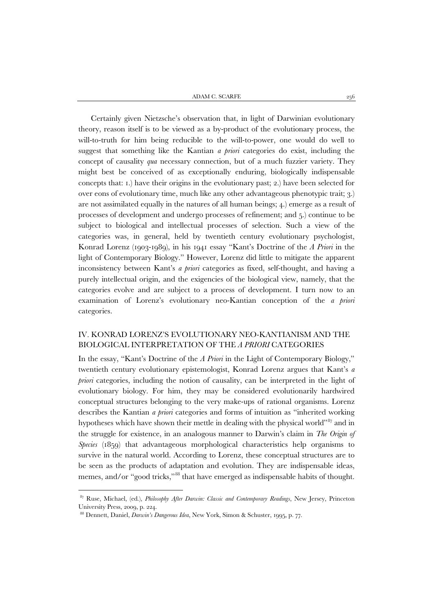ADAM C. SCARFE  $256$ 

Certainly given Nietzsche's observation that, in light of Darwinian evolutionary theory, reason itself is to be viewed as a by-product of the evolutionary process, the will-to-truth for him being reducible to the will-to-power, one would do well to suggest that something like the Kantian *a priori* categories do exist, including the concept of causality *qua* necessary connection, but of a much fuzzier variety. They might best be conceived of as exceptionally enduring, biologically indispensable concepts that: 1.) have their origins in the evolutionary past; 2.) have been selected for over eons of evolutionary time, much like any other advantageous phenotypic trait; 3.) are not assimilated equally in the natures of all human beings; 4.) emerge as a result of processes of development and undergo processes of refinement; and 5.) continue to be subject to biological and intellectual processes of selection. Such a view of the categories was, in general, held by twentieth century evolutionary psychologist, Konrad Lorenz (1903-1989), in his 1941 essay "Kant's Doctrine of the *A Priori* in the light of Contemporary Biology." However, Lorenz did little to mitigate the apparent inconsistency between Kant's *a priori* categories as fixed, self-thought, and having a purely intellectual origin, and the exigencies of the biological view, namely, that the categories evolve and are subject to a process of development. I turn now to an examination of Lorenz's evolutionary neo-Kantian conception of the *a priori* categories.

#### IV. KONRAD LORENZ'S EVOLUTIONARY NEO-KANTIANISM AND THE BIOLOGICAL INTERPRETATION OF THE *A PRIORI* CATEGORIES

In the essay, "Kant's Doctrine of the *A Priori* in the Light of Contemporary Biology," twentieth century evolutionary epistemologist, Konrad Lorenz argues that Kant's *a priori* categories, including the notion of causality, can be interpreted in the light of evolutionary biology. For him, they may be considered evolutionarily hardwired conceptual structures belonging to the very make-ups of rational organisms. Lorenz describes the Kantian *a priori* categories and forms of intuition as "inherited working hypotheses which have shown their mettle in dealing with the physical world"<sup>[87](#page-29-0)</sup> and in the struggle for existence, in an analogous manner to Darwin's claim in *The Origin of Species* (1859) that advantageous morphological characteristics help organisms to survive in the natural world. According to Lorenz, these conceptual structures are to be seen as the products of adaptation and evolution. They are indispensable ideas, memes, and/or "good tricks,"<sup>[88](#page-29-1)</sup> that have emerged as indispensable habits of thought.

<span id="page-29-0"></span><sup>87</sup> Ruse, Michael, (ed.), *Philosophy After Darwin: Classic and Contemporary Readings*, New Jersey, Princeton University Press, 2009, p. 224.

<span id="page-29-1"></span><sup>88</sup> Dennett, Daniel, *Darwin's Dangerous Idea*, New York, Simon & Schuster, 1995, p. 77.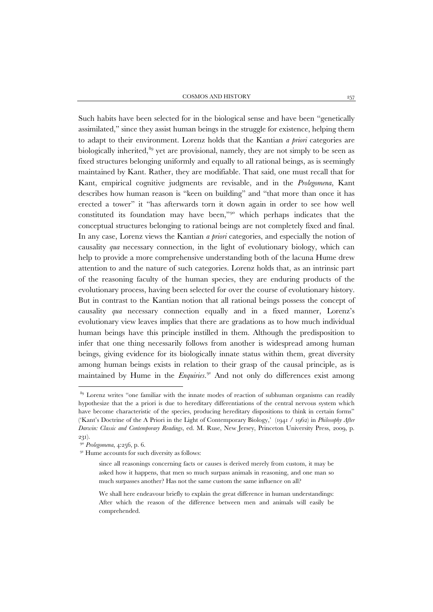Such habits have been selected for in the biological sense and have been "genetically assimilated," since they assist human beings in the struggle for existence, helping them to adapt to their environment. Lorenz holds that the Kantian *a priori* categories are biologically inherited,<sup>[89](#page-30-0)</sup> yet are provisional, namely, they are not simply to be seen as fixed structures belonging uniformly and equally to all rational beings, as is seemingly maintained by Kant. Rather, they are modifiable. That said, one must recall that for Kant, empirical cognitive judgments are revisable, and in the *Prolegomena*, Kant describes how human reason is "keen on building" and "that more than once it has erected a tower" it "has afterwards torn it down again in order to see how well constituted its foundation may have been,["90](#page-30-1) which perhaps indicates that the conceptual structures belonging to rational beings are not completely fixed and final. In any case, Lorenz views the Kantian *a priori* categories, and especially the notion of causality *qua* necessary connection, in the light of evolutionary biology, which can help to provide a more comprehensive understanding both of the lacuna Hume drew attention to and the nature of such categories. Lorenz holds that, as an intrinsic part of the reasoning faculty of the human species, they are enduring products of the evolutionary process, having been selected for over the course of evolutionary history. But in contrast to the Kantian notion that all rational beings possess the concept of causality *qua* necessary connection equally and in a fixed manner, Lorenz's evolutionary view leaves implies that there are gradations as to how much individual human beings have this principle instilled in them. Although the predisposition to infer that one thing necessarily follows from another is widespread among human beings, giving evidence for its biologically innate status within them, great diversity among human beings exists in relation to their grasp of the causal principle, as is maintained by Hume in the *Enquiries*. [91](#page-30-2) And not only do differences exist among

<span id="page-30-0"></span><sup>&</sup>lt;sup>89</sup> Lorenz writes "one familiar with the innate modes of reaction of subhuman organisms can readily hypothesize that the a priori is due to hereditary differentiations of the central nervous system which have become characteristic of the species, producing hereditary dispositions to think in certain forms" ('Kant's Doctrine of the A Priori in the Light of Contemporary Biology,' (1941 / 1962) in *Philosophy After Darwin: Classic and Contemporary Readings*, ed. M. Ruse, New Jersey, Princeton University Press, 2009, p. 231).

<span id="page-30-1"></span><sup>90</sup> *Prolegomena*, 4:256, p. 6.

<span id="page-30-2"></span><sup>&</sup>lt;sup>91</sup> Hume accounts for such diversity as follows:

since all reasonings concerning facts or causes is derived merely from custom, it may be asked how it happens, that men so much surpass animals in reasoning, and one man so much surpasses another? Has not the same custom the same influence on all?

We shall here endeavour briefly to explain the great difference in human understandings: After which the reason of the difference between men and animals will easily be comprehended.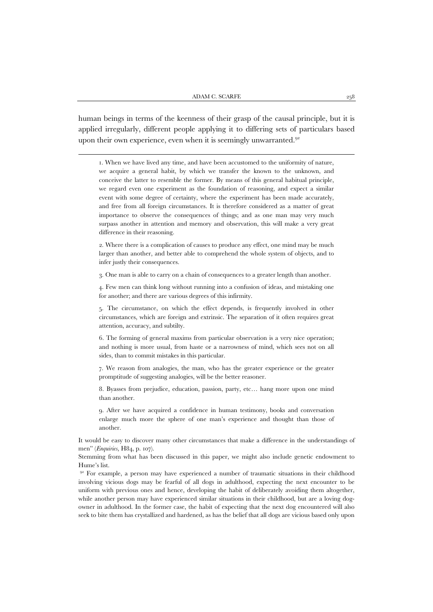human beings in terms of the keenness of their grasp of the causal principle, but it is applied irregularly, different people applying it to differing sets of particulars based upon their own experience, even when it is seemingly unwarranted.<sup>[92](#page-31-0)</sup>

j

1. When we have lived any time, and have been accustomed to the uniformity of nature, we acquire a general habit, by which we transfer the known to the unknown, and conceive the latter to resemble the former. By means of this general habitual principle, we regard even one experiment as the foundation of reasoning, and expect a similar event with some degree of certainty, where the experiment has been made accurately, and free from all foreign circumstances. It is therefore considered as a matter of great importance to observe the consequences of things; and as one man may very much surpass another in attention and memory and observation, this will make a very great difference in their reasoning.

2. Where there is a complication of causes to produce any effect, one mind may be much larger than another, and better able to comprehend the whole system of objects, and to infer justly their consequences.

3. One man is able to carry on a chain of consequences to a greater length than another.

4. Few men can think long without running into a confusion of ideas, and mistaking one for another; and there are various degrees of this infirmity.

5. The circumstance, on which the effect depends, is frequently involved in other circumstances, which are foreign and extrinsic. The separation of it often requires great attention, accuracy, and subtilty.

6. The forming of general maxims from particular observation is a very nice operation; and nothing is more usual, from haste or a narrowness of mind, which sees not on all sides, than to commit mistakes in this particular.

7. We reason from analogies, the man, who has the greater experience or the greater promptitude of suggesting analogies, will be the better reasoner.

8. Byasses from prejudice, education, passion, party, etc… hang more upon one mind than another.

9. After we have acquired a confidence in human testimony, books and conversation enlarge much more the sphere of one man's experience and thought than those of another.

It would be easy to discover many other circumstances that make a difference in the understandings of men" (*Enquiries*, H84, p. 107).

Stemming from what has been discussed in this paper, we might also include genetic endowment to Hume's list.

<span id="page-31-0"></span>92 For example, a person may have experienced a number of traumatic situations in their childhood involving vicious dogs may be fearful of all dogs in adulthood, expecting the next encounter to be uniform with previous ones and hence, developing the habit of deliberately avoiding them altogether, while another person may have experienced similar situations in their childhood, but are a loving dogowner in adulthood. In the former case, the habit of expecting that the next dog encountered will also seek to bite them has crystallized and hardened, as has the belief that all dogs are vicious based only upon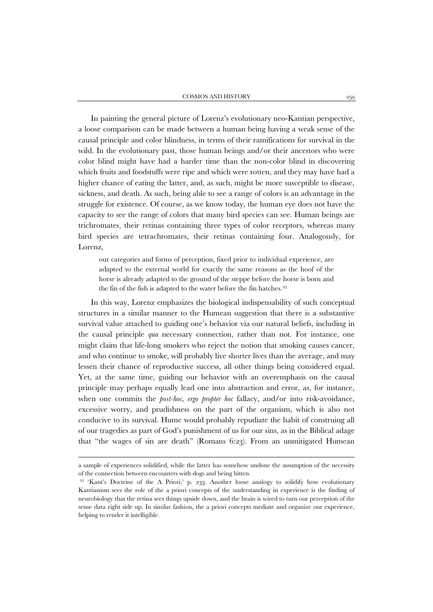In painting the general picture of Lorenz's evolutionary neo-Kantian perspective, a loose comparison can be made between a human being having a weak sense of the causal principle and color blindness, in terms of their ramifications for survival in the wild. In the evolutionary past, those human beings and/or their ancestors who were color blind might have had a harder time than the non-color blind in discovering which fruits and foodstuffs were ripe and which were rotten, and they may have had a higher chance of eating the latter, and, as such, might be more susceptible to disease, sickness, and death. As such, being able to see a range of colors is an advantage in the struggle for existence. Of course, as we know today, the human eye does not have the capacity to see the range of colors that many bird species can see. Human beings are trichromates, their retinas containing three types of color receptors, whereas many bird species are tetrachromates, their retinas containing four. Analogously, for Lorenz,

our categories and forms of perception, fixed prior to individual experience, are adapted to the external world for exactly the same reasons as the hoof of the horse is already adapted to the ground of the steppe before the horse is born and the fin of the fish is adapted to the water before the fin hatches.<sup>[93](#page-32-0)</sup>

In this way, Lorenz emphasizes the biological indispensability of such conceptual structures in a similar manner to the Humean suggestion that there is a substantive survival value attached to guiding one's behavior via our natural beliefs, including in the causal principle *qua* necessary connection, rather than not. For instance, one might claim that life-long smokers who reject the notion that smoking causes cancer, and who continue to smoke, will probably live shorter lives than the average, and may lessen their chance of reproductive success, all other things being considered equal. Yet, at the same time, guiding our behavior with an overemphasis on the causal principle may perhaps equally lead one into abstraction and error, as, for instance, when one commits the *post-hoc*, *ergo propter hoc* fallacy, and/or into risk-avoidance, excessive worry, and prudishness on the part of the organism, which is also not conducive to its survival. Hume would probably repudiate the habit of construing all of our tragedies as part of God's punishment of us for our sins, as in the Biblical adage that "the wages of sin are death" (Romans 6:23). From an unmitigated Humean

a sample of experiences solidified, while the latter has somehow undone the assumption of the necessity of the connection between encounters with dogs and being bitten.

<span id="page-32-0"></span><sup>93</sup> 'Kant's Doctrine of the A Priori,' p. 233. Another loose analogy to solidify how evolutionary Kantianism sees the role of the a priori concepts of the understanding in experience is the finding of neurobiology that the retina sees things upside down, and the brain is wired to turn our perception of the sense data right side up. In similar fashion, the a priori concepts mediate and organize our experience, helping to render it intelligible.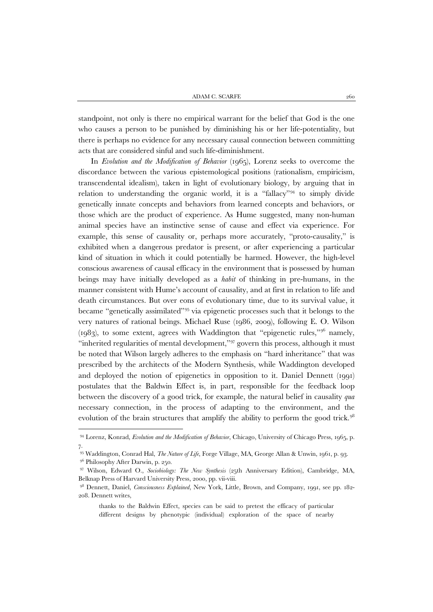standpoint, not only is there no empirical warrant for the belief that God is the one who causes a person to be punished by diminishing his or her life-potentiality, but there is perhaps no evidence for any necessary causal connection between committing acts that are considered sinful and such life-diminishment.

In *Evolution and the Modification of Behavior* (1965), Lorenz seeks to overcome the discordance between the various epistemological positions (rationalism, empiricism, transcendental idealism), taken in light of evolutionary biology, by arguing that in relation to understanding the organic world, it is a "fallacy"[94](#page-33-0) to simply divide genetically innate concepts and behaviors from learned concepts and behaviors, or those which are the product of experience. As Hume suggested, many non-human animal species have an instinctive sense of cause and effect via experience. For example, this sense of causality or, perhaps more accurately, "proto-causality," is exhibited when a dangerous predator is present, or after experiencing a particular kind of situation in which it could potentially be harmed. However, the high-level conscious awareness of causal efficacy in the environment that is possessed by human beings may have initially developed as a *habit* of thinking in pre-humans, in the manner consistent with Hume's account of causality, and at first in relation to life and death circumstances. But over eons of evolutionary time, due to its survival value, it became "genetically assimilated"[95](#page-33-1) via epigenetic processes such that it belongs to the very natures of rational beings. Michael Ruse (1986, 2009), following E. O. Wilson (1983), to some extent, agrees with Waddington that "epigenetic rules,"[96](#page-33-2) namely, "inherited regularities of mental development,"<sup>[97](#page-33-3)</sup> govern this process, although it must be noted that Wilson largely adheres to the emphasis on "hard inheritance" that was prescribed by the architects of the Modern Synthesis, while Waddington developed and deployed the notion of epigenetics in opposition to it. Daniel Dennett (1991) postulates that the Baldwin Effect is, in part, responsible for the feedback loop between the discovery of a good trick, for example, the natural belief in causality *qua* necessary connection, in the process of adapting to the environment, and the evolution of the brain structures that amplify the ability to perform the good trick.<sup>[98](#page-33-4)</sup>

<span id="page-33-0"></span><sup>94</sup> Lorenz, Konrad, *Evolution and the Modification of Behavior*, Chicago, University of Chicago Press, 1965, p. 7.

<span id="page-33-1"></span><sup>95</sup> Waddington, Conrad Hal, *The Nature of Life*, Forge Village, MA, George Allan & Unwin, 1961, p. 93.

<sup>&</sup>lt;sup>96</sup> Philosophy After Darwin, p. 250.

<span id="page-33-3"></span><span id="page-33-2"></span><sup>97</sup> Wilson, Edward O., *Sociobiology: The New Synthesis* (25th Anniversary Edition), Cambridge, MA, Belknap Press of Harvard University Press, 2000, pp. vii-viii.

<span id="page-33-4"></span><sup>98</sup> Dennett, Daniel, *Consciousness Explained*, New York, Little, Brown, and Company, 1991, see pp. 182- 208. Dennett writes,

thanks to the Baldwin Effect, species can be said to pretest the efficacy of particular different designs by phenotypic (individual) exploration of the space of nearby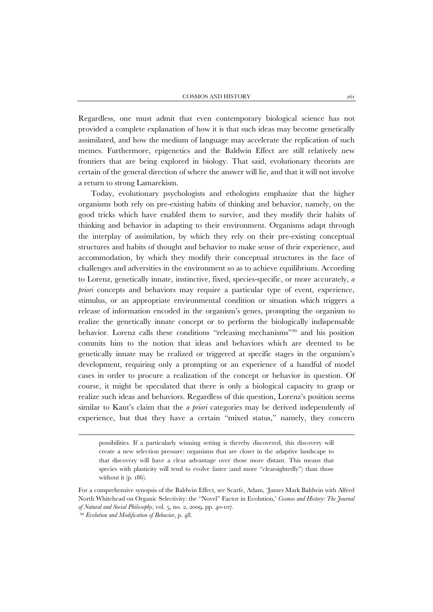Regardless, one must admit that even contemporary biological science has not provided a complete explanation of how it is that such ideas may become genetically assimilated, and how the medium of language may accelerate the replication of such memes. Furthermore, epigenetics and the Baldwin Effect are still relatively new frontiers that are being explored in biology. That said, evolutionary theorists are certain of the general direction of where the answer will lie, and that it will not involve a return to strong Lamarckism.

Today, evolutionary psychologists and ethologists emphasize that the higher organisms both rely on pre-existing habits of thinking and behavior, namely, on the good tricks which have enabled them to survive, and they modify their habits of thinking and behavior in adapting to their environment. Organisms adapt through the interplay of assimilation, by which they rely on their pre-existing conceptual structures and habits of thought and behavior to make sense of their experience, and accommodation, by which they modify their conceptual structures in the face of challenges and adversities in the environment so as to achieve equilibrium. According to Lorenz, genetically innate, instinctive, fixed, species-specific, or more accurately, *a priori* concepts and behaviors may require a particular type of event, experience, stimulus, or an appropriate environmental condition or situation which triggers a release of information encoded in the organism's genes, prompting the organism to realize the genetically innate concept or to perform the biologically indispensable behavior. Lorenz calls these conditions "releasing mechanisms"[99](#page-34-0) and his position commits him to the notion that ideas and behaviors which are deemed to be genetically innate may be realized or triggered at specific stages in the organism's development, requiring only a prompting or an experience of a handful of model cases in order to procure a realization of the concept or behavior in question. Of course, it might be speculated that there is only a biological capacity to grasp or realize such ideas and behaviors. Regardless of this question, Lorenz's position seems similar to Kant's claim that the *a priori* categories may be derived independently of experience, but that they have a certain "mixed status," namely, they concern

possibilities. If a particularly winning setting is thereby discovered, this discovery will create a new selection pressure: organisms that are closer in the adaptive landscape to that discovery will have a clear advantage over those more distant. This means that species with plasticity will tend to evolve faster (and more "clearsightedly") than those without it (p. 186).

For a comprehensive synopsis of the Baldwin Effect, see Scarfe, Adam, 'James Mark Baldwin with Alfred North Whitehead on Organic Selectivity: the "Novel" Factor in Evolution,' *Cosmos and History: The Journal of Natural and Social Philosophy*, vol. 5, no. 2, 2009, pp. 40-107.

<span id="page-34-0"></span><sup>99</sup> *Evolution and Modification of Behavior*, p. 48.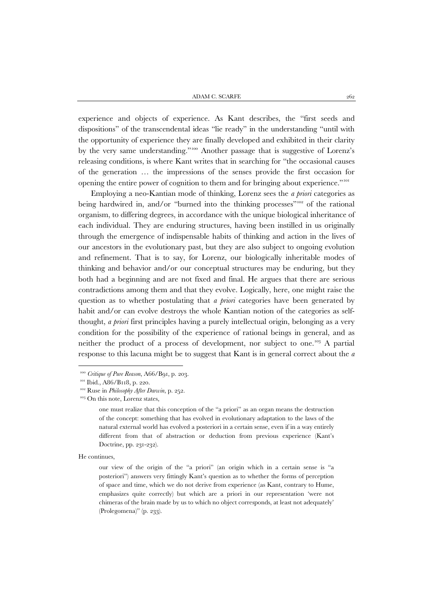experience and objects of experience. As Kant describes, the "first seeds and dispositions" of the transcendental ideas "lie ready" in the understanding "until with the opportunity of experience they are finally developed and exhibited in their clarity by the very same understanding."[100](#page-35-0) Another passage that is suggestive of Lorenz's releasing conditions, is where Kant writes that in searching for "the occasional causes of the generation … the impressions of the senses provide the first occasion for opening the entire power of cognition to them and for bringing about experience."[101](#page-35-1)

Employing a neo-Kantian mode of thinking, Lorenz sees the *a priori* categories as being hardwired in, and/or "burned into the thinking processes"<sup>[102](#page-35-2)</sup> of the rational organism, to differing degrees, in accordance with the unique biological inheritance of each individual. They are enduring structures, having been instilled in us originally through the emergence of indispensable habits of thinking and action in the lives of our ancestors in the evolutionary past, but they are also subject to ongoing evolution and refinement. That is to say, for Lorenz, our biologically inheritable modes of thinking and behavior and/or our conceptual structures may be enduring, but they both had a beginning and are not fixed and final. He argues that there are serious contradictions among them and that they evolve. Logically, here, one might raise the question as to whether postulating that *a priori* categories have been generated by habit and/or can evolve destroys the whole Kantian notion of the categories as selfthought, *a priori* first principles having a purely intellectual origin, belonging as a very condition for the possibility of the experience of rational beings in general, and as neither the product of a process of development, nor subject to one.<sup>[103](#page-35-3)</sup> A partial response to this lacuna might be to suggest that Kant is in general correct about the *a* 

<span id="page-35-0"></span><sup>100</sup> *Critique of Pure Reason*, A66/B91, p. 203.

<span id="page-35-1"></span><sup>&</sup>lt;sup>101</sup> Ibid., A86/B118, p. 220.

<span id="page-35-2"></span><sup>102</sup> Ruse in *Philosophy After Darwin*, p. 252.

<span id="page-35-3"></span><sup>&</sup>lt;sup>103</sup> On this note, Lorenz states,

one must realize that this conception of the "a priori" as an organ means the destruction of the concept: something that has evolved in evolutionary adaptation to the laws of the natural external world has evolved a posteriori in a certain sense, even if in a way entirely different from that of abstraction or deduction from previous experience (Kant's Doctrine, pp. 231-232).

He continues,

our view of the origin of the "a priori" (an origin which in a certain sense is "a posteriori") answers very fittingly Kant's question as to whether the forms of perception of space and time, which we do not derive from experience (as Kant, contrary to Hume, emphasizes quite correctly) but which are a priori in our representation 'were not chimeras of the brain made by us to which no object corresponds, at least not adequately' (Prolegomena)" (p. 233).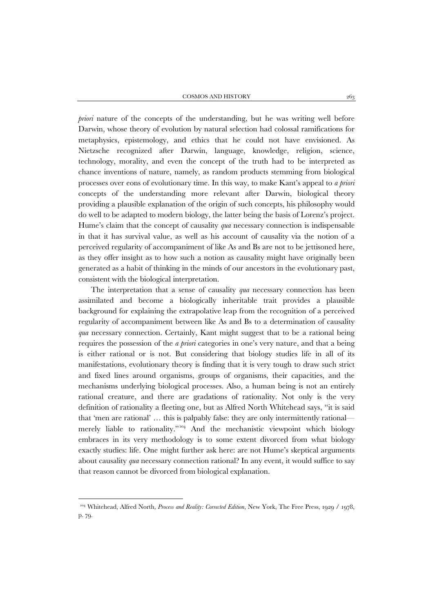*priori* nature of the concepts of the understanding, but he was writing well before Darwin, whose theory of evolution by natural selection had colossal ramifications for metaphysics, epistemology, and ethics that he could not have envisioned. As Nietzsche recognized after Darwin, language, knowledge, religion, science, technology, morality, and even the concept of the truth had to be interpreted as chance inventions of nature, namely, as random products stemming from biological processes over eons of evolutionary time. In this way, to make Kant's appeal to *a priori* concepts of the understanding more relevant after Darwin, biological theory providing a plausible explanation of the origin of such concepts, his philosophy would do well to be adapted to modern biology, the latter being the basis of Lorenz's project. Hume's claim that the concept of causality *qua* necessary connection is indispensable in that it has survival value, as well as his account of causality via the notion of a perceived regularity of accompaniment of like As and Bs are not to be jettisoned here, as they offer insight as to how such a notion as causality might have originally been generated as a habit of thinking in the minds of our ancestors in the evolutionary past, consistent with the biological interpretation.

The interpretation that a sense of causality *qua* necessary connection has been assimilated and become a biologically inheritable trait provides a plausible background for explaining the extrapolative leap from the recognition of a perceived regularity of accompaniment between like As and Bs to a determination of causality *qua* necessary connection. Certainly, Kant might suggest that to be a rational being requires the possession of the *a priori* categories in one's very nature, and that a being is either rational or is not. But considering that biology studies life in all of its manifestations, evolutionary theory is finding that it is very tough to draw such strict and fixed lines around organisms, groups of organisms, their capacities, and the mechanisms underlying biological processes. Also, a human being is not an entirely rational creature, and there are gradations of rationality. Not only is the very definition of rationality a fleeting one, but as Alfred North Whitehead says, "it is said that 'men are rational' … this is palpably false: they are only intermittently rational— merely liable to rationality."<sup>[104](#page-36-0)</sup> And the mechanistic viewpoint which biology embraces in its very methodology is to some extent divorced from what biology exactly studies: life. One might further ask here: are not Hume's skeptical arguments about causality *qua* necessary connection rational? In any event, it would suffice to say that reason cannot be divorced from biological explanation.

<span id="page-36-0"></span><sup>104</sup> Whitehead, Alfred North*, Process and Reality: Corrected Edition*, New York, The Free Press, 1929 / 1978, p. 79.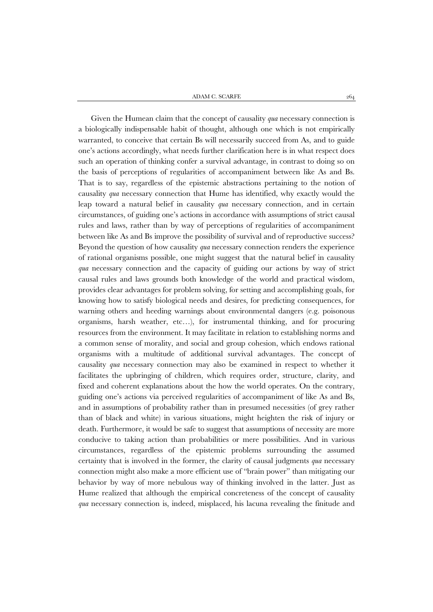ADAM C. SCARFE  $\hspace{1.5mm} 264$ 

Given the Humean claim that the concept of causality *qua* necessary connection is a biologically indispensable habit of thought, although one which is not empirically warranted, to conceive that certain Bs will necessarily succeed from As, and to guide one's actions accordingly, what needs further clarification here is in what respect does such an operation of thinking confer a survival advantage, in contrast to doing so on the basis of perceptions of regularities of accompaniment between like As and Bs. That is to say, regardless of the epistemic abstractions pertaining to the notion of causality *qua* necessary connection that Hume has identified, why exactly would the leap toward a natural belief in causality *qua* necessary connection, and in certain circumstances, of guiding one's actions in accordance with assumptions of strict causal rules and laws, rather than by way of perceptions of regularities of accompaniment between like As and Bs improve the possibility of survival and of reproductive success? Beyond the question of how causality *qua* necessary connection renders the experience of rational organisms possible, one might suggest that the natural belief in causality *qua* necessary connection and the capacity of guiding our actions by way of strict causal rules and laws grounds both knowledge of the world and practical wisdom, provides clear advantages for problem solving, for setting and accomplishing goals, for knowing how to satisfy biological needs and desires, for predicting consequences, for warning others and heeding warnings about environmental dangers (e.g. poisonous organisms, harsh weather, etc…), for instrumental thinking, and for procuring resources from the environment. It may facilitate in relation to establishing norms and a common sense of morality, and social and group cohesion, which endows rational organisms with a multitude of additional survival advantages. The concept of causality *qua* necessary connection may also be examined in respect to whether it facilitates the upbringing of children, which requires order, structure, clarity, and fixed and coherent explanations about the how the world operates. On the contrary, guiding one's actions via perceived regularities of accompaniment of like As and Bs, and in assumptions of probability rather than in presumed necessities (of grey rather than of black and white) in various situations, might heighten the risk of injury or death. Furthermore, it would be safe to suggest that assumptions of necessity are more conducive to taking action than probabilities or mere possibilities. And in various circumstances, regardless of the epistemic problems surrounding the assumed certainty that is involved in the former, the clarity of causal judgments *qua* necessary connection might also make a more efficient use of "brain power" than mitigating our behavior by way of more nebulous way of thinking involved in the latter. Just as Hume realized that although the empirical concreteness of the concept of causality *qua* necessary connection is, indeed, misplaced, his lacuna revealing the finitude and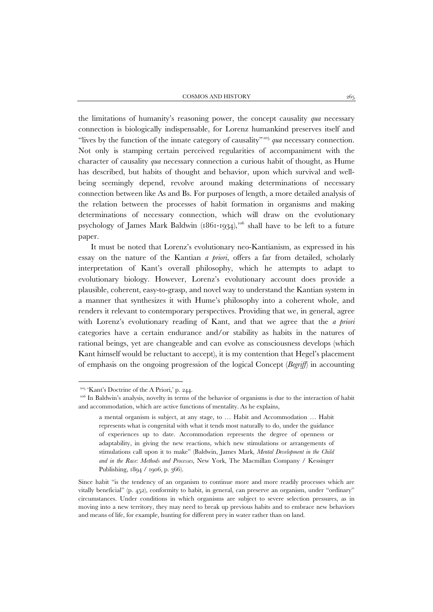the limitations of humanity's reasoning power, the concept causality *qua* necessary connection is biologically indispensable, for Lorenz humankind preserves itself and "lives by the function of the innate category of causality"[105](#page-38-0) *qua* necessary connection. Not only is stamping certain perceived regularities of accompaniment with the character of causality *qua* necessary connection a curious habit of thought, as Hume has described, but habits of thought and behavior, upon which survival and wellbeing seemingly depend, revolve around making determinations of necessary connection between like As and Bs. For purposes of length, a more detailed analysis of the relation between the processes of habit formation in organisms and making determinations of necessary connection, which will draw on the evolutionary psychology of James Mark Baldwin (1861-1934), $^{106}$  $^{106}$  $^{106}$  shall have to be left to a future paper.

It must be noted that Lorenz's evolutionary neo-Kantianism, as expressed in his essay on the nature of the Kantian *a priori*, offers a far from detailed, scholarly interpretation of Kant's overall philosophy, which he attempts to adapt to evolutionary biology. However, Lorenz's evolutionary account does provide a plausible, coherent, easy-to-grasp, and novel way to understand the Kantian system in a manner that synthesizes it with Hume's philosophy into a coherent whole, and renders it relevant to contemporary perspectives. Providing that we, in general, agree with Lorenz's evolutionary reading of Kant, and that we agree that the *a priori* categories have a certain endurance and/or stability as habits in the natures of rational beings, yet are changeable and can evolve as consciousness develops (which Kant himself would be reluctant to accept), it is my contention that Hegel's placement of emphasis on the ongoing progression of the logical Concept (*Begriff*) in accounting

<sup>105</sup> 'Kant's Doctrine of the A Priori,' p. 244.

<span id="page-38-1"></span><span id="page-38-0"></span><sup>&</sup>lt;sup>106</sup> In Baldwin's analysis, novelty in terms of the behavior of organisms is due to the interaction of habit and accommodation, which are active functions of mentality. As he explains,

a mental organism is subject, at any stage, to … Habit and Accommodation … Habit represents what is congenital with what it tends most naturally to do, under the guidance of experiences up to date. Accommodation represents the degree of openness or adaptability, in giving the new reactions, which new stimulations or arrangements of stimulations call upon it to make" (Baldwin, James Mark, *Mental Development in the Child and in the Race: Methods and Processes*, New York, The Macmillan Company / Kessinger Publishing, 1894 / 1906, p. 366).

Since habit "is the tendency of an organism to continue more and more readily processes which are vitally beneficial" (p. 452), conformity to habit, in general, can preserve an organism, under "ordinary" circumstances. Under conditions in which organisms are subject to severe selection pressures, as in moving into a new territory, they may need to break up previous habits and to embrace new behaviors and means of life, for example, hunting for different prey in water rather than on land.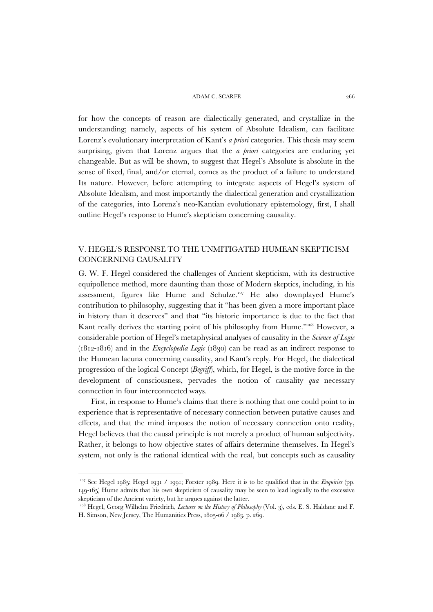for how the concepts of reason are dialectically generated, and crystallize in the understanding; namely, aspects of his system of Absolute Idealism, can facilitate Lorenz's evolutionary interpretation of Kant's *a priori* categories. This thesis may seem surprising, given that Lorenz argues that the *a priori* categories are enduring yet changeable. But as will be shown, to suggest that Hegel's Absolute is absolute in the sense of fixed, final, and/or eternal, comes as the product of a failure to understand Its nature. However, before attempting to integrate aspects of Hegel's system of Absolute Idealism, and most importantly the dialectical generation and crystallization of the categories, into Lorenz's neo-Kantian evolutionary epistemology, first, I shall outline Hegel's response to Hume's skepticism concerning causality.

## V. HEGEL'S RESPONSE TO THE UNMITIGATED HUMEAN SKEPTICISM CONCERNING CAUSALITY

G. W. F. Hegel considered the challenges of Ancient skepticism, with its destructive equipollence method, more daunting than those of Modern skeptics, including, in his assessment, figures like Hume and Schulze.[107](#page-39-0) He also downplayed Hume's contribution to philosophy, suggesting that it "has been given a more important place in history than it deserves" and that "its historic importance is due to the fact that Kant really derives the starting point of his philosophy from Hume."<sup>[108](#page-39-1)</sup> However, a considerable portion of Hegel's metaphysical analyses of causality in the *Science of Logic* (1812-1816) and in the *Encyclopedia Logic* (1830) can be read as an indirect response to the Humean lacuna concerning causality, and Kant's reply. For Hegel, the dialectical progression of the logical Concept (*Begriff*), which, for Hegel, is the motive force in the development of consciousness, pervades the notion of causality *qua* necessary connection in four interconnected ways.

First, in response to Hume's claims that there is nothing that one could point to in experience that is representative of necessary connection between putative causes and effects, and that the mind imposes the notion of necessary connection onto reality, Hegel believes that the causal principle is not merely a product of human subjectivity. Rather, it belongs to how objective states of affairs determine themselves. In Hegel's system, not only is the rational identical with the real, but concepts such as causality

<span id="page-39-0"></span><sup>107</sup> See Hegel 1985; Hegel 1931 / 1991; Forster 1989. Here it is to be qualified that in the *Enquiries* (pp. 149-165) Hume admits that his own skepticism of causality may be seen to lead logically to the excessive skepticism of the Ancient variety, but he argues against the latter.

<span id="page-39-1"></span><sup>108</sup> Hegel, Georg Wilhelm Friedrich, *Lectures on the History of Philosophy* (Vol. 3), eds. E. S. Haldane and F. H. Simson, New Jersey, The Humanities Press, 1805-06 / 1983, p. 269.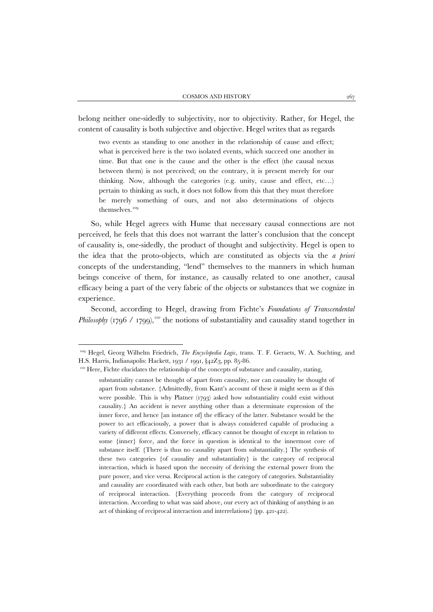belong neither one-sidedly to subjectivity, nor to objectivity. Rather, for Hegel, the content of causality is both subjective and objective. Hegel writes that as regards

two events as standing to one another in the relationship of cause and effect; what is perceived here is the two isolated events, which succeed one another in time. But that one is the cause and the other is the effect (the causal nexus between them) is not perceived; on the contrary, it is present merely for our thinking. Now, although the categories (e.g. unity, cause and effect, etc…) pertain to thinking as such, it does not follow from this that they must therefore be merely something of ours, and not also determinations of objects themselves.<sup>[109](#page-40-0)</sup>

So, while Hegel agrees with Hume that necessary causal connections are not perceived, he feels that this does not warrant the latter's conclusion that the concept of causality is, one-sidedly, the product of thought and subjectivity. Hegel is open to the idea that the proto-objects, which are constituted as objects via the *a priori* concepts of the understanding, "lend" themselves to the manners in which human beings conceive of them, for instance, as causally related to one another, causal efficacy being a part of the very fabric of the objects or substances that we cognize in experience.

Second, according to Hegel, drawing from Fichte's *Foundations of Transcendental Philosophy* (1796 / 1799),<sup>[110](#page-40-1)</sup> the notions of substantiality and causality stand together in

<span id="page-40-0"></span><sup>109</sup> Hegel, Georg Wilhelm Friedrich, *The Encyclopedia Logic*, trans. T. F. Geraets, W. A. Suchting, and H.S. Harris, Indianapolis: Hackett, 1931 / 1991, §42Z3, pp. 85-86.

<span id="page-40-1"></span><sup>&</sup>lt;sup>110</sup> Here, Fichte elucidates the relationship of the concepts of substance and causality, stating,

substantiality cannot be thought of apart from causality, nor can causality be thought of apart from substance. {Admittedly, from Kant's account of these it might seem as if this were possible. This is why Platner (1793) asked how substantiality could exist without causality.} An accident is never anything other than a determinate expression of the inner force, and hence [an instance of] the efficacy of the latter. Substance would be the power to act efficaciously, a power that is always considered capable of producing a variety of different effects. Conversely, efficacy cannot be thought of except in relation to some {inner} force, and the force in question is identical to the innermost core of substance itself. {There is thus no causality apart from substantiality.} The synthesis of these two categories {of causality and substantiality} is the category of reciprocal interaction, which is based upon the necessity of deriving the external power from the pure power, and vice versa. Reciprocal action is the category of categories. Substantiality and causality are coordinated with each other, but both are subordinate to the category of reciprocal interaction. {Everything proceeds from the category of reciprocal interaction. According to what was said above, our every act of thinking of anything is an act of thinking of reciprocal interaction and interrelations} (pp. 421-422).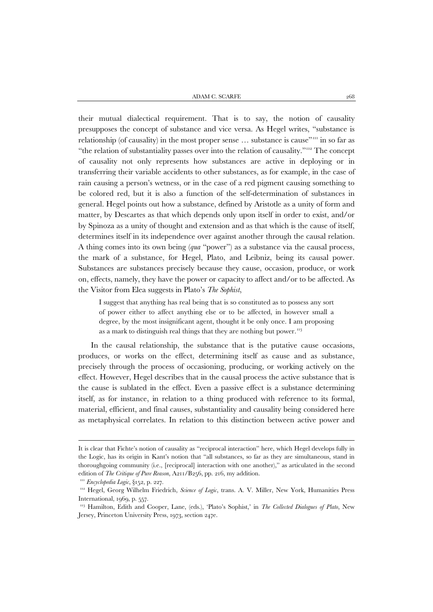their mutual dialectical requirement. That is to say, the notion of causality presupposes the concept of substance and vice versa. As Hegel writes, "substance is relationship (of causality) in the most proper sense ... substance is cause"<sup>111</sup> in so far as "the relation of substantiality passes over into the relation of causality."<sup>[112](#page-41-1)</sup> The concept of causality not only represents how substances are active in deploying or in transferring their variable accidents to other substances, as for example, in the case of rain causing a person's wetness, or in the case of a red pigment causing something to be colored red, but it is also a function of the self-determination of substances in general. Hegel points out how a substance, defined by Aristotle as a unity of form and matter, by Descartes as that which depends only upon itself in order to exist, and/or by Spinoza as a unity of thought and extension and as that which is the cause of itself, determines itself in its independence over against another through the causal relation. A thing comes into its own being (*qua* "power") as a substance via the causal process, the mark of a substance, for Hegel, Plato, and Leibniz, being its causal power. Substances are substances precisely because they cause, occasion, produce, or work on, effects, namely, they have the power or capacity to affect and/or to be affected. As the Visitor from Elea suggests in Plato's *The Sophist*,

I suggest that anything has real being that is so constituted as to possess any sort of power either to affect anything else or to be affected, in however small a degree, by the most insignificant agent, thought it be only once. I am proposing as a mark to distinguish real things that they are nothing but power.<sup>[113](#page-41-2)</sup>

In the causal relationship, the substance that is the putative cause occasions, produces, or works on the effect, determining itself as cause and as substance, precisely through the process of occasioning, producing, or working actively on the effect. However, Hegel describes that in the causal process the active substance that is the cause is sublated in the effect. Even a passive effect is a substance determining itself, as for instance, in relation to a thing produced with reference to its formal, material, efficient, and final causes, substantiality and causality being considered here as metaphysical correlates. In relation to this distinction between active power and

It is clear that Fichte's notion of causality as "reciprocal interaction" here, which Hegel develops fully in the Logic, has its origin in Kant's notion that "all substances, so far as they are simultaneous, stand in thoroughgoing community (i.e., [reciprocal] interaction with one another)," as articulated in the second edition of *The Critique of Pure Reason*, A211/B256, pp. 216, my addition. 111 *Encyclopedia Logic*, §152, p. 227.

<span id="page-41-1"></span><span id="page-41-0"></span><sup>112</sup> Hegel, Georg Wilhelm Friedrich, *Science of Logic*, trans. A. V. Miller, New York, Humanities Press International, 1969, p. 557.

<span id="page-41-2"></span><sup>113</sup> Hamilton, Edith and Cooper, Lane, (eds.), 'Plato's Sophist,' in *The Collected Dialogues of Plato*, New Jersey, Princeton University Press, 1973, section 247e.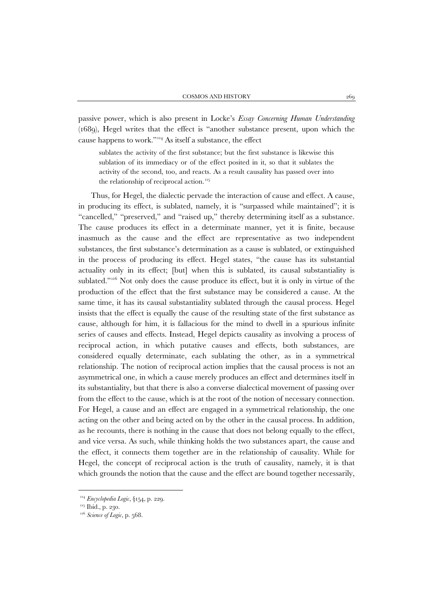passive power, which is also present in Locke's *Essay Concerning Human Understanding* (1689), Hegel writes that the effect is "another substance present, upon which the cause happens to work."[114](#page-42-0) As itself a substance, the effect

sublates the activity of the first substance; but the first substance is likewise this sublation of its immediacy or of the effect posited in it, so that it sublates the activity of the second, too, and reacts. As a result causality has passed over into the relationship of reciprocal action.<sup>[115](#page-42-1)</sup>

Thus, for Hegel, the dialectic pervade the interaction of cause and effect. A cause, in producing its effect, is sublated, namely, it is "surpassed while maintained"; it is "cancelled," "preserved," and "raised up," thereby determining itself as a substance. The cause produces its effect in a determinate manner, yet it is finite, because inasmuch as the cause and the effect are representative as two independent substances, the first substance's determination as a cause is sublated, or extinguished in the process of producing its effect. Hegel states, "the cause has its substantial actuality only in its effect; [but] when this is sublated, its causal substantiality is sublated."<sup>[116](#page-42-2)</sup> Not only does the cause produce its effect, but it is only in virtue of the production of the effect that the first substance may be considered a cause. At the same time, it has its causal substantiality sublated through the causal process. Hegel insists that the effect is equally the cause of the resulting state of the first substance as cause, although for him, it is fallacious for the mind to dwell in a spurious infinite series of causes and effects. Instead, Hegel depicts causality as involving a process of reciprocal action, in which putative causes and effects, both substances, are considered equally determinate, each sublating the other, as in a symmetrical relationship. The notion of reciprocal action implies that the causal process is not an asymmetrical one, in which a cause merely produces an effect and determines itself in its substantiality, but that there is also a converse dialectical movement of passing over from the effect to the cause, which is at the root of the notion of necessary connection. For Hegel, a cause and an effect are engaged in a symmetrical relationship, the one acting on the other and being acted on by the other in the causal process. In addition, as he recounts, there is nothing in the cause that does not belong equally to the effect, and vice versa. As such, while thinking holds the two substances apart, the cause and the effect, it connects them together are in the relationship of causality. While for Hegel, the concept of reciprocal action is the truth of causality, namely, it is that which grounds the notion that the cause and the effect are bound together necessarily,

<span id="page-42-0"></span><sup>114</sup> *Encyclopedia Logic*, §154, p. 229.

<span id="page-42-1"></span><sup>&</sup>lt;sup>115</sup> Ibid., p. 230.

<span id="page-42-2"></span><sup>116</sup> *Science of Logic*, p. 568.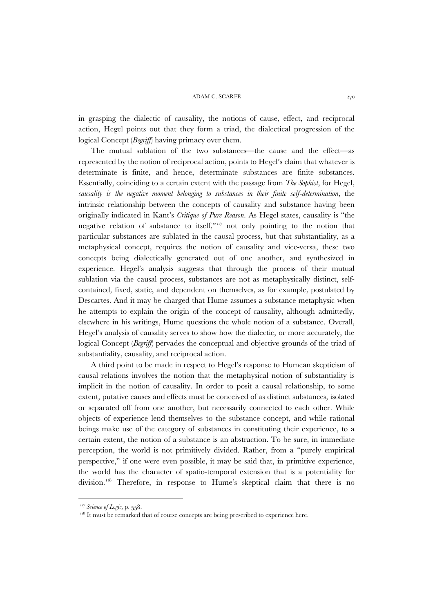in grasping the dialectic of causality, the notions of cause, effect, and reciprocal action, Hegel points out that they form a triad, the dialectical progression of the logical Concept (*Begriff*) having primacy over them.

The mutual sublation of the two substances—the cause and the effect—as represented by the notion of reciprocal action, points to Hegel's claim that whatever is determinate is finite, and hence, determinate substances are finite substances. Essentially, coinciding to a certain extent with the passage from *The Sophist*, for Hegel, *causality is the negative moment belonging to substances in their finite self-determination*, the intrinsic relationship between the concepts of causality and substance having been originally indicated in Kant's *Critique of Pure Reason*. As Hegel states, causality is "the negative relation of substance to itself,"<sup>117</sup> not only pointing to the notion that particular substances are sublated in the causal process, but that substantiality, as a metaphysical concept, requires the notion of causality and vice-versa, these two concepts being dialectically generated out of one another, and synthesized in experience. Hegel's analysis suggests that through the process of their mutual sublation via the causal process, substances are not as metaphysically distinct, selfcontained, fixed, static, and dependent on themselves, as for example, postulated by Descartes. And it may be charged that Hume assumes a substance metaphysic when he attempts to explain the origin of the concept of causality, although admittedly, elsewhere in his writings, Hume questions the whole notion of a substance. Overall, Hegel's analysis of causality serves to show how the dialectic, or more accurately, the logical Concept (*Begriff*) pervades the conceptual and objective grounds of the triad of substantiality, causality, and reciprocal action.

A third point to be made in respect to Hegel's response to Humean skepticism of causal relations involves the notion that the metaphysical notion of substantiality is implicit in the notion of causality. In order to posit a causal relationship, to some extent, putative causes and effects must be conceived of as distinct substances, isolated or separated off from one another, but necessarily connected to each other. While objects of experience lend themselves to the substance concept, and while rational beings make use of the category of substances in constituting their experience, to a certain extent, the notion of a substance is an abstraction. To be sure, in immediate perception, the world is not primitively divided. Rather, from a "purely empirical perspective," if one were even possible, it may be said that, in primitive experience, the world has the character of spatio-temporal extension that is a potentiality for division.<sup>[118](#page-43-1)</sup> Therefore, in response to Hume's skeptical claim that there is no

<span id="page-43-0"></span><sup>&</sup>lt;sup>117</sup> Science of Logic, p. 558.

<span id="page-43-1"></span> $118$  It must be remarked that of course concepts are being prescribed to experience here.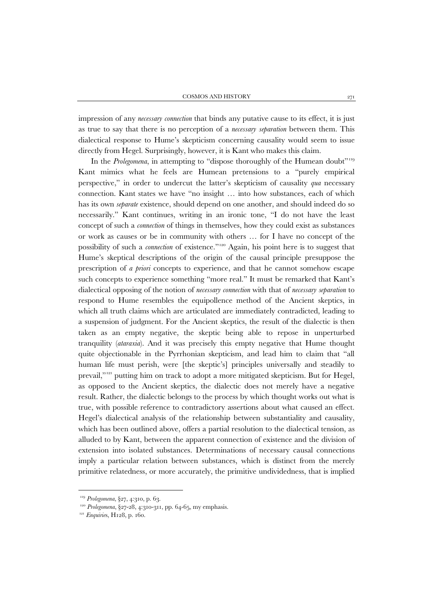impression of any *necessary connection* that binds any putative cause to its effect, it is just as true to say that there is no perception of a *necessary separation* between them. This dialectical response to Hume's skepticism concerning causality would seem to issue directly from Hegel. Surprisingly, however, it is Kant who makes this claim.

In the *Prolegomena*, in attempting to "dispose thoroughly of the Humean doubt"<sup>[119](#page-44-0)</sup> Kant mimics what he feels are Humean pretensions to a "purely empirical perspective," in order to undercut the latter's skepticism of causality *qua* necessary connection. Kant states we have "no insight … into how substances, each of which has its own *separate* existence, should depend on one another, and should indeed do so necessarily." Kant continues, writing in an ironic tone, "I do not have the least concept of such a *connection* of things in themselves, how they could exist as substances or work as causes or be in community with others … for I have no concept of the possibility of such a *connection* of existence."[120](#page-44-1) Again, his point here is to suggest that Hume's skeptical descriptions of the origin of the causal principle presuppose the prescription of *a priori* concepts to experience, and that he cannot somehow escape such concepts to experience something "more real." It must be remarked that Kant's dialectical opposing of the notion of *necessary connection* with that of *necessary separation* to respond to Hume resembles the equipollence method of the Ancient skeptics, in which all truth claims which are articulated are immediately contradicted, leading to a suspension of judgment. For the Ancient skeptics, the result of the dialectic is then taken as an empty negative, the skeptic being able to repose in unperturbed tranquility (*ataraxia*). And it was precisely this empty negative that Hume thought quite objectionable in the Pyrrhonian skepticism, and lead him to claim that "all human life must perish, were [the skeptic's] principles universally and steadily to prevail,"<sup>[121](#page-44-2)</sup> putting him on track to adopt a more mitigated skepticism. But for Hegel, as opposed to the Ancient skeptics, the dialectic does not merely have a negative result. Rather, the dialectic belongs to the process by which thought works out what is true, with possible reference to contradictory assertions about what caused an effect. Hegel's dialectical analysis of the relationship between substantiality and causality, which has been outlined above, offers a partial resolution to the dialectical tension, as alluded to by Kant, between the apparent connection of existence and the division of extension into isolated substances. Determinations of necessary causal connections imply a particular relation between substances, which is distinct from the merely primitive relatedness, or more accurately, the primitive undividedness, that is implied

<span id="page-44-0"></span><sup>119</sup> *Prolegomena*, §27, 4:310, p. 63.

<span id="page-44-1"></span><sup>&</sup>lt;sup>120</sup> *Prolegomena*, §27-28, 4:310-311, pp. 64-65, my emphasis.

<span id="page-44-2"></span><sup>&</sup>lt;sup>121</sup> *Enquiries*, H128, p. 160.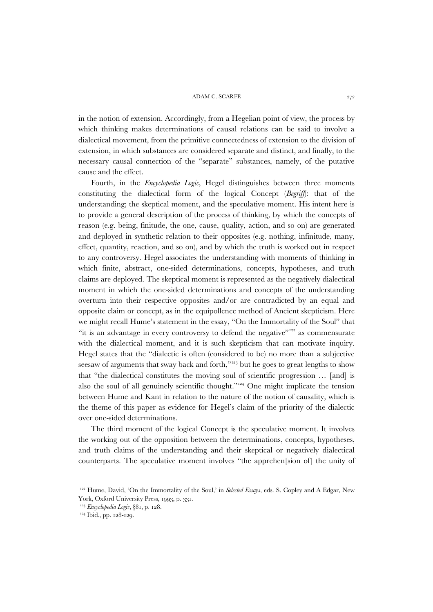in the notion of extension. Accordingly, from a Hegelian point of view, the process by which thinking makes determinations of causal relations can be said to involve a dialectical movement, from the primitive connectedness of extension to the division of extension, in which substances are considered separate and distinct, and finally, to the necessary causal connection of the "separate" substances, namely, of the putative cause and the effect.

Fourth, in the *Encyclopedia Logic*, Hegel distinguishes between three moments constituting the dialectical form of the logical Concept (*Begriff*): that of the understanding; the skeptical moment, and the speculative moment. His intent here is to provide a general description of the process of thinking, by which the concepts of reason (e.g. being, finitude, the one, cause, quality, action, and so on) are generated and deployed in synthetic relation to their opposites (e.g. nothing, infinitude, many, effect, quantity, reaction, and so on), and by which the truth is worked out in respect to any controversy. Hegel associates the understanding with moments of thinking in which finite, abstract, one-sided determinations, concepts, hypotheses, and truth claims are deployed. The skeptical moment is represented as the negatively dialectical moment in which the one-sided determinations and concepts of the understanding overturn into their respective opposites and/or are contradicted by an equal and opposite claim or concept, as in the equipollence method of Ancient skepticism. Here we might recall Hume's statement in the essay, "On the Immortality of the Soul" that "it is an advantage in every controversy to defend the negative"<sup>[122](#page-45-0)</sup> as commensurate with the dialectical moment, and it is such skepticism that can motivate inquiry. Hegel states that the "dialectic is often (considered to be) no more than a subjective seesaw of arguments that sway back and forth,"<sup>[123](#page-45-1)</sup> but he goes to great lengths to show that "the dialectical constitutes the moving soul of scientific progression … [and] is also the soul of all genuinely scientific thought."<sup>[124](#page-45-2)</sup> One might implicate the tension between Hume and Kant in relation to the nature of the notion of causality, which is the theme of this paper as evidence for Hegel's claim of the priority of the dialectic over one-sided determinations.

The third moment of the logical Concept is the speculative moment. It involves the working out of the opposition between the determinations, concepts, hypotheses, and truth claims of the understanding and their skeptical or negatively dialectical counterparts. The speculative moment involves "the apprehen[sion of] the unity of

<span id="page-45-0"></span><sup>122</sup> Hume, David, 'On the Immortality of the Soul,' in *Selected Essays*, eds. S. Copley and A Edgar, New York, Oxford University Press, 1993, p. 331.

<span id="page-45-1"></span><sup>123</sup> *Encyclopedia Logic*, §81, p. 128.

<span id="page-45-2"></span><sup>&</sup>lt;sup>124</sup> Ibid., pp. 128-129.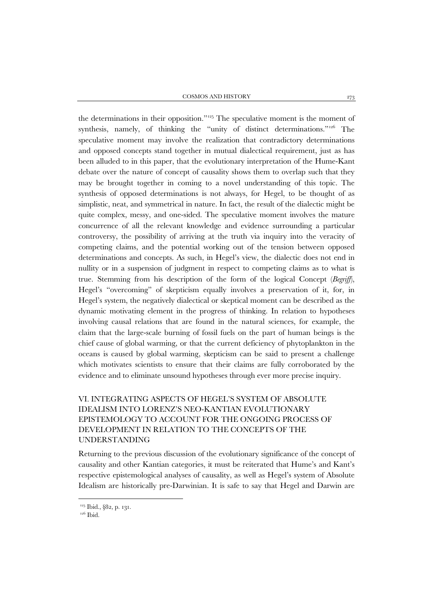COSMOS AND HISTORY 273

the determinations in their opposition.["125](#page-46-0) The speculative moment is the moment of synthesis, namely, of thinking the "unity of distinct determinations."<sup>[126](#page-46-1)</sup> The speculative moment may involve the realization that contradictory determinations and opposed concepts stand together in mutual dialectical requirement, just as has been alluded to in this paper, that the evolutionary interpretation of the Hume-Kant debate over the nature of concept of causality shows them to overlap such that they may be brought together in coming to a novel understanding of this topic. The synthesis of opposed determinations is not always, for Hegel, to be thought of as simplistic, neat, and symmetrical in nature. In fact, the result of the dialectic might be quite complex, messy, and one-sided. The speculative moment involves the mature concurrence of all the relevant knowledge and evidence surrounding a particular controversy, the possibility of arriving at the truth via inquiry into the veracity of competing claims, and the potential working out of the tension between opposed determinations and concepts. As such, in Hegel's view, the dialectic does not end in nullity or in a suspension of judgment in respect to competing claims as to what is true. Stemming from his description of the form of the logical Concept (*Begriff*), Hegel's "overcoming" of skepticism equally involves a preservation of it, for, in Hegel's system, the negatively dialectical or skeptical moment can be described as the dynamic motivating element in the progress of thinking. In relation to hypotheses involving causal relations that are found in the natural sciences, for example, the claim that the large-scale burning of fossil fuels on the part of human beings is the chief cause of global warming, or that the current deficiency of phytoplankton in the oceans is caused by global warming, skepticism can be said to present a challenge which motivates scientists to ensure that their claims are fully corroborated by the evidence and to eliminate unsound hypotheses through ever more precise inquiry.

# VI. INTEGRATING ASPECTS OF HEGEL'S SYSTEM OF ABSOLUTE IDEALISM INTO LORENZ'S NEO-KANTIAN EVOLUTIONARY EPISTEMOLOGY TO ACCOUNT FOR THE ONGOING PROCESS OF DEVELOPMENT IN RELATION TO THE CONCEPTS OF THE UNDERSTANDING

Returning to the previous discussion of the evolutionary significance of the concept of causality and other Kantian categories, it must be reiterated that Hume's and Kant's respective epistemological analyses of causality, as well as Hegel's system of Absolute Idealism are historically pre-Darwinian. It is safe to say that Hegel and Darwin are

<span id="page-46-1"></span><span id="page-46-0"></span><sup>&</sup>lt;sup>125</sup> Ibid., §82, p. 131.

<sup>&</sup>lt;sup>126</sup> Ibid.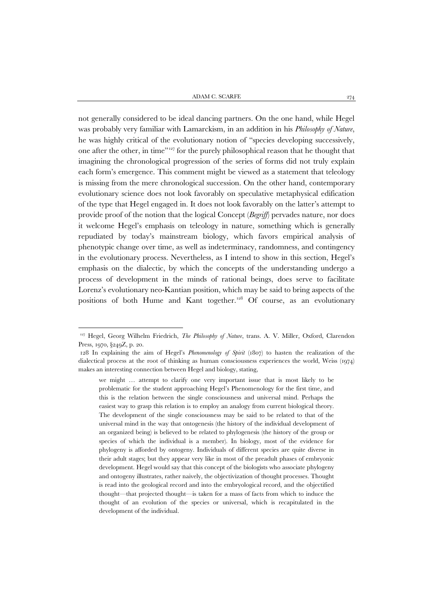not generally considered to be ideal dancing partners. On the one hand, while Hegel was probably very familiar with Lamarckism, in an addition in his *Philosophy of Nature*, he was highly critical of the evolutionary notion of "species developing successively, one after the other, in time"[127](#page-47-0) for the purely philosophical reason that he thought that imagining the chronological progression of the series of forms did not truly explain each form's emergence. This comment might be viewed as a statement that teleology is missing from the mere chronological succession. On the other hand, contemporary evolutionary science does not look favorably on speculative metaphysical edification of the type that Hegel engaged in. It does not look favorably on the latter's attempt to provide proof of the notion that the logical Concept (*Begriff*) pervades nature, nor does it welcome Hegel's emphasis on teleology in nature, something which is generally repudiated by today's mainstream biology, which favors empirical analysis of phenotypic change over time, as well as indeterminacy, randomness, and contingency in the evolutionary process. Nevertheless, as I intend to show in this section, Hegel's emphasis on the dialectic, by which the concepts of the understanding undergo a process of development in the minds of rational beings, does serve to facilitate Lorenz's evolutionary neo-Kantian position, which may be said to bring aspects of the positions of both Hume and Kant together.<sup>[128](#page-47-1)</sup> Of course, as an evolutionary

<span id="page-47-0"></span><sup>127</sup> Hegel, Georg Wilhelm Friedrich, *The Philosophy of Nature*, trans. A. V. Miller, Oxford, Clarendon Press, 1970, §249Z, p. 20.

<span id="page-47-1"></span><sup>128</sup> In explaining the aim of Hegel's *Phenomenology of Spirit* (1807) to hasten the realization of the dialectical process at the root of thinking as human consciousness experiences the world, Weiss (1974) makes an interesting connection between Hegel and biology, stating,

we might … attempt to clarify one very important issue that is most likely to be problematic for the student approaching Hegel's Phenomenology for the first time, and this is the relation between the single consciousness and universal mind. Perhaps the easiest way to grasp this relation is to employ an analogy from current biological theory. The development of the single consciousness may be said to be related to that of the universal mind in the way that ontogenesis (the history of the individual development of an organized being) is believed to be related to phylogenesis (the history of the group or species of which the individual is a member). In biology, most of the evidence for phylogeny is afforded by ontogeny. Individuals of different species are quite diverse in their adult stages; but they appear very like in most of the preadult phases of embryonic development. Hegel would say that this concept of the biologists who associate phylogeny and ontogeny illustrates, rather naively, the objectivization of thought processes. Thought is read into the geological record and into the embryological record, and the objectified thought—that projected thought—is taken for a mass of facts from which to induce the thought of an evolution of the species or universal, which is recapitulated in the development of the individual.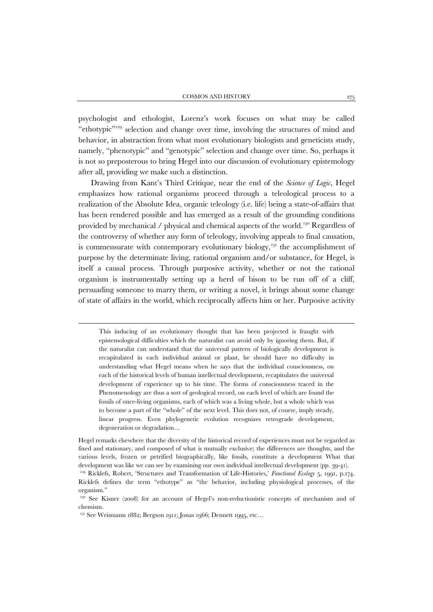psychologist and ethologist, Lorenz's work focuses on what may be called "ethotypic"<sup>[129](#page-48-0)</sup> selection and change over time, involving the structures of mind and behavior, in abstraction from what most evolutionary biologists and geneticists study, namely, "phenotypic" and "genotypic" selection and change over time. So, perhaps it is not so preposterous to bring Hegel into our discussion of evolutionary epistemology after all, providing we make such a distinction.

Drawing from Kant's Third Critique, near the end of the *Science of Logic*, Hegel emphasizes how rational organisms proceed through a teleological process to a realization of the Absolute Idea, organic teleology (i.e. life) being a state-of-affairs that has been rendered possible and has emerged as a result of the grounding conditions provided by mechanical / physical and chemical aspects of the world.<sup>[130](#page-48-1)</sup> Regardless of the controversy of whether any form of teleology, involving appeals to final causation, is commensurate with contemporary evolutionary biology,<sup>[131](#page-48-2)</sup> the accomplishment of purpose by the determinate living, rational organism and/or substance, for Hegel, is itself a causal process. Through purposive activity, whether or not the rational organism is instrumentally setting up a herd of bison to be run off of a cliff, persuading someone to marry them, or writing a novel, it brings about some change of state of affairs in the world, which reciprocally affects him or her. Purposive activity

This inducing of an evolutionary thought that has been projected is fraught with epistemological difficulties which the naturalist can avoid only by ignoring them. But, if the naturalist can understand that the universal pattern of biologically development is recapitulated in each individual animal or plant, he should have no difficulty in understanding what Hegel means when he says that the individual consciousness, on each of the historical levels of human intellectual development, recapitulates the universal development of experience up to his time. The forms of consciousness traced in the Phenomenology are thus a sort of geological record, on each level of which are found the fossils of once-living organisms, each of which was a living whole, but a whole which was to become a part of the "whole" of the next level. This does not, of course, imply steady, linear progress. Even phylogenetic evolution recognizes retrograde development, degeneration or degradation…

Hegel remarks elsewhere that the diversity of the historical record of experiences must not be regarded as fixed and stationary, and composed of what is mutually exclusive; the differences are thoughts, and the various levels, frozen or petrified biographically, like fossils, constitute a development What that development was like we can see by examining our own individual intellectual development (pp. 39-41).

<span id="page-48-0"></span><sup>&</sup>lt;sup>129</sup> Ricklefs, Robert, 'Structures and Transformation of Life-Histories,' *Functional Ecology* 5, 1991, p.174. Ricklefs defines the term "ethotype" as "the behavior, including physiological processes, of the organism."

<span id="page-48-2"></span><span id="page-48-1"></span><sup>&</sup>lt;sup>130</sup> See Kisner (2008) for an account of Hegel's non-reductionistic concepts of mechanism and of chemism.

<sup>&</sup>lt;sup>131</sup> See Weismann 1882; Bergson 1911; Jonas 1966; Dennett 1995, etc...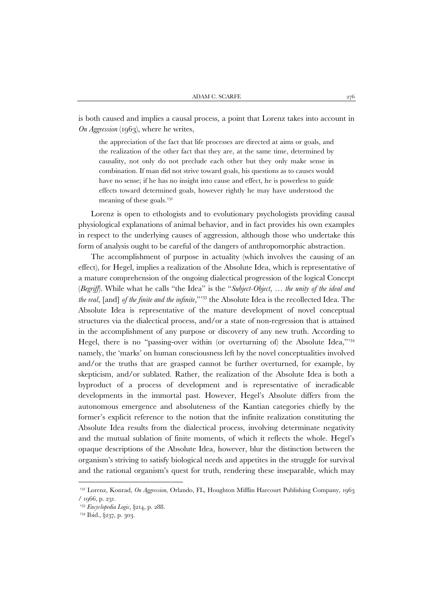is both caused and implies a causal process, a point that Lorenz takes into account in *On Aggression* (1963), where he writes,

the appreciation of the fact that life processes are directed at aims or goals, and the realization of the other fact that they are, at the same time, determined by causality, not only do not preclude each other but they only make sense in combination. If man did not strive toward goals, his questions as to causes would have no sense; if he has no insight into cause and effect, he is powerless to guide effects toward determined goals, however rightly he may have understood the meaning of these goals. $132$ 

Lorenz is open to ethologists and to evolutionary psychologists providing causal physiological explanations of animal behavior, and in fact provides his own examples in respect to the underlying causes of aggression, although those who undertake this form of analysis ought to be careful of the dangers of anthropomorphic abstraction.

The accomplishment of purpose in actuality (which involves the causing of an effect), for Hegel, implies a realization of the Absolute Idea, which is representative of a mature comprehension of the ongoing dialectical progression of the logical Concept (*Begriff*). While what he calls "the Idea" is the "*Subject-Object*, … *the unity of the ideal and the real*, [and] *of the finite and the infinite*,"[133](#page-49-1) the Absolute Idea is the recollected Idea. The Absolute Idea is representative of the mature development of novel conceptual structures via the dialectical process, and/or a state of non-regression that is attained in the accomplishment of any purpose or discovery of any new truth. According to Hegel, there is no "passing-over within (or overturning of) the Absolute Idea,"<sup>[134](#page-49-2)</sup> namely, the 'marks' on human consciousness left by the novel conceptualities involved and/or the truths that are grasped cannot be further overturned, for example, by skepticism, and/or sublated. Rather, the realization of the Absolute Idea is both a byproduct of a process of development and is representative of ineradicable developments in the immortal past. However, Hegel's Absolute differs from the autonomous emergence and absoluteness of the Kantian categories chiefly by the former's explicit reference to the notion that the infinite realization constituting the Absolute Idea results from the dialectical process, involving determinate negativity and the mutual sublation of finite moments, of which it reflects the whole. Hegel's opaque descriptions of the Absolute Idea, however, blur the distinction between the organism's striving to satisfy biological needs and appetites in the struggle for survival and the rational organism's quest for truth, rendering these inseparable, which may

<span id="page-49-0"></span><sup>132</sup> Lorenz, Konrad, *On Aggression*, Orlando, FL, Houghton Mifflin Harcourt Publishing Company, 1963 / 1966, p. 231.

<span id="page-49-1"></span><sup>133</sup> *Encyclopedia Logic*, §214, p. 288.

<span id="page-49-2"></span><sup>&</sup>lt;sup>134</sup> Ibid., §237, p. 303.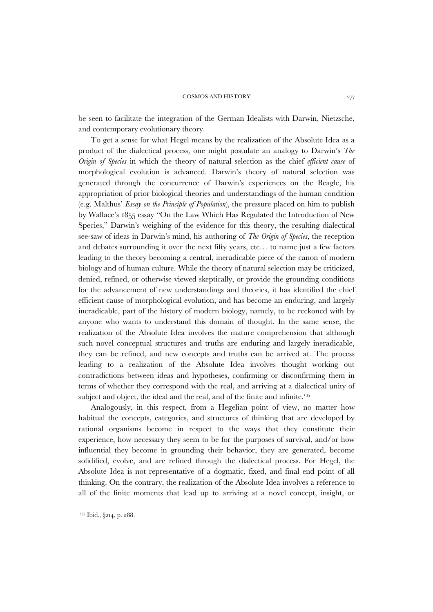be seen to facilitate the integration of the German Idealists with Darwin, Nietzsche, and contemporary evolutionary theory.

To get a sense for what Hegel means by the realization of the Absolute Idea as a product of the dialectical process, one might postulate an analogy to Darwin's *The Origin of Species* in which the theory of natural selection as the chief *efficient cause* of morphological evolution is advanced. Darwin's theory of natural selection was generated through the concurrence of Darwin's experiences on the Beagle, his appropriation of prior biological theories and understandings of the human condition (e.g. Malthus' *Essay on the Principle of Population*), the pressure placed on him to publish by Wallace's 1855 essay "On the Law Which Has Regulated the Introduction of New Species," Darwin's weighing of the evidence for this theory, the resulting dialectical see-saw of ideas in Darwin's mind, his authoring of *The Origin of Species*, the reception and debates surrounding it over the next fifty years, etc… to name just a few factors leading to the theory becoming a central, ineradicable piece of the canon of modern biology and of human culture. While the theory of natural selection may be criticized, denied, refined, or otherwise viewed skeptically, or provide the grounding conditions for the advancement of new understandings and theories, it has identified the chief efficient cause of morphological evolution, and has become an enduring, and largely ineradicable, part of the history of modern biology, namely, to be reckoned with by anyone who wants to understand this domain of thought. In the same sense, the realization of the Absolute Idea involves the mature comprehension that although such novel conceptual structures and truths are enduring and largely ineradicable, they can be refined, and new concepts and truths can be arrived at. The process leading to a realization of the Absolute Idea involves thought working out contradictions between ideas and hypotheses, confirming or disconfirming them in terms of whether they correspond with the real, and arriving at a dialectical unity of subject and object, the ideal and the real, and of the finite and infinite.<sup>[135](#page-50-0)</sup>

Analogously, in this respect, from a Hegelian point of view, no matter how habitual the concepts, categories, and structures of thinking that are developed by rational organisms become in respect to the ways that they constitute their experience, how necessary they seem to be for the purposes of survival, and/or how influential they become in grounding their behavior, they are generated, become solidified, evolve, and are refined through the dialectical process. For Hegel, the Absolute Idea is not representative of a dogmatic, fixed, and final end point of all thinking. On the contrary, the realization of the Absolute Idea involves a reference to all of the finite moments that lead up to arriving at a novel concept, insight, or

<span id="page-50-0"></span><sup>&</sup>lt;sup>135</sup> Ibid., §214, p. 288.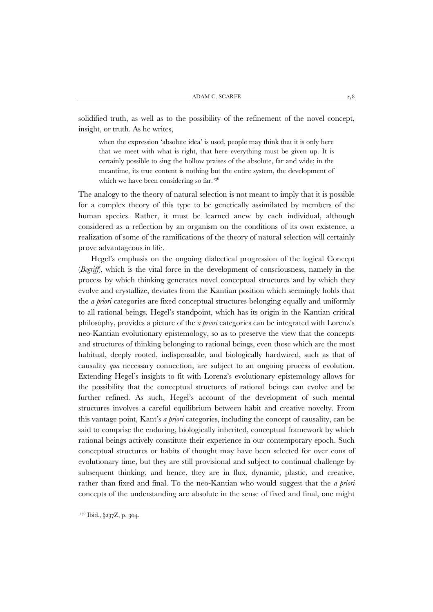solidified truth, as well as to the possibility of the refinement of the novel concept, insight, or truth. As he writes,

when the expression 'absolute idea' is used, people may think that it is only here that we meet with what is right, that here everything must be given up. It is certainly possible to sing the hollow praises of the absolute, far and wide; in the meantime, its true content is nothing but the entire system, the development of which we have been considering so far.<sup>[136](#page-51-0)</sup>

The analogy to the theory of natural selection is not meant to imply that it is possible for a complex theory of this type to be genetically assimilated by members of the human species. Rather, it must be learned anew by each individual, although considered as a reflection by an organism on the conditions of its own existence, a realization of some of the ramifications of the theory of natural selection will certainly prove advantageous in life.

Hegel's emphasis on the ongoing dialectical progression of the logical Concept (*Begriff*), which is the vital force in the development of consciousness, namely in the process by which thinking generates novel conceptual structures and by which they evolve and crystallize, deviates from the Kantian position which seemingly holds that the *a priori* categories are fixed conceptual structures belonging equally and uniformly to all rational beings. Hegel's standpoint, which has its origin in the Kantian critical philosophy, provides a picture of the *a priori* categories can be integrated with Lorenz's neo-Kantian evolutionary epistemology, so as to preserve the view that the concepts and structures of thinking belonging to rational beings, even those which are the most habitual, deeply rooted, indispensable, and biologically hardwired, such as that of causality *qua* necessary connection, are subject to an ongoing process of evolution. Extending Hegel's insights to fit with Lorenz's evolutionary epistemology allows for the possibility that the conceptual structures of rational beings can evolve and be further refined. As such, Hegel's account of the development of such mental structures involves a careful equilibrium between habit and creative novelty. From this vantage point, Kant's *a priori* categories, including the concept of causality, can be said to comprise the enduring, biologically inherited, conceptual framework by which rational beings actively constitute their experience in our contemporary epoch. Such conceptual structures or habits of thought may have been selected for over eons of evolutionary time, but they are still provisional and subject to continual challenge by subsequent thinking, and hence, they are in flux, dynamic, plastic, and creative, rather than fixed and final. To the neo-Kantian who would suggest that the *a priori* concepts of the understanding are absolute in the sense of fixed and final, one might

<span id="page-51-0"></span><sup>&</sup>lt;sup>136</sup> Ibid., §237Z, p. 304.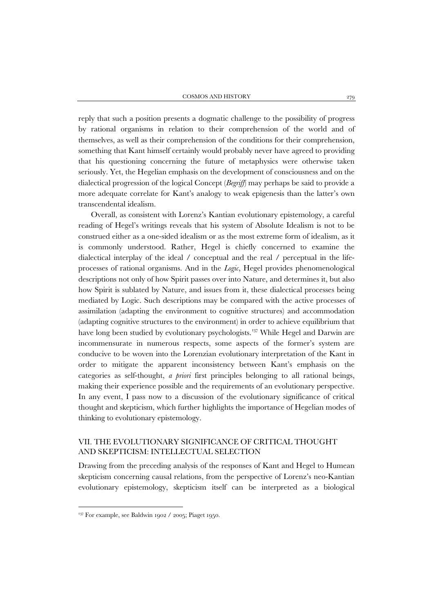reply that such a position presents a dogmatic challenge to the possibility of progress by rational organisms in relation to their comprehension of the world and of themselves, as well as their comprehension of the conditions for their comprehension, something that Kant himself certainly would probably never have agreed to providing that his questioning concerning the future of metaphysics were otherwise taken seriously. Yet, the Hegelian emphasis on the development of consciousness and on the dialectical progression of the logical Concept (*Begriff*) may perhaps be said to provide a more adequate correlate for Kant's analogy to weak epigenesis than the latter's own transcendental idealism.

Overall, as consistent with Lorenz's Kantian evolutionary epistemology, a careful reading of Hegel's writings reveals that his system of Absolute Idealism is not to be construed either as a one-sided idealism or as the most extreme form of idealism, as it is commonly understood. Rather, Hegel is chiefly concerned to examine the dialectical interplay of the ideal / conceptual and the real / perceptual in the lifeprocesses of rational organisms. And in the *Logic*, Hegel provides phenomenological descriptions not only of how Spirit passes over into Nature, and determines it, but also how Spirit is sublated by Nature, and issues from it, these dialectical processes being mediated by Logic. Such descriptions may be compared with the active processes of assimilation (adapting the environment to cognitive structures) and accommodation (adapting cognitive structures to the environment) in order to achieve equilibrium that have long been studied by evolutionary psychologists.<sup>[137](#page-52-0)</sup> While Hegel and Darwin are incommensurate in numerous respects, some aspects of the former's system are conducive to be woven into the Lorenzian evolutionary interpretation of the Kant in order to mitigate the apparent inconsistency between Kant's emphasis on the categories as self-thought, *a priori* first principles belonging to all rational beings, making their experience possible and the requirements of an evolutionary perspective. In any event, I pass now to a discussion of the evolutionary significance of critical thought and skepticism, which further highlights the importance of Hegelian modes of thinking to evolutionary epistemology.

# VII. THE EVOLUTIONARY SIGNIFICANCE OF CRITICAL THOUGHT AND SKEPTICISM: INTELLECTUAL SELECTION

Drawing from the preceding analysis of the responses of Kant and Hegel to Humean skepticism concerning causal relations, from the perspective of Lorenz's neo-Kantian evolutionary epistemology, skepticism itself can be interpreted as a biological

<span id="page-52-0"></span> $137$  For example, see Baldwin 1902 / 2005; Piaget 1950.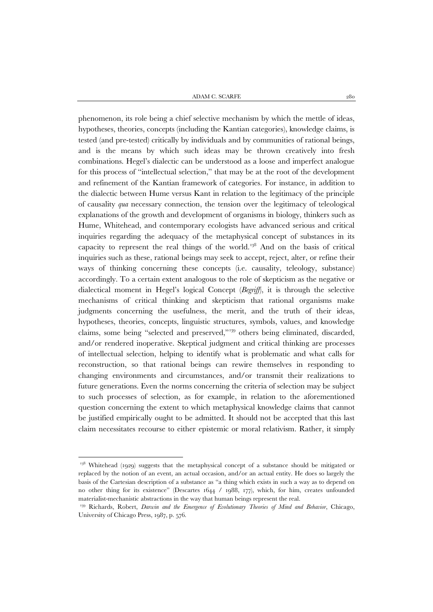ADAM C. SCARFE  $\hspace{1.5mm}$  280

phenomenon, its role being a chief selective mechanism by which the mettle of ideas, hypotheses, theories, concepts (including the Kantian categories), knowledge claims, is tested (and pre-tested) critically by individuals and by communities of rational beings, and is the means by which such ideas may be thrown creatively into fresh combinations. Hegel's dialectic can be understood as a loose and imperfect analogue for this process of "intellectual selection," that may be at the root of the development and refinement of the Kantian framework of categories. For instance, in addition to the dialectic between Hume versus Kant in relation to the legitimacy of the principle of causality *qua* necessary connection, the tension over the legitimacy of teleological explanations of the growth and development of organisms in biology, thinkers such as Hume, Whitehead, and contemporary ecologists have advanced serious and critical inquiries regarding the adequacy of the metaphysical concept of substances in its capacity to represent the real things of the world.[138](#page-53-0) And on the basis of critical inquiries such as these, rational beings may seek to accept, reject, alter, or refine their ways of thinking concerning these concepts (i.e. causality, teleology, substance) accordingly. To a certain extent analogous to the role of skepticism as the negative or dialectical moment in Hegel's logical Concept (*Begriff*), it is through the selective mechanisms of critical thinking and skepticism that rational organisms make judgments concerning the usefulness, the merit, and the truth of their ideas, hypotheses, theories, concepts, linguistic structures, symbols, values, and knowledge claims, some being "selected and preserved,"[139](#page-53-1) others being eliminated, discarded, and/or rendered inoperative. Skeptical judgment and critical thinking are processes of intellectual selection, helping to identify what is problematic and what calls for reconstruction, so that rational beings can rewire themselves in responding to changing environments and circumstances, and/or transmit their realizations to future generations. Even the norms concerning the criteria of selection may be subject to such processes of selection, as for example, in relation to the aforementioned question concerning the extent to which metaphysical knowledge claims that cannot be justified empirically ought to be admitted. It should not be accepted that this last claim necessitates recourse to either epistemic or moral relativism. Rather, it simply

<span id="page-53-0"></span><sup>&</sup>lt;sup>138</sup> Whitehead (1929) suggests that the metaphysical concept of a substance should be mitigated or replaced by the notion of an event, an actual occasion, and/or an actual entity. He does so largely the basis of the Cartesian description of a substance as "a thing which exists in such a way as to depend on no other thing for its existence" (Descartes 1644 / 1988, 177), which, for him, creates unfounded materialist-mechanistic abstractions in the way that human beings represent the real.

<span id="page-53-1"></span><sup>&</sup>lt;sup>139</sup> Richards, Robert, *Darwin and the Emergence of Evolutionary Theories of Mind and Behavior*, Chicago, University of Chicago Press, 1987, p. 576.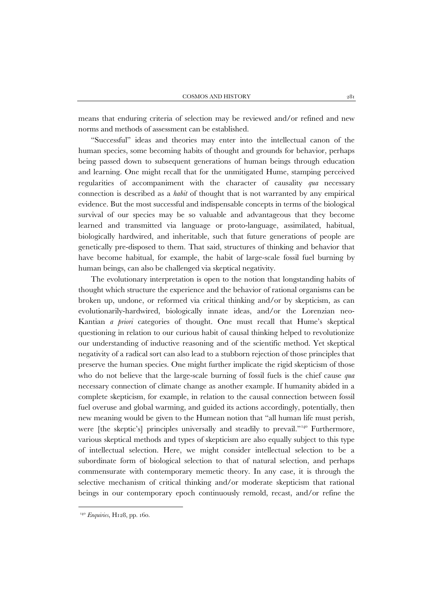means that enduring criteria of selection may be reviewed and/or refined and new norms and methods of assessment can be established.

"Successful" ideas and theories may enter into the intellectual canon of the human species, some becoming habits of thought and grounds for behavior, perhaps being passed down to subsequent generations of human beings through education and learning. One might recall that for the unmitigated Hume, stamping perceived regularities of accompaniment with the character of causality *qua* necessary connection is described as a *habit* of thought that is not warranted by any empirical evidence. But the most successful and indispensable concepts in terms of the biological survival of our species may be so valuable and advantageous that they become learned and transmitted via language or proto-language, assimilated, habitual, biologically hardwired, and inheritable, such that future generations of people are genetically pre-disposed to them. That said, structures of thinking and behavior that have become habitual, for example, the habit of large-scale fossil fuel burning by human beings, can also be challenged via skeptical negativity.

The evolutionary interpretation is open to the notion that longstanding habits of thought which structure the experience and the behavior of rational organisms can be broken up, undone, or reformed via critical thinking and/or by skepticism, as can evolutionarily-hardwired, biologically innate ideas, and/or the Lorenzian neo-Kantian *a priori* categories of thought. One must recall that Hume's skeptical questioning in relation to our curious habit of causal thinking helped to revolutionize our understanding of inductive reasoning and of the scientific method. Yet skeptical negativity of a radical sort can also lead to a stubborn rejection of those principles that preserve the human species. One might further implicate the rigid skepticism of those who do not believe that the large-scale burning of fossil fuels is the chief cause *qua* necessary connection of climate change as another example. If humanity abided in a complete skepticism, for example, in relation to the causal connection between fossil fuel overuse and global warming, and guided its actions accordingly, potentially, then new meaning would be given to the Humean notion that "all human life must perish, were [the skeptic's] principles universally and steadily to prevail."<sup>[140](#page-54-0)</sup> Furthermore, various skeptical methods and types of skepticism are also equally subject to this type of intellectual selection. Here, we might consider intellectual selection to be a subordinate form of biological selection to that of natural selection, and perhaps commensurate with contemporary memetic theory. In any case, it is through the selective mechanism of critical thinking and/or moderate skepticism that rational beings in our contemporary epoch continuously remold, recast, and/or refine the

<span id="page-54-0"></span><sup>140</sup> *Enquiries*, H128, pp. 160.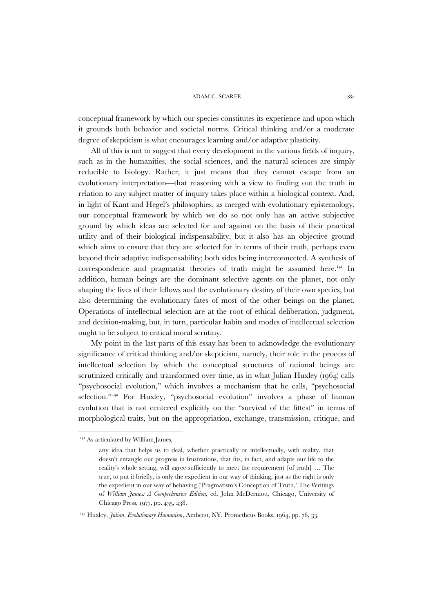conceptual framework by which our species constitutes its experience and upon which it grounds both behavior and societal norms. Critical thinking and/or a moderate degree of skepticism is what encourages learning and/or adaptive plasticity.

All of this is not to suggest that every development in the various fields of inquiry, such as in the humanities, the social sciences, and the natural sciences are simply reducible to biology. Rather, it just means that they cannot escape from an evolutionary interpretation—that reasoning with a view to finding out the truth in relation to any subject matter of inquiry takes place within a biological context. And, in light of Kant and Hegel's philosophies, as merged with evolutionary epistemology, our conceptual framework by which we do so not only has an active subjective ground by which ideas are selected for and against on the basis of their practical utility and of their biological indispensability, but it also has an objective ground which aims to ensure that they are selected for in terms of their truth, perhaps even beyond their adaptive indispensability; both sides being interconnected. A synthesis of correspondence and pragmatist theories of truth might be assumed here.<sup>[141](#page-55-0)</sup> In addition, human beings are the dominant selective agents on the planet, not only shaping the lives of their fellows and the evolutionary destiny of their own species, but also determining the evolutionary fates of most of the other beings on the planet. Operations of intellectual selection are at the root of ethical deliberation, judgment, and decision-making, but, in turn, particular habits and modes of intellectual selection ought to be subject to critical moral scrutiny.

My point in the last parts of this essay has been to acknowledge the evolutionary significance of critical thinking and/or skepticism, namely, their role in the process of intellectual selection by which the conceptual structures of rational beings are scrutinized critically and transformed over time, as in what Julian Huxley (1964) calls "psychosocial evolution," which involves a mechanism that he calls, "psychosocial selection."<sup>[142](#page-55-1)</sup> For Huxley, "psychosocial evolution" involves a phase of human evolution that is not centered explicitly on the "survival of the fittest" in terms of morphological traits, but on the appropriation, exchange, transmission, critique, and

<span id="page-55-0"></span> $141$  As articulated by William James,

any idea that helps us to deal, whether practically or intellectually, with reality, that doesn't entangle our progress in frustrations, that fits, in fact, and adapts our life to the reality's whole setting, will agree sufficiently to meet the requirement [of truth] … The true, to put it briefly, is only the expedient in our way of thinking, just as the right is only the expedient in our way of behaving ('Pragmatism's Conception of Truth,' The Writings of *William James: A Comprehensive Edition*, ed. John McDermott, Chicago, University of Chicago Press, 1977, pp. 435, 438.

<span id="page-55-1"></span><sup>&</sup>lt;sup>142</sup> Huxley, *Julian, Evolutionary Humanism*, Amherst, NY, Prometheus Books, 1964, pp. 76, 33.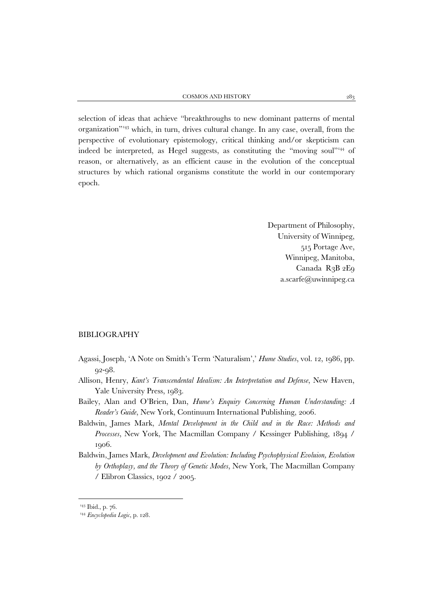selection of ideas that achieve "breakthroughs to new dominant patterns of mental organization"[143](#page-56-0) which, in turn, drives cultural change. In any case, overall, from the perspective of evolutionary epistemology, critical thinking and/or skepticism can indeed be interpreted, as Hegel suggests, as constituting the "moving soul"[144](#page-56-1) of reason, or alternatively, as an efficient cause in the evolution of the conceptual structures by which rational organisms constitute the world in our contemporary epoch.

> Department of Philosophy, University of Winnipeg, 515 Portage Ave, Winnipeg, Manitoba, Canada R3B 2E9 a.scarfe@uwinnipeg.ca

#### BIBLIOGRAPHY

- Agassi, Joseph, 'A Note on Smith's Term 'Naturalism',' *Hume Studies*, vol. 12, 1986, pp. 92-98.
- Allison, Henry, *Kant's Transcendental Idealism: An Interpretation and Defense*, New Haven, Yale University Press, 1983.
- Bailey, Alan and O'Brien, Dan, *Hume's Enquiry Concerning Human Understanding: A Reader's Guide*, New York, Continuum International Publishing, 2006.
- Baldwin, James Mark, *Mental Development in the Child and in the Race: Methods and Processes*, New York, The Macmillan Company / Kessinger Publishing, 1894 / 1906.
- Baldwin, James Mark, *Development and Evolution: Including Psychophysical Evoluion, Evolution by Orthoplasy, and the Theory of Genetic Modes*, New York, The Macmillan Company / Elibron Classics, 1902 / 2005.

<span id="page-56-1"></span><span id="page-56-0"></span><sup>&</sup>lt;sup>143</sup> Ibid., p. 76.

<sup>144</sup> *Encyclopedia Logic*, p. 128.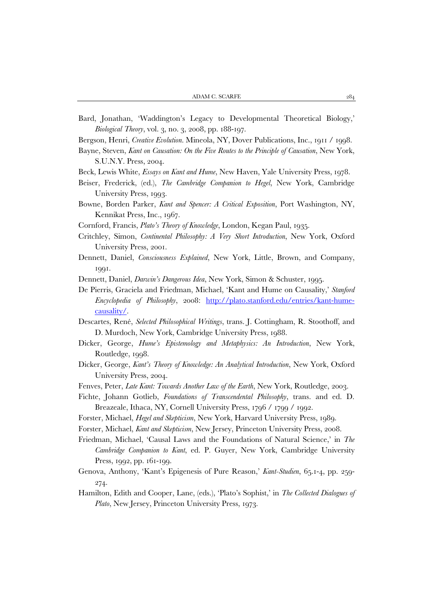Bard, Jonathan, 'Waddington's Legacy to Developmental Theoretical Biology,' *Biological Theory*, vol. 3, no. 3, 2008, pp. 188-197.

Bergson, Henri, *Creative Evolution*. Mineola, NY, Dover Publications, Inc., 1911 / 1998.

- Bayne, Steven, *Kant on Causation: On the Five Routes to the Principle of Causation*, New York, S.U.N.Y. Press, 2004.
- Beck, Lewis White, *Essays on Kant and Hume*, New Haven, Yale University Press, 1978.
- Beiser, Frederick, (ed.), *The Cambridge Companion to Hegel*, New York, Cambridge University Press, 1993.
- Bowne, Borden Parker, *Kant and Spencer: A Critical Exposition*, Port Washington, NY, Kennikat Press, Inc., 1967.
- Cornford, Francis, *Plato's Theory of Knowledge*, London, Kegan Paul, 1935.
- Critchley, Simon, *Continental Philosophy: A Very Short Introduction*, New York, Oxford University Press, 2001.
- Dennett, Daniel, *Consciousness Explained*, New York, Little, Brown, and Company, 1991.
- Dennett, Daniel, *Darwin's Dangerous Idea*, New York, Simon & Schuster, 1995.
- De Pierris, Graciela and Friedman, Michael, 'Kant and Hume on Causality,' *Stanford Encyclopedia of Philosophy*, 2008: [http://plato.stanford.edu/entries/kant-hume](http://plato.stanford.edu/entries/kant-hume-causality/)[causality/.](http://plato.stanford.edu/entries/kant-hume-causality/)
- Descartes, René, *Selected Philosophical Writings*, trans. J. Cottingham, R. Stoothoff, and D. Murdoch, New York, Cambridge University Press, 1988.
- Dicker, George, *Hume's Epistemology and Metaphysics: An Introduction*, New York, Routledge, 1998.
- Dicker, George, *Kant's Theory of Knowledge: An Analytical Introduction*, New York, Oxford University Press, 2004.
- Fenves, Peter, *Late Kant: Towards Another Law of the Earth*, New York, Routledge, 2003.
- Fichte, Johann Gotlieb, *Foundations of Transcendental Philosophy*, trans. and ed. D. Breazeale, Ithaca, NY, Cornell University Press, 1796 / 1799 / 1992.
- Forster, Michael, *Hegel and Skepticism*, New York, Harvard University Press, 1989.
- Forster, Michael, *Kant and Skepticism*, New Jersey, Princeton University Press, 2008.
- Friedman, Michael, 'Causal Laws and the Foundations of Natural Science,' in *The Cambridge Companion to Kant*, ed. P. Guyer, New York, Cambridge University Press, 1992, pp. 161-199.
- Genova, Anthony, 'Kant's Epigenesis of Pure Reason,' *Kant-Studien*, 65.1-4, pp. 259- 274.
- Hamilton, Edith and Cooper, Lane, (eds.), 'Plato's Sophist,' in *The Collected Dialogues of Plato*, New Jersey, Princeton University Press, 1973.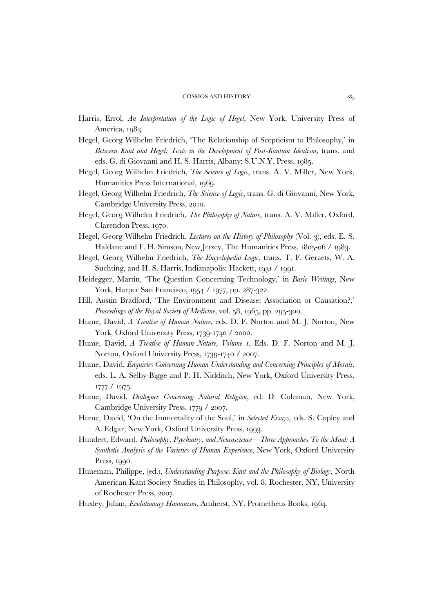- Harris, Errol, *An Interpretation of the Logic of Hegel*, New York, University Press of America, 1983.
- Hegel, Georg Wilhelm Friedrich, 'The Relationship of Scepticism to Philosophy,' in *Between Kant and Hegel: Texts in the Development of Post-Kantian Idealism*, trans. and eds. G. di Giovanni and H. S. Harris, Albany: S.U.N.Y. Press, 1985.
- Hegel, Georg Wilhelm Friedrich, *The Science of Logic*, trans. A. V. Miller, New York, Humanities Press International, 1969.
- Hegel, Georg Wilhelm Friedrich, *The Science of Logic*, trans. G. di Giovanni, New York, Cambridge University Press, 2010.
- Hegel, Georg Wilhelm Friedrich, *The Philosophy of Nature*, trans. A. V. Miller, Oxford, Clarendon Press, 1970.
- Hegel, Georg Wilhelm Friedrich, *Lectures on the History of Philosophy* (Vol. 3), eds. E. S. Haldane and F. H. Simson, New Jersey, The Humanities Press, 1805-06 / 1983.
- Hegel, Georg Wilhelm Friedrich, *The Encyclopedia Logic*, trans. T. F. Geraets, W. A. Suchting, and H. S. Harris, Indianapolis: Hackett, 1931 / 1991.
- Heidegger, Martin, 'The Question Concerning Technology,' in *Basic Writings*, New York, Harper San Francisco, 1954 / 1977, pp. 287-322.
- Hill, Austin Bradford, 'The Environment and Disease: Association or Causation?,' *Proceedings of the Royal Society of Medicine*, vol. 58, 1965, pp. 295-300.
- Hume, David, *A Treatise of Human Nature*, eds. D. F. Norton and M. J. Norton, New York, Oxford University Press, 1739-1740 / 2000.
- Hume, David, *A Treatise of Human Nature, Volume 1*, Eds. D. F. Norton and M. J. Norton, Oxford University Press, 1739-1740 / 2007.
- Hume, David, *Enquiries Concerning Human Understanding and Concerning Principles of Morals*, eds. L. A. Selby-Bigge and P. H. Nidditch, New York, Oxford University Press, 1777 / 1975.
- Hume, David, *Dialogues Concerning Natural Religion*, ed. D. Coleman, New York, Cambridge University Press, 1779 / 2007.
- Hume, David, 'On the Immortality of the Soul,' in *Selected Essays*, eds. S. Copley and A. Edgar, New York, Oxford University Press, 1993.
- Hundert, Edward, *Philosophy, Psychiatry, and Neuroscience—Three Approaches To the Mind: A Synthetic Analysis of the Varieties of Human Experience*, New York, Oxford University Press, 1990.
- Huneman, Philippe, (ed.), *Understanding Purpose: Kant and the Philosophy of Biology*, North American Kant Society Studies in Philosophy, vol. 8, Rochester, NY, University of Rochester Press, 2007.
- Huxley, Julian, *Evolutionary Humanism*, Amherst, NY, Prometheus Books, 1964.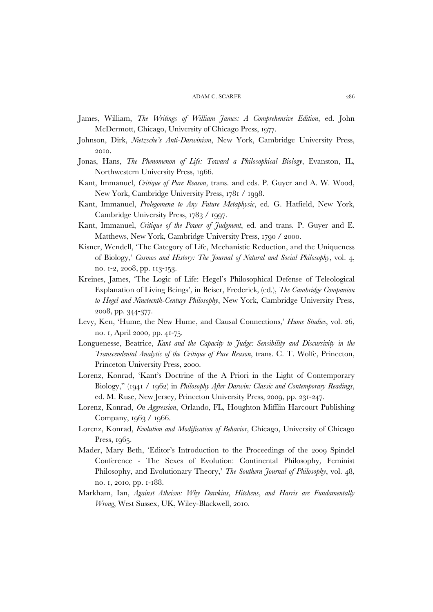- James, William, *The Writings of William James: A Comprehensive Edition*, ed. John McDermott, Chicago, University of Chicago Press, 1977.
- Johnson, Dirk, *Nietzsche's Anti-Darwinism*, New York, Cambridge University Press, 2010.
- Jonas, Hans, *The Phenomenon of Life: Toward a Philosophical Biology*, Evanston, IL, Northwestern University Press, 1966.
- Kant, Immanuel, *Critique of Pure Reason*, trans. and eds. P. Guyer and A. W. Wood, New York, Cambridge University Press, 1781 / 1998.
- Kant, Immanuel, *Prolegomena to Any Future Metaphysic*, ed. G. Hatfield, New York, Cambridge University Press, 1783 / 1997.
- Kant, Immanuel, *Critique of the Power of Judgment*, ed. and trans. P. Guyer and E. Matthews, New York, Cambridge University Press, 1790 / 2000.
- Kisner, Wendell, 'The Category of Life, Mechanistic Reduction, and the Uniqueness of Biology,' *Cosmos and History: The Journal of Natural and Social Philosophy*, vol. 4, no. 1-2, 2008, pp. 113-153.
- Kreines, James, 'The Logic of Life: Hegel's Philosophical Defense of Teleological Explanation of Living Beings', in Beiser, Frederick, (ed.), *The Cambridge Companion to Hegel and Nineteenth-Century Philosophy*, New York, Cambridge University Press, 2008, pp. 344-377.
- Levy, Ken, 'Hume, the New Hume, and Causal Connections,' *Hume Studies*, vol. 26, no. 1, April 2000, pp. 41-75.
- Longuenesse, Beatrice, *Kant and the Capacity to Judge: Sensibility and Discursivity in the Transcendental Analytic of the Critique of Pure Reason*, trans. C. T. Wolfe, Princeton, Princeton University Press, 2000.
- Lorenz, Konrad, 'Kant's Doctrine of the A Priori in the Light of Contemporary Biology," (1941 / 1962) in *Philosophy After Darwin: Classic and Contemporary Readings*, ed. M. Ruse, New Jersey, Princeton University Press, 2009, pp. 231-247.
- Lorenz, Konrad, *On Aggression*, Orlando, FL, Houghton Mifflin Harcourt Publishing Company, 1963 / 1966.
- Lorenz, Konrad, *Evolution and Modification of Behavior*, Chicago, University of Chicago Press, 1965.
- Mader, Mary Beth, 'Editor's Introduction to the Proceedings of the 2009 Spindel Conference - The Sexes of Evolution: Continental Philosophy, Feminist Philosophy, and Evolutionary Theory,' *The Southern Journal of Philosophy*, vol. 48, no. 1, 2010, pp. 1-188.
- Markham, Ian, *Against Atheism: Why Dawkins, Hitchens, and Harris are Fundamentally Wrong*, West Sussex, UK, Wiley-Blackwell, 2010.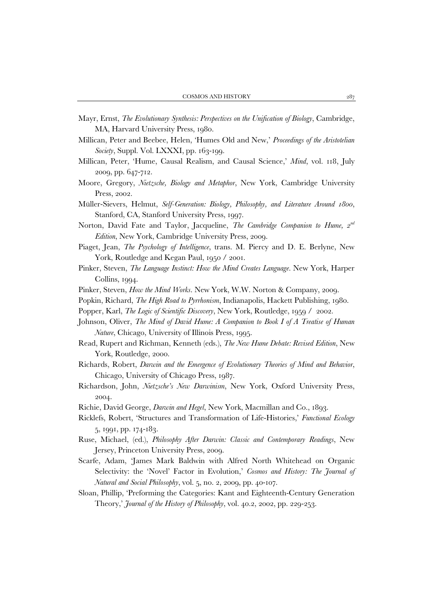- Mayr, Ernst, *The Evolutionary Synthesis: Perspectives on the Unification of Biology*, Cambridge, MA, Harvard University Press, 1980.
- Millican, Peter and Beebee, Helen, 'Humes Old and New,' *Proceedings of the Aristotelian Society*, Suppl. Vol. LXXXI, pp. 163-199.
- Millican, Peter, 'Hume, Causal Realism, and Causal Science,' *Mind*, vol. 118, July 2009, pp. 647-712.
- Moore, Gregory, *Nietzsche, Biology and Metaphor*, New York, Cambridge University Press, 2002.
- Müller-Sievers, Helmut, *Self-Generation: Biology, Philosophy, and Literature Around 1800*, Stanford, CA, Stanford University Press, 1997.
- Norton, David Fate and Taylor, Jacqueline, *The Cambridge Companion to Hume, 2nd Edition*, New York, Cambridge University Press, 2009.
- Piaget, Jean, *The Psychology of Intelligence*, trans. M. Piercy and D. E. Berlyne, New York, Routledge and Kegan Paul, 1950 / 2001.
- Pinker, Steven, *The Language Instinct: How the Mind Creates Language*. New York, Harper Collins, 1994.
- Pinker, Steven, *How the Mind Works*. New York, W.W. Norton & Company, 2009.
- Popkin, Richard, *The High Road to Pyrrhonism*, Indianapolis, Hackett Publishing, 1980.
- Popper, Karl, *The Logic of Scientific Discovery*, New York, Routledge, 1959 / 2002.
- Johnson, Oliver, *The Mind of David Hume: A Companion to Book I of A Treatise of Human Nature*, Chicago, University of Illinois Press, 1995.
- Read, Rupert and Richman, Kenneth (eds.), *The New Hume Debate: Revised Edition*, New York, Routledge, 2000.
- Richards, Robert, *Darwin and the Emergence of Evolutionary Theories of Mind and Behavior*, Chicago, University of Chicago Press, 1987.
- Richardson, John, *Nietzsche's New Darwinism*, New York, Oxford University Press, 2004.
- Richie, David George, *Darwin and Hegel*, New York, Macmillan and Co., 1893.
- Ricklefs, Robert, 'Structures and Transformation of Life-Histories,' *Functional Ecology* 5, 1991, pp. 174-183.
- Ruse, Michael, (ed.), *Philosophy After Darwin: Classic and Contemporary Readings*, New Jersey, Princeton University Press, 2009.
- Scarfe, Adam, 'James Mark Baldwin with Alfred North Whitehead on Organic Selectivity: the 'Novel' Factor in Evolution,' *Cosmos and History: The Journal of Natural and Social Philosophy*, vol. 5, no. 2, 2009, pp. 40-107.
- Sloan, Phillip, 'Preforming the Categories: Kant and Eighteenth-Century Generation Theory,' *Journal of the History of Philosophy*, vol. 40.2, 2002, pp. 229-253.